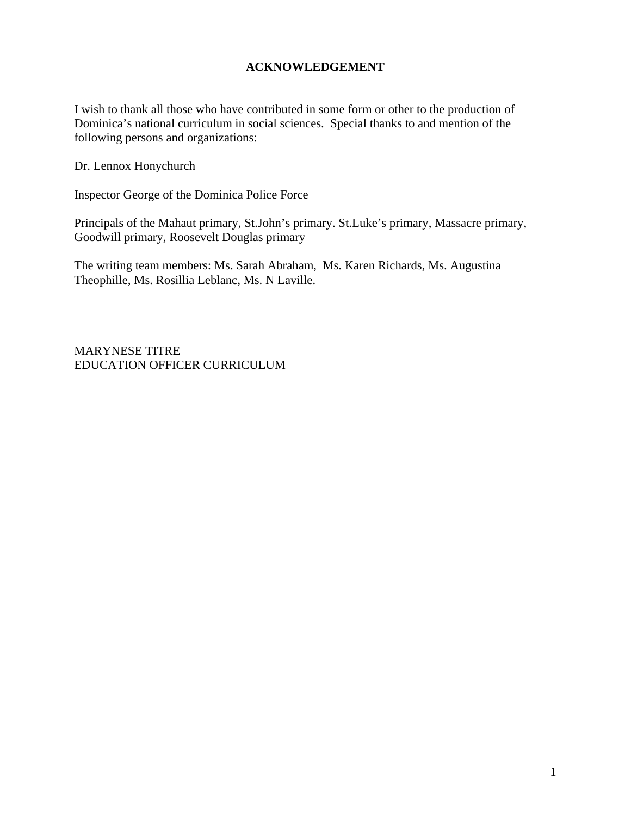#### **ACKNOWLEDGEMENT**

I wish to thank all those who have contributed in some form or other to the production of Dominica's national curriculum in social sciences. Special thanks to and mention of the following persons and organizations:

Dr. Lennox Honychurch

Inspector George of the Dominica Police Force

Principals of the Mahaut primary, St.John's primary. St.Luke's primary, Massacre primary, Goodwill primary, Roosevelt Douglas primary

The writing team members: Ms. Sarah Abraham, Ms. Karen Richards, Ms. Augustina Theophille, Ms. Rosillia Leblanc, Ms. N Laville.

MARYNESE TITRE EDUCATION OFFICER CURRICULUM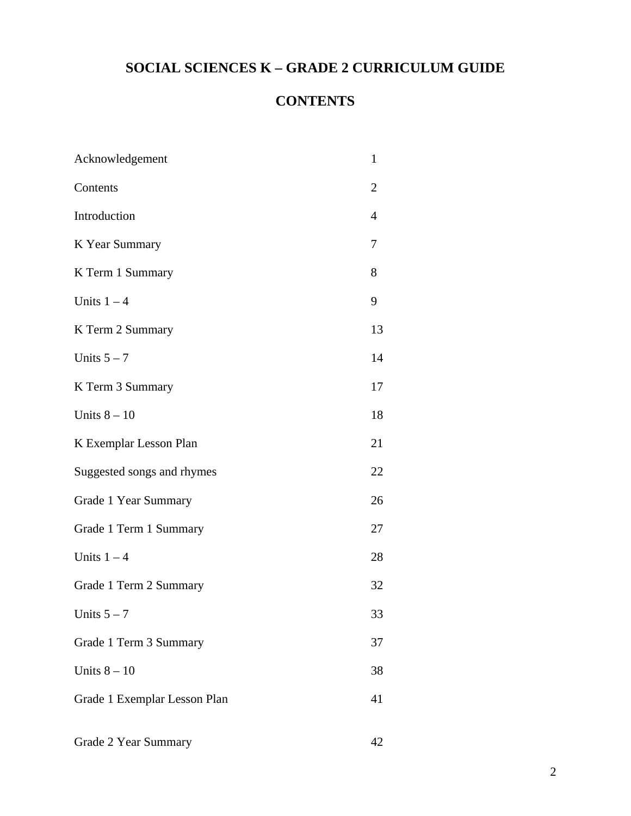# **SOCIAL SCIENCES K – GRADE 2 CURRICULUM GUIDE**

# **CONTENTS**

| Acknowledgement              | $\mathbf{1}$ |
|------------------------------|--------------|
| Contents                     | 2            |
| Introduction                 | 4            |
| K Year Summary               | 7            |
| K Term 1 Summary             | 8            |
| Units $1 - 4$                | 9            |
| K Term 2 Summary             | 13           |
| Units $5 - 7$                | 14           |
| K Term 3 Summary             | 17           |
| Units $8 - 10$               | 18           |
| K Exemplar Lesson Plan       | 21           |
| Suggested songs and rhymes   | 22           |
| Grade 1 Year Summary         | 26           |
| Grade 1 Term 1 Summary       | 27           |
| Units $1 - 4$                | 28           |
| Grade 1 Term 2 Summary       | 32           |
| Units $5 - 7$                | 33           |
| Grade 1 Term 3 Summary       | 37           |
| Units $8-10$                 | 38           |
| Grade 1 Exemplar Lesson Plan | 41           |
| Grade 2 Year Summary         | 42           |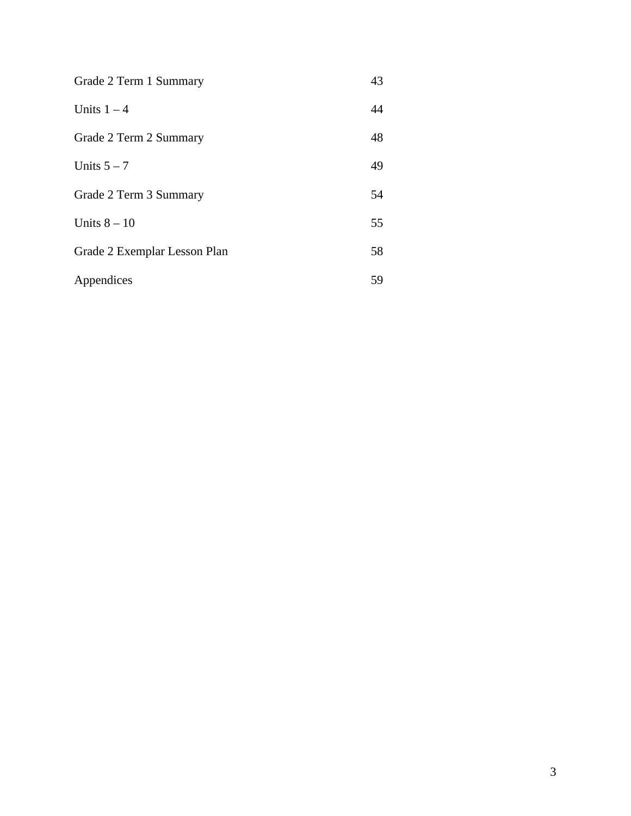| Grade 2 Term 1 Summary       | 43 |
|------------------------------|----|
| Units $1 - 4$                | 44 |
| Grade 2 Term 2 Summary       | 48 |
| Units $5 - 7$                | 49 |
| Grade 2 Term 3 Summary       | 54 |
| Units $8-10$                 | 55 |
| Grade 2 Exemplar Lesson Plan | 58 |
| Appendices                   | 59 |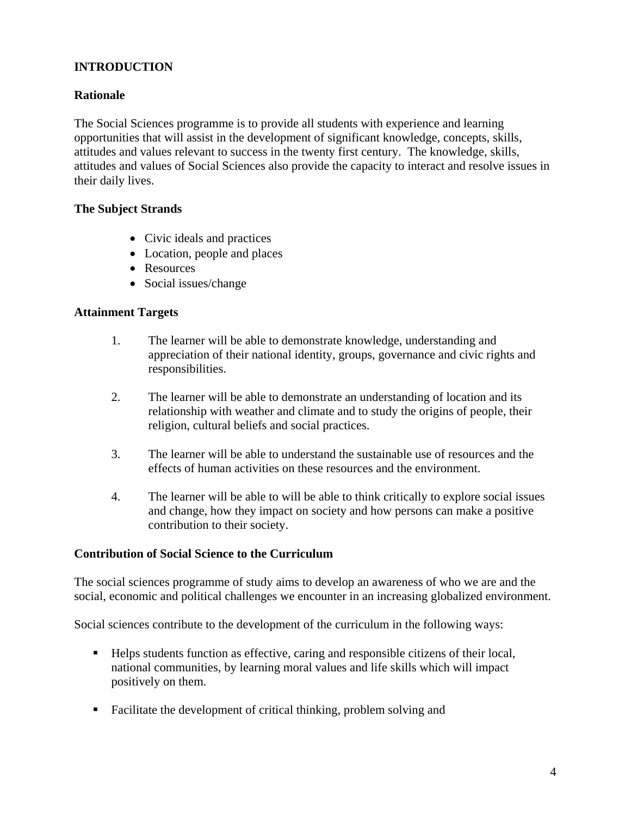# **INTRODUCTION**

### **Rationale**

The Social Sciences programme is to provide all students with experience and learning opportunities that will assist in the development of significant knowledge, concepts, skills, attitudes and values relevant to success in the twenty first century. The knowledge, skills, attitudes and values of Social Sciences also provide the capacity to interact and resolve issues in their daily lives.

#### **The Subject Strands**

- Civic ideals and practices
- Location, people and places
- Resources
- Social issues/change

#### **Attainment Targets**

- 1. The learner will be able to demonstrate knowledge, understanding and appreciation of their national identity, groups, governance and civic rights and responsibilities.
- 2. The learner will be able to demonstrate an understanding of location and its relationship with weather and climate and to study the origins of people, their religion, cultural beliefs and social practices.
- 3. The learner will be able to understand the sustainable use of resources and the effects of human activities on these resources and the environment.
- 4. The learner will be able to will be able to think critically to explore social issues and change, how they impact on society and how persons can make a positive contribution to their society.

#### **Contribution of Social Science to the Curriculum**

The social sciences programme of study aims to develop an awareness of who we are and the social, economic and political challenges we encounter in an increasing globalized environment.

Social sciences contribute to the development of the curriculum in the following ways:

- Helps students function as effective, caring and responsible citizens of their local, national communities, by learning moral values and life skills which will impact positively on them.
- Facilitate the development of critical thinking, problem solving and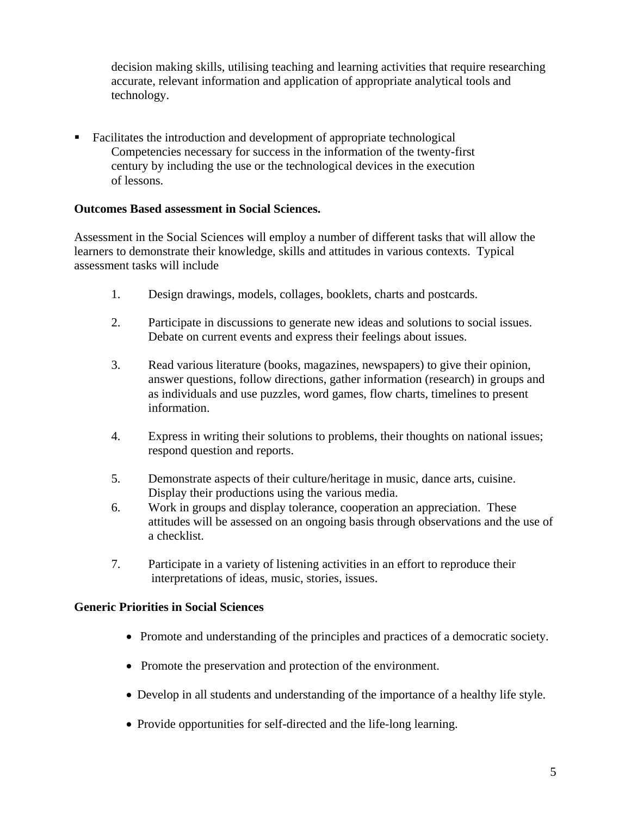decision making skills, utilising teaching and learning activities that require researching accurate, relevant information and application of appropriate analytical tools and technology.

 Facilitates the introduction and development of appropriate technological Competencies necessary for success in the information of the twenty-first century by including the use or the technological devices in the execution of lessons.

#### **Outcomes Based assessment in Social Sciences.**

Assessment in the Social Sciences will employ a number of different tasks that will allow the learners to demonstrate their knowledge, skills and attitudes in various contexts. Typical assessment tasks will include

- 1. Design drawings, models, collages, booklets, charts and postcards.
- 2. Participate in discussions to generate new ideas and solutions to social issues. Debate on current events and express their feelings about issues.
- 3. Read various literature (books, magazines, newspapers) to give their opinion, answer questions, follow directions, gather information (research) in groups and as individuals and use puzzles, word games, flow charts, timelines to present information.
- 4. Express in writing their solutions to problems, their thoughts on national issues; respond question and reports.
- 5. Demonstrate aspects of their culture/heritage in music, dance arts, cuisine. Display their productions using the various media.
- 6. Work in groups and display tolerance, cooperation an appreciation. These attitudes will be assessed on an ongoing basis through observations and the use of a checklist.
- 7. Participate in a variety of listening activities in an effort to reproduce their interpretations of ideas, music, stories, issues.

#### **Generic Priorities in Social Sciences**

- Promote and understanding of the principles and practices of a democratic society.
- Promote the preservation and protection of the environment.
- Develop in all students and understanding of the importance of a healthy life style.
- Provide opportunities for self-directed and the life-long learning.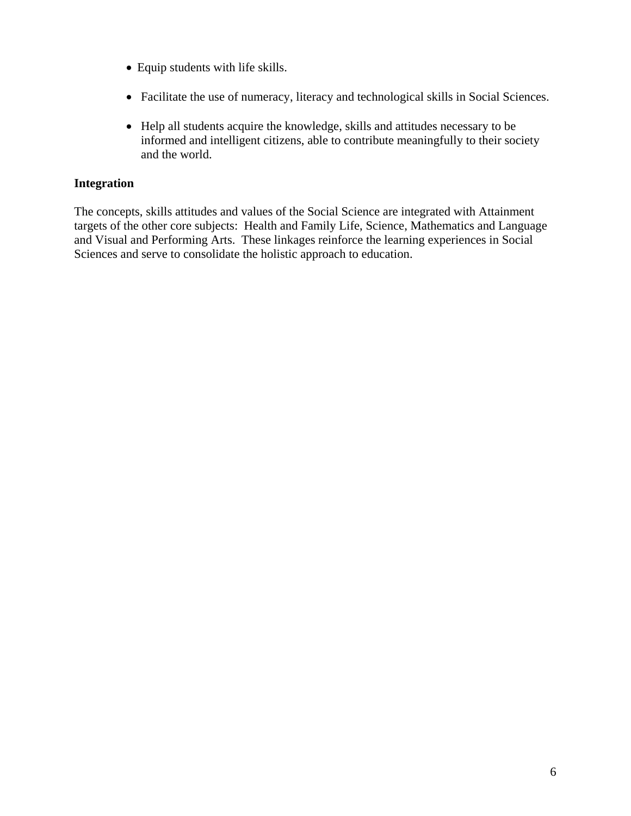- Equip students with life skills.
- Facilitate the use of numeracy, literacy and technological skills in Social Sciences.
- Help all students acquire the knowledge, skills and attitudes necessary to be informed and intelligent citizens, able to contribute meaningfully to their society and the world.

#### **Integration**

The concepts, skills attitudes and values of the Social Science are integrated with Attainment targets of the other core subjects: Health and Family Life, Science, Mathematics and Language and Visual and Performing Arts. These linkages reinforce the learning experiences in Social Sciences and serve to consolidate the holistic approach to education.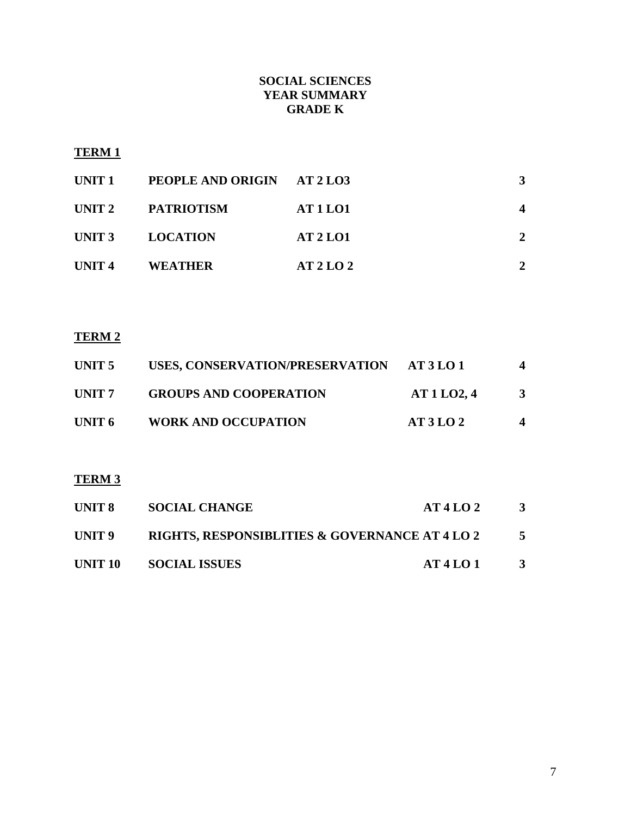# **SOCIAL SCIENCES YEAR SUMMARY GRADE K**

# **TERM 1**

| UNIT 1            | PEOPLE AND ORIGIN AT 2 LO3 |                 | 3 |
|-------------------|----------------------------|-----------------|---|
|                   | UNIT 2 PATRIOTISM          | <b>AT 1 LO1</b> |   |
|                   | UNIT 3 LOCATION            | <b>AT 2 LO1</b> | 2 |
| UNIT <sub>4</sub> | <b>WEATHER</b>             | AT2LO2          |   |

# **TERM 2**

| UNIT 5 | USES, CONSERVATION/PRESERVATION | AT3LO1   | 4 |
|--------|---------------------------------|----------|---|
| UNIT 7 | <b>GROUPS AND COOPERATION</b>   | AT1LO2,4 | 3 |
| UNIT 6 | <b>WORK AND OCCUPATION</b>      | AT3LO2   | 4 |

# **TERM 3**

| UNIT 8 | <b>SOCIAL CHANGE</b>                                      | AT4LO2 | $\mathbf{3}$ |
|--------|-----------------------------------------------------------|--------|--------------|
| UNIT 9 | <b>RIGHTS, RESPONSIBLITIES &amp; GOVERNANCE AT 4 LO 2</b> |        |              |
|        | UNIT 10 SOCIAL ISSUES                                     | AT4LO1 | -3           |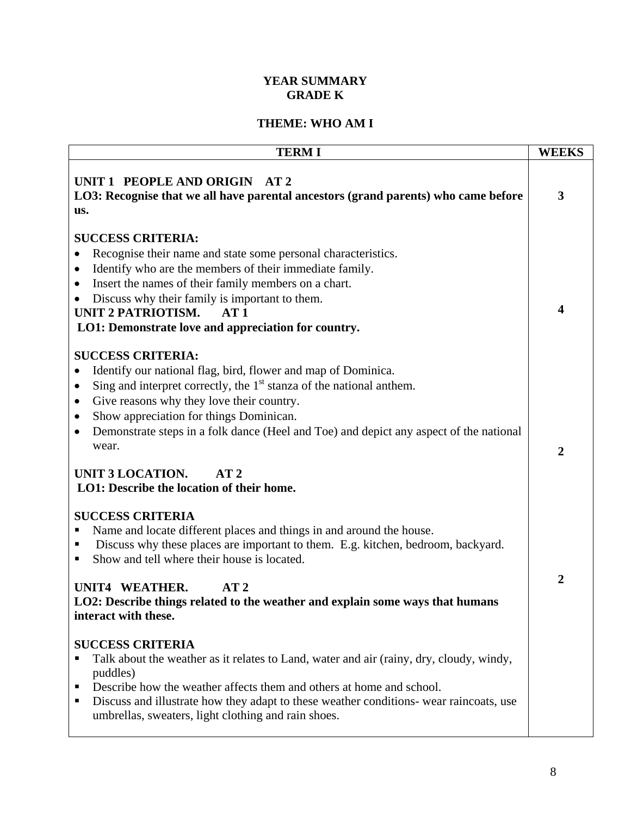# **YEAR SUMMARY GRADE K**

# **THEME: WHO AM I**

| <b>TERMI</b>                                                                                                                                                                                                                                                                                                                                                                                                                                                                     | <b>WEEKS</b>   |
|----------------------------------------------------------------------------------------------------------------------------------------------------------------------------------------------------------------------------------------------------------------------------------------------------------------------------------------------------------------------------------------------------------------------------------------------------------------------------------|----------------|
| UNIT 1 PEOPLE AND ORIGIN AT 2<br>LO3: Recognise that we all have parental ancestors (grand parents) who came before<br>us.                                                                                                                                                                                                                                                                                                                                                       | 3              |
| <b>SUCCESS CRITERIA:</b><br>Recognise their name and state some personal characteristics.<br>Identify who are the members of their immediate family.<br>$\bullet$<br>Insert the names of their family members on a chart.<br>$\bullet$<br>Discuss why their family is important to them.<br><b>UNIT 2 PATRIOTISM.</b><br>AT1<br>LO1: Demonstrate love and appreciation for country.<br><b>SUCCESS CRITERIA:</b><br>Identify our national flag, bird, flower and map of Dominica. | 4              |
| Sing and interpret correctly, the $1st$ stanza of the national anthem.<br>$\bullet$<br>Give reasons why they love their country.<br>٠<br>Show appreciation for things Dominican.<br>$\bullet$<br>Demonstrate steps in a folk dance (Heel and Toe) and depict any aspect of the national<br>$\bullet$<br>wear.<br><b>UNIT 3 LOCATION.</b><br>AT2<br>LO1: Describe the location of their home.                                                                                     | $\overline{2}$ |
| <b>SUCCESS CRITERIA</b><br>Name and locate different places and things in and around the house.<br>Discuss why these places are important to them. E.g. kitchen, bedroom, backyard.<br>п<br>Show and tell where their house is located.<br>п<br>UNIT4 WEATHER.<br>AT2<br>LO2: Describe things related to the weather and explain some ways that humans<br>interact with these.                                                                                                   | 2              |
| <b>SUCCESS CRITERIA</b><br>Talk about the weather as it relates to Land, water and air (rainy, dry, cloudy, windy,<br>п<br>puddles)<br>Describe how the weather affects them and others at home and school.<br>п<br>Discuss and illustrate how they adapt to these weather conditions- wear raincoats, use<br>п<br>umbrellas, sweaters, light clothing and rain shoes.                                                                                                           |                |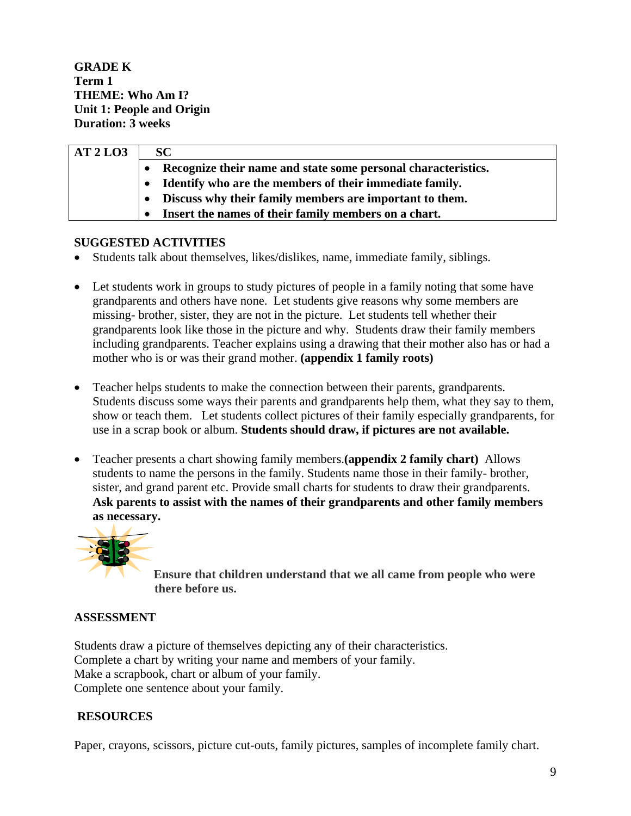**GRADE K Term 1 THEME: Who Am I? Unit 1: People and Origin Duration: 3 weeks** 

| AT2LO3 | <b>SC</b>                                                     |
|--------|---------------------------------------------------------------|
|        | Recognize their name and state some personal characteristics. |
|        | Identify who are the members of their immediate family.       |
|        | Discuss why their family members are important to them.       |
|        | Insert the names of their family members on a chart.          |

#### **SUGGESTED ACTIVITIES**

- Students talk about themselves, likes/dislikes, name, immediate family, siblings.
- Let students work in groups to study pictures of people in a family noting that some have grandparents and others have none. Let students give reasons why some members are missing- brother, sister, they are not in the picture. Let students tell whether their grandparents look like those in the picture and why. Students draw their family members including grandparents. Teacher explains using a drawing that their mother also has or had a mother who is or was their grand mother. **(appendix 1 family roots)**
- Teacher helps students to make the connection between their parents, grandparents. Students discuss some ways their parents and grandparents help them, what they say to them, show or teach them. Let students collect pictures of their family especially grandparents, for use in a scrap book or album. **Students should draw, if pictures are not available.**
- Teacher presents a chart showing family members.**(appendix 2 family chart)** Allows students to name the persons in the family. Students name those in their family- brother, sister, and grand parent etc. Provide small charts for students to draw their grandparents. **Ask parents to assist with the names of their grandparents and other family members as necessary.**



**Ensure that children understand that we all came from people who were there before us.**

#### **ASSESSMENT**

Students draw a picture of themselves depicting any of their characteristics. Complete a chart by writing your name and members of your family. Make a scrapbook, chart or album of your family. Complete one sentence about your family.

# **RESOURCES**

Paper, crayons, scissors, picture cut-outs, family pictures, samples of incomplete family chart.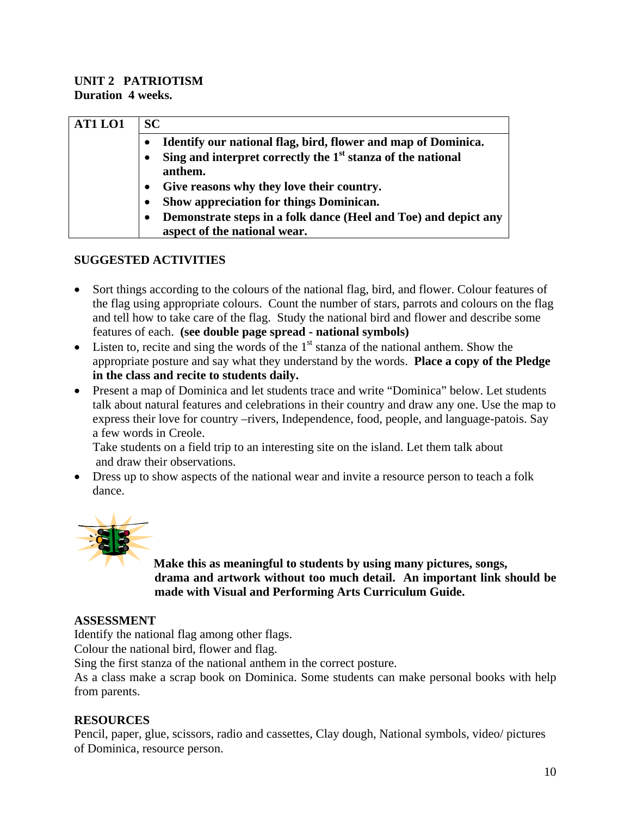### **UNIT 2 PATRIOTISM Duration 4 weeks.**

| AT1 LO1 | SC.                                                                                             |
|---------|-------------------------------------------------------------------------------------------------|
|         | Identify our national flag, bird, flower and map of Dominica.                                   |
|         | Sing and interpret correctly the $1st$ stanza of the national<br>anthem.                        |
|         | Give reasons why they love their country.                                                       |
|         | Show appreciation for things Dominican.                                                         |
|         | Demonstrate steps in a folk dance (Heel and Toe) and depict any<br>aspect of the national wear. |

# **SUGGESTED ACTIVITIES**

- Sort things according to the colours of the national flag, bird, and flower. Colour features of the flag using appropriate colours. Count the number of stars, parrots and colours on the flag and tell how to take care of the flag. Study the national bird and flower and describe some features of each. **(see double page spread - national symbols)**
- Listen to, recite and sing the words of the  $1<sup>st</sup>$  stanza of the national anthem. Show the appropriate posture and say what they understand by the words. **Place a copy of the Pledge in the class and recite to students daily.**
- Present a map of Dominica and let students trace and write "Dominica" below. Let students talk about natural features and celebrations in their country and draw any one. Use the map to express their love for country –rivers, Independence, food, people, and language-patois. Say a few words in Creole.

 Take students on a field trip to an interesting site on the island. Let them talk about and draw their observations.

• Dress up to show aspects of the national wear and invite a resource person to teach a folk dance.



**Make this as meaningful to students by using many pictures, songs, drama and artwork without too much detail. An important link should be made with Visual and Performing Arts Curriculum Guide.** 

# **ASSESSMENT**

Identify the national flag among other flags.

Colour the national bird, flower and flag.

Sing the first stanza of the national anthem in the correct posture.

As a class make a scrap book on Dominica. Some students can make personal books with help from parents.

# **RESOURCES**

Pencil, paper, glue, scissors, radio and cassettes, Clay dough, National symbols, video/ pictures of Dominica, resource person.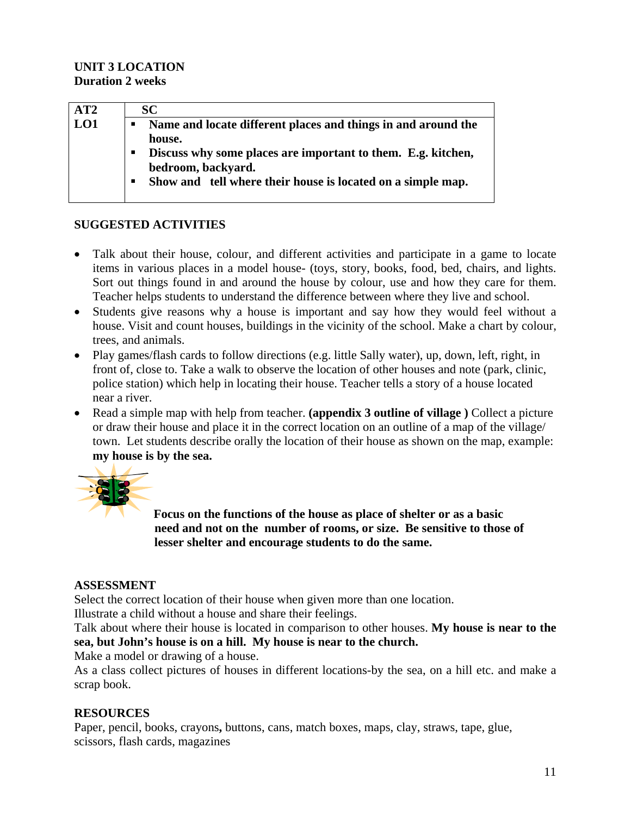# **UNIT 3 LOCATION Duration 2 weeks**

| AT2 | <b>SC</b>                                                     |
|-----|---------------------------------------------------------------|
| LO1 | Name and locate different places and things in and around the |
|     | house.                                                        |
|     | Discuss why some places are important to them. E.g. kitchen,  |
|     | bedroom, backyard.                                            |
|     | Show and tell where their house is located on a simple map.   |
|     |                                                               |

# **SUGGESTED ACTIVITIES**

- Talk about their house, colour, and different activities and participate in a game to locate items in various places in a model house- (toys, story, books, food, bed, chairs, and lights. Sort out things found in and around the house by colour, use and how they care for them. Teacher helps students to understand the difference between where they live and school.
- Students give reasons why a house is important and say how they would feel without a house. Visit and count houses, buildings in the vicinity of the school. Make a chart by colour, trees, and animals.
- Play games/flash cards to follow directions (e.g. little Sally water), up, down, left, right, in front of, close to. Take a walk to observe the location of other houses and note (park, clinic, police station) which help in locating their house. Teacher tells a story of a house located near a river.
- Read a simple map with help from teacher. **(appendix 3 outline of village )** Collect a picture or draw their house and place it in the correct location on an outline of a map of the village/ town. Let students describe orally the location of their house as shown on the map, example: **my house is by the sea.**



**Focus on the functions of the house as place of shelter or as a basic need and not on the number of rooms, or size. Be sensitive to those of lesser shelter and encourage students to do the same.** 

# **ASSESSMENT**

Select the correct location of their house when given more than one location.

Illustrate a child without a house and share their feelings.

Talk about where their house is located in comparison to other houses. **My house is near to the sea, but John's house is on a hill. My house is near to the church.** 

Make a model or drawing of a house.

As a class collect pictures of houses in different locations-by the sea, on a hill etc. and make a scrap book.

# **RESOURCES**

Paper, pencil, books, crayons**,** buttons, cans, match boxes, maps, clay, straws, tape, glue, scissors, flash cards, magazines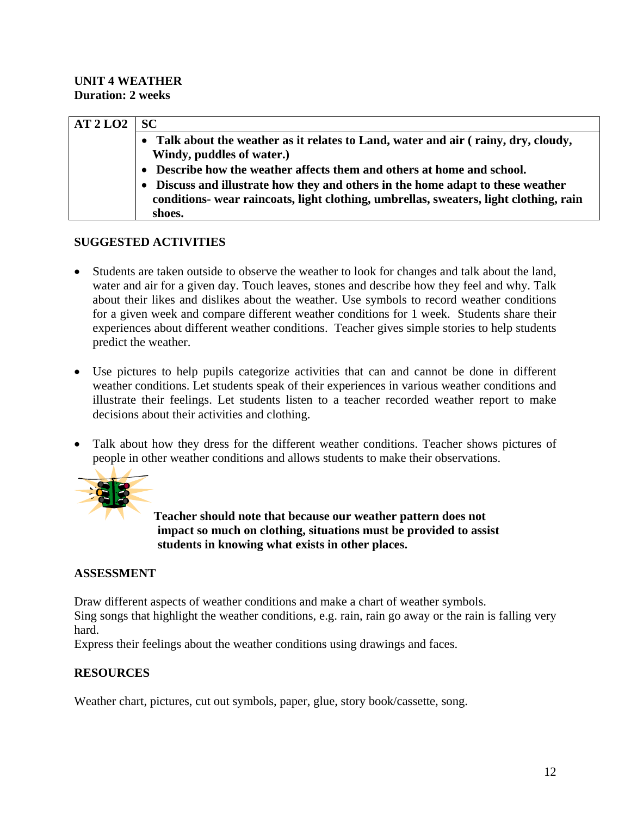### **UNIT 4 WEATHER Duration: 2 weeks**

| AT2LO2 | SC.                                                                                                                                                                    |
|--------|------------------------------------------------------------------------------------------------------------------------------------------------------------------------|
|        | Talk about the weather as it relates to Land, water and air (rainy, dry, cloudy,<br>Windy, puddles of water.)                                                          |
|        | Describe how the weather affects them and others at home and school.                                                                                                   |
|        | Discuss and illustrate how they and others in the home adapt to these weather<br>conditions- wear raincoats, light clothing, umbrellas, sweaters, light clothing, rain |
|        | shoes.                                                                                                                                                                 |

# **SUGGESTED ACTIVITIES**

- Students are taken outside to observe the weather to look for changes and talk about the land, water and air for a given day. Touch leaves, stones and describe how they feel and why. Talk about their likes and dislikes about the weather. Use symbols to record weather conditions for a given week and compare different weather conditions for 1 week. Students share their experiences about different weather conditions. Teacher gives simple stories to help students predict the weather.
- Use pictures to help pupils categorize activities that can and cannot be done in different weather conditions. Let students speak of their experiences in various weather conditions and illustrate their feelings. Let students listen to a teacher recorded weather report to make decisions about their activities and clothing.
- Talk about how they dress for the different weather conditions. Teacher shows pictures of people in other weather conditions and allows students to make their observations.



**Teacher should note that because our weather pattern does not impact so much on clothing, situations must be provided to assist students in knowing what exists in other places.** 

# **ASSESSMENT**

Draw different aspects of weather conditions and make a chart of weather symbols. Sing songs that highlight the weather conditions, e.g. rain, rain go away or the rain is falling very hard.

Express their feelings about the weather conditions using drawings and faces.

# **RESOURCES**

Weather chart, pictures, cut out symbols, paper, glue, story book/cassette, song.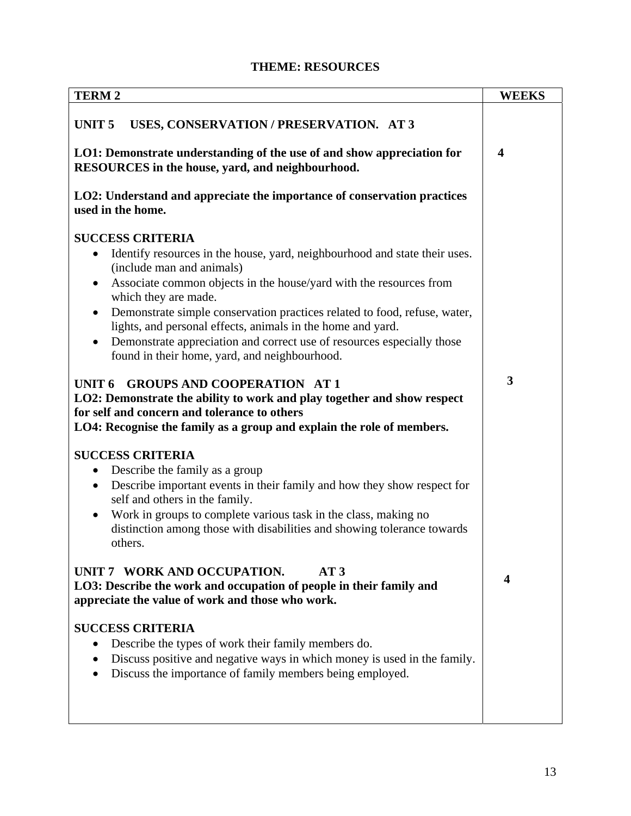| <b>TERM2</b>                                                                                                                                                       | <b>WEEKS</b>            |
|--------------------------------------------------------------------------------------------------------------------------------------------------------------------|-------------------------|
| UNIT <sub>5</sub><br>USES, CONSERVATION / PRESERVATION. AT 3                                                                                                       |                         |
| LO1: Demonstrate understanding of the use of and show appreciation for<br>RESOURCES in the house, yard, and neighbourhood.                                         | $\overline{\mathbf{4}}$ |
|                                                                                                                                                                    |                         |
| LO2: Understand and appreciate the importance of conservation practices<br>used in the home.                                                                       |                         |
| <b>SUCCESS CRITERIA</b>                                                                                                                                            |                         |
| Identify resources in the house, yard, neighbourhood and state their uses.<br>(include man and animals)                                                            |                         |
| Associate common objects in the house/yard with the resources from<br>$\bullet$<br>which they are made.                                                            |                         |
| Demonstrate simple conservation practices related to food, refuse, water,<br>$\bullet$<br>lights, and personal effects, animals in the home and yard.              |                         |
| Demonstrate appreciation and correct use of resources especially those<br>found in their home, yard, and neighbourhood.                                            |                         |
| <b>GROUPS AND COOPERATION AT 1</b><br>UNIT <sub>6</sub>                                                                                                            | $\overline{\mathbf{3}}$ |
| LO2: Demonstrate the ability to work and play together and show respect                                                                                            |                         |
| for self and concern and tolerance to others<br>LO4: Recognise the family as a group and explain the role of members.                                              |                         |
|                                                                                                                                                                    |                         |
| <b>SUCCESS CRITERIA</b>                                                                                                                                            |                         |
| Describe the family as a group<br>$\bullet$                                                                                                                        |                         |
| Describe important events in their family and how they show respect for<br>$\bullet$<br>self and others in the family.                                             |                         |
| Work in groups to complete various task in the class, making no<br>$\bullet$<br>distinction among those with disabilities and showing tolerance towards<br>others. |                         |
| UNIT 7 WORK AND OCCUPATION.<br>AT3                                                                                                                                 |                         |
| LO3: Describe the work and occupation of people in their family and<br>appreciate the value of work and those who work.                                            | $\boldsymbol{4}$        |
|                                                                                                                                                                    |                         |
| <b>SUCCESS CRITERIA</b><br>Describe the types of work their family members do.                                                                                     |                         |
| Discuss positive and negative ways in which money is used in the family.<br>٠                                                                                      |                         |
| Discuss the importance of family members being employed.                                                                                                           |                         |
|                                                                                                                                                                    |                         |
|                                                                                                                                                                    |                         |

# **THEME: RESOURCES**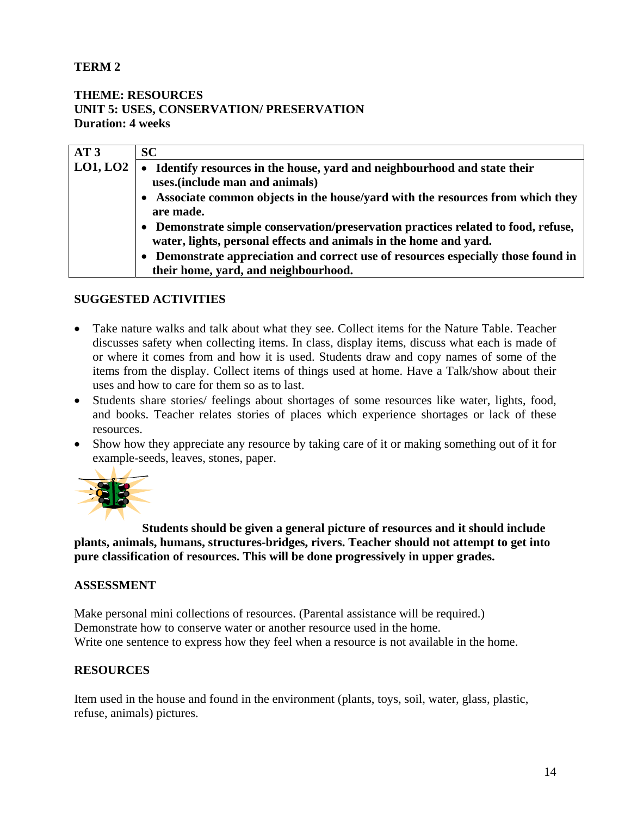# **TERM 2**

# **THEME: RESOURCES UNIT 5: USES, CONSERVATION/ PRESERVATION Duration: 4 weeks**

| AT3      | <b>SC</b>                                                                                                                                            |
|----------|------------------------------------------------------------------------------------------------------------------------------------------------------|
| LO1, LO2 | Identify resources in the house, yard and neighbourhood and state their<br>uses.(include man and animals)                                            |
|          |                                                                                                                                                      |
|          | Associate common objects in the house/yard with the resources from which they<br>are made.                                                           |
|          | Demonstrate simple conservation/preservation practices related to food, refuse,<br>water, lights, personal effects and animals in the home and yard. |
|          | Demonstrate appreciation and correct use of resources especially those found in                                                                      |
|          | their home, yard, and neighbourhood.                                                                                                                 |

#### **SUGGESTED ACTIVITIES**

- Take nature walks and talk about what they see. Collect items for the Nature Table. Teacher discusses safety when collecting items. In class, display items, discuss what each is made of or where it comes from and how it is used. Students draw and copy names of some of the items from the display. Collect items of things used at home. Have a Talk/show about their uses and how to care for them so as to last.
- Students share stories/ feelings about shortages of some resources like water, lights, food, and books. Teacher relates stories of places which experience shortages or lack of these resources.
- Show how they appreciate any resource by taking care of it or making something out of it for example-seeds, leaves, stones, paper.



 **Students should be given a general picture of resources and it should include plants, animals, humans, structures-bridges, rivers. Teacher should not attempt to get into pure classification of resources. This will be done progressively in upper grades.** 

#### **ASSESSMENT**

Make personal mini collections of resources. (Parental assistance will be required.) Demonstrate how to conserve water or another resource used in the home. Write one sentence to express how they feel when a resource is not available in the home.

#### **RESOURCES**

Item used in the house and found in the environment (plants, toys, soil, water, glass, plastic, refuse, animals) pictures.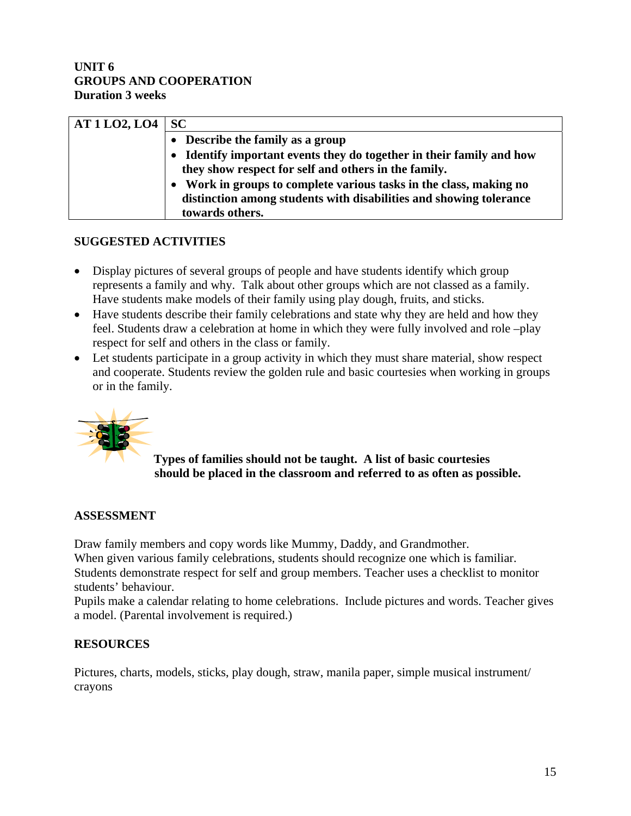## **UNIT 6 GROUPS AND COOPERATION Duration 3 weeks**

| $AT1LO2, LO4$ SC |                                                                                                                              |
|------------------|------------------------------------------------------------------------------------------------------------------------------|
|                  | • Describe the family as a group                                                                                             |
|                  | • Identify important events they do together in their family and how<br>they show respect for self and others in the family. |
|                  | • Work in groups to complete various tasks in the class, making no                                                           |
|                  | distinction among students with disabilities and showing tolerance<br>towards others.                                        |

# **SUGGESTED ACTIVITIES**

- Display pictures of several groups of people and have students identify which group represents a family and why. Talk about other groups which are not classed as a family. Have students make models of their family using play dough, fruits, and sticks.
- Have students describe their family celebrations and state why they are held and how they feel. Students draw a celebration at home in which they were fully involved and role –play respect for self and others in the class or family.
- Let students participate in a group activity in which they must share material, show respect and cooperate. Students review the golden rule and basic courtesies when working in groups or in the family.



**Types of families should not be taught. A list of basic courtesies should be placed in the classroom and referred to as often as possible.** 

#### **ASSESSMENT**

Draw family members and copy words like Mummy, Daddy, and Grandmother. When given various family celebrations, students should recognize one which is familiar. Students demonstrate respect for self and group members. Teacher uses a checklist to monitor students' behaviour.

Pupils make a calendar relating to home celebrations. Include pictures and words. Teacher gives a model. (Parental involvement is required.)

# **RESOURCES**

Pictures, charts, models, sticks, play dough, straw, manila paper, simple musical instrument/ crayons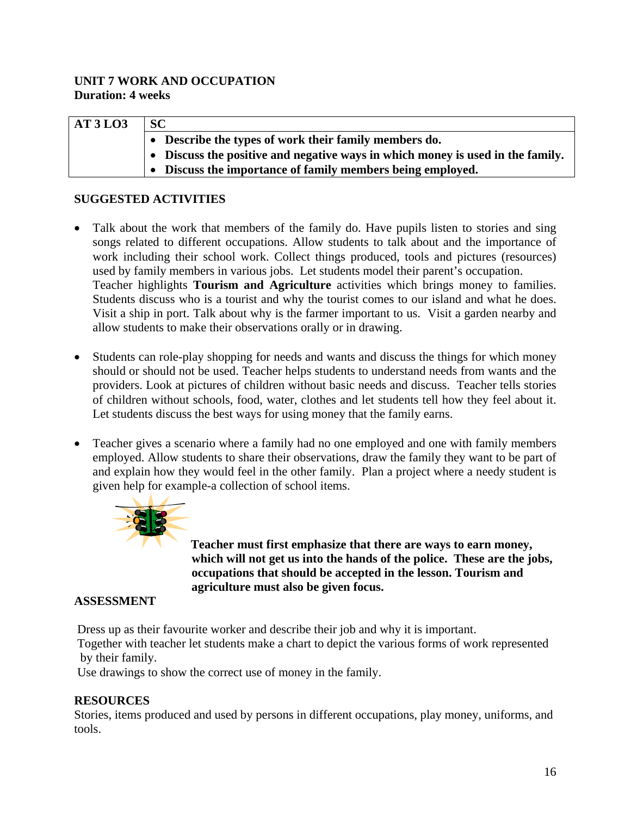# **UNIT 7 WORK AND OCCUPATION Duration: 4 weeks**

| AT3L03 | <b>SC</b>                                                                      |
|--------|--------------------------------------------------------------------------------|
|        | Describe the types of work their family members do.                            |
|        | • Discuss the positive and negative ways in which money is used in the family. |
|        | Discuss the importance of family members being employed.                       |

# **SUGGESTED ACTIVITIES**

- Talk about the work that members of the family do. Have pupils listen to stories and sing songs related to different occupations. Allow students to talk about and the importance of work including their school work. Collect things produced, tools and pictures (resources) used by family members in various jobs. Let students model their parent's occupation. Teacher highlights **Tourism and Agriculture** activities which brings money to families. Students discuss who is a tourist and why the tourist comes to our island and what he does. Visit a ship in port. Talk about why is the farmer important to us. Visit a garden nearby and allow students to make their observations orally or in drawing.
- Students can role-play shopping for needs and wants and discuss the things for which money should or should not be used. Teacher helps students to understand needs from wants and the providers. Look at pictures of children without basic needs and discuss. Teacher tells stories of children without schools, food, water, clothes and let students tell how they feel about it. Let students discuss the best ways for using money that the family earns.
- Teacher gives a scenario where a family had no one employed and one with family members employed. Allow students to share their observations, draw the family they want to be part of and explain how they would feel in the other family. Plan a project where a needy student is given help for example-a collection of school items.



**Teacher must first emphasize that there are ways to earn money, which will not get us into the hands of the police. These are the jobs, occupations that should be accepted in the lesson. Tourism and agriculture must also be given focus.** 

# **ASSESSMENT**

Dress up as their favourite worker and describe their job and why it is important.

 Together with teacher let students make a chart to depict the various forms of work represented by their family.

Use drawings to show the correct use of money in the family.

# **RESOURCES**

Stories, items produced and used by persons in different occupations, play money, uniforms, and tools.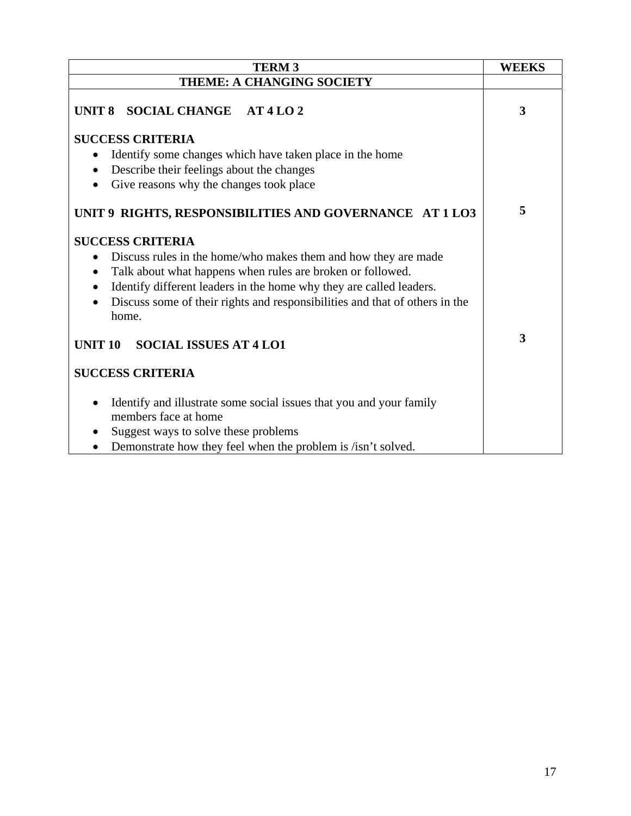| <b>TERM3</b>                                                                                | <b>WEEKS</b>            |
|---------------------------------------------------------------------------------------------|-------------------------|
| THEME: A CHANGING SOCIETY                                                                   |                         |
| UNIT 8 SOCIAL CHANGE AT 4 LO 2                                                              | 3                       |
| <b>SUCCESS CRITERIA</b>                                                                     |                         |
| Identify some changes which have taken place in the home                                    |                         |
| Describe their feelings about the changes<br>$\bullet$                                      |                         |
| Give reasons why the changes took place<br>$\bullet$                                        |                         |
| UNIT 9 RIGHTS, RESPONSIBILITIES AND GOVERNANCE AT 1 LO3                                     | 5                       |
| <b>SUCCESS CRITERIA</b>                                                                     |                         |
| Discuss rules in the home/who makes them and how they are made<br>$\bullet$                 |                         |
| Talk about what happens when rules are broken or followed.<br>$\bullet$                     |                         |
| Identify different leaders in the home why they are called leaders.<br>٠                    |                         |
| Discuss some of their rights and responsibilities and that of others in the<br>home.        |                         |
| <b>UNIT 10</b><br><b>SOCIAL ISSUES AT 4 LO1</b>                                             | $\overline{\mathbf{3}}$ |
| <b>SUCCESS CRITERIA</b>                                                                     |                         |
| Identify and illustrate some social issues that you and your family<br>members face at home |                         |
| Suggest ways to solve these problems                                                        |                         |
| Demonstrate how they feel when the problem is /isn't solved.<br>$\bullet$                   |                         |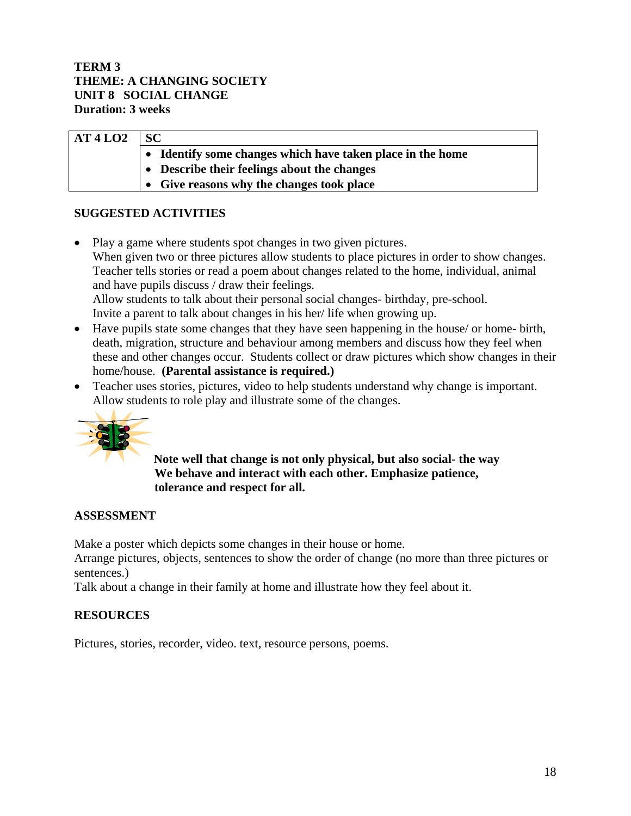### **TERM 3 THEME: A CHANGING SOCIETY UNIT 8 SOCIAL CHANGE Duration: 3 weeks**

| AT4LO2 | <b>SC</b>                                                  |
|--------|------------------------------------------------------------|
|        | • Identify some changes which have taken place in the home |
|        | $\bullet$ Describe their feelings about the changes        |
|        | • Give reasons why the changes took place                  |

# **SUGGESTED ACTIVITIES**

- Play a game where students spot changes in two given pictures. When given two or three pictures allow students to place pictures in order to show changes. Teacher tells stories or read a poem about changes related to the home, individual, animal and have pupils discuss / draw their feelings. Allow students to talk about their personal social changes- birthday, pre-school. Invite a parent to talk about changes in his her/ life when growing up.
- Have pupils state some changes that they have seen happening in the house/ or home- birth, death, migration, structure and behaviour among members and discuss how they feel when these and other changes occur. Students collect or draw pictures which show changes in their home/house. **(Parental assistance is required.)**
- Teacher uses stories, pictures, video to help students understand why change is important. Allow students to role play and illustrate some of the changes.



**Note well that change is not only physical, but also social- the way We behave and interact with each other. Emphasize patience, tolerance and respect for all.** 

# **ASSESSMENT**

Make a poster which depicts some changes in their house or home.

Arrange pictures, objects, sentences to show the order of change (no more than three pictures or sentences.)

Talk about a change in their family at home and illustrate how they feel about it.

# **RESOURCES**

Pictures, stories, recorder, video. text, resource persons, poems.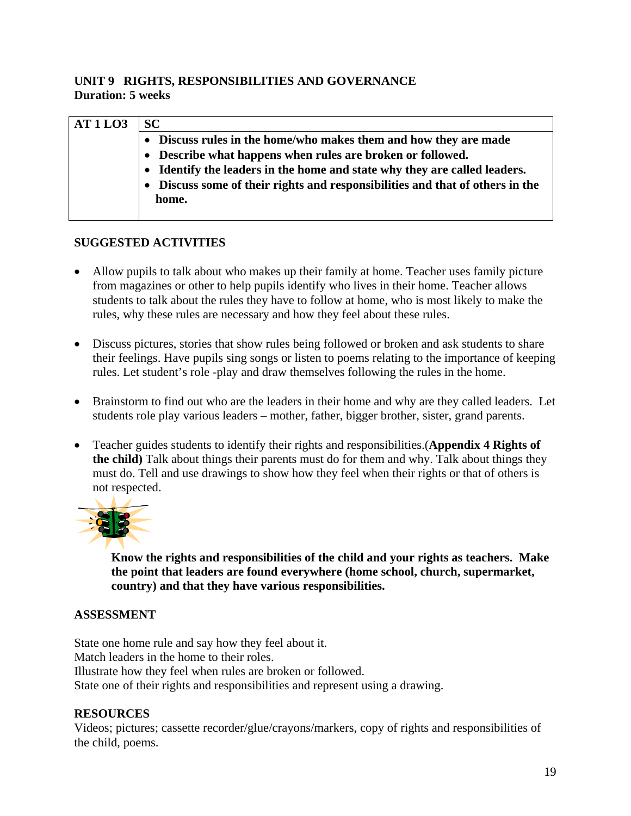# **UNIT 9 RIGHTS, RESPONSIBILITIES AND GOVERNANCE Duration: 5 weeks**

| <b>AT1LO3</b> | <b>SC</b>                                                                     |
|---------------|-------------------------------------------------------------------------------|
|               | • Discuss rules in the home/who makes them and how they are made              |
|               | • Describe what happens when rules are broken or followed.                    |
|               | • Identify the leaders in the home and state why they are called leaders.     |
|               | • Discuss some of their rights and responsibilities and that of others in the |
|               | home.                                                                         |
|               |                                                                               |

# **SUGGESTED ACTIVITIES**

- Allow pupils to talk about who makes up their family at home. Teacher uses family picture from magazines or other to help pupils identify who lives in their home. Teacher allows students to talk about the rules they have to follow at home, who is most likely to make the rules, why these rules are necessary and how they feel about these rules.
- Discuss pictures, stories that show rules being followed or broken and ask students to share their feelings. Have pupils sing songs or listen to poems relating to the importance of keeping rules. Let student's role -play and draw themselves following the rules in the home.
- Brainstorm to find out who are the leaders in their home and why are they called leaders. Let students role play various leaders – mother, father, bigger brother, sister, grand parents.
- Teacher guides students to identify their rights and responsibilities.(**Appendix 4 Rights of the child)** Talk about things their parents must do for them and why. Talk about things they must do. Tell and use drawings to show how they feel when their rights or that of others is not respected.



**Know the rights and responsibilities of the child and your rights as teachers. Make the point that leaders are found everywhere (home school, church, supermarket, country) and that they have various responsibilities.** 

# **ASSESSMENT**

State one home rule and say how they feel about it. Match leaders in the home to their roles. Illustrate how they feel when rules are broken or followed. State one of their rights and responsibilities and represent using a drawing.

# **RESOURCES**

Videos; pictures; cassette recorder/glue/crayons/markers, copy of rights and responsibilities of the child, poems.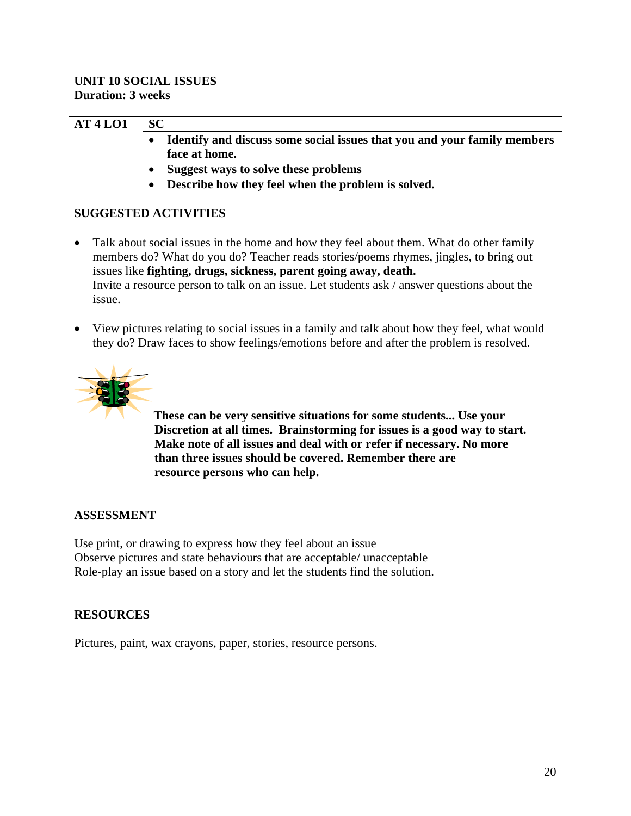| AT4LO1 | <b>SC</b>                                                                |
|--------|--------------------------------------------------------------------------|
|        | Identify and discuss some social issues that you and your family members |
|        | face at home.                                                            |
|        | Suggest ways to solve these problems                                     |
|        | Describe how they feel when the problem is solved.                       |

# **SUGGESTED ACTIVITIES**

- Talk about social issues in the home and how they feel about them. What do other family members do? What do you do? Teacher reads stories/poems rhymes, jingles, to bring out issues like **fighting, drugs, sickness, parent going away, death.**  Invite a resource person to talk on an issue. Let students ask / answer questions about the issue.
- View pictures relating to social issues in a family and talk about how they feel, what would they do? Draw faces to show feelings/emotions before and after the problem is resolved.



**These can be very sensitive situations for some students... Use your Discretion at all times. Brainstorming for issues is a good way to start. Make note of all issues and deal with or refer if necessary. No more than three issues should be covered. Remember there are resource persons who can help.** 

# **ASSESSMENT**

Use print, or drawing to express how they feel about an issue Observe pictures and state behaviours that are acceptable/ unacceptable Role-play an issue based on a story and let the students find the solution.

# **RESOURCES**

Pictures, paint, wax crayons, paper, stories, resource persons.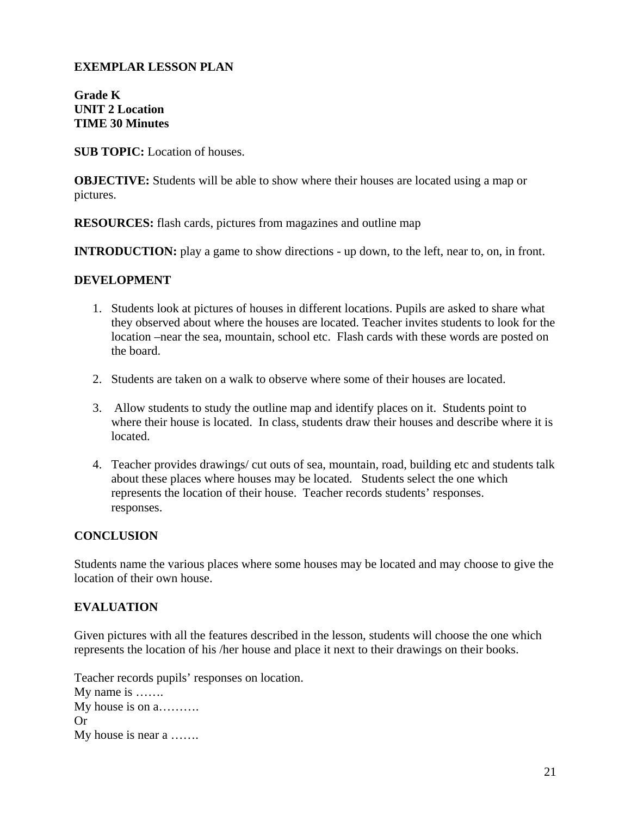#### **EXEMPLAR LESSON PLAN**

**Grade K UNIT 2 Location TIME 30 Minutes** 

**SUB TOPIC:** Location of houses.

**OBJECTIVE:** Students will be able to show where their houses are located using a map or pictures.

**RESOURCES:** flash cards, pictures from magazines and outline map

**INTRODUCTION:** play a game to show directions - up down, to the left, near to, on, in front.

#### **DEVELOPMENT**

- 1. Students look at pictures of houses in different locations. Pupils are asked to share what they observed about where the houses are located. Teacher invites students to look for the location –near the sea, mountain, school etc. Flash cards with these words are posted on the board.
- 2. Students are taken on a walk to observe where some of their houses are located.
- 3. Allow students to study the outline map and identify places on it. Students point to where their house is located. In class, students draw their houses and describe where it is located.
- 4. Teacher provides drawings/ cut outs of sea, mountain, road, building etc and students talk about these places where houses may be located. Students select the one which represents the location of their house. Teacher records students' responses. responses.

#### **CONCLUSION**

Students name the various places where some houses may be located and may choose to give the location of their own house.

#### **EVALUATION**

Given pictures with all the features described in the lesson, students will choose the one which represents the location of his /her house and place it next to their drawings on their books.

Teacher records pupils' responses on location. My name is ……. My house is on a………. Or My house is near a …….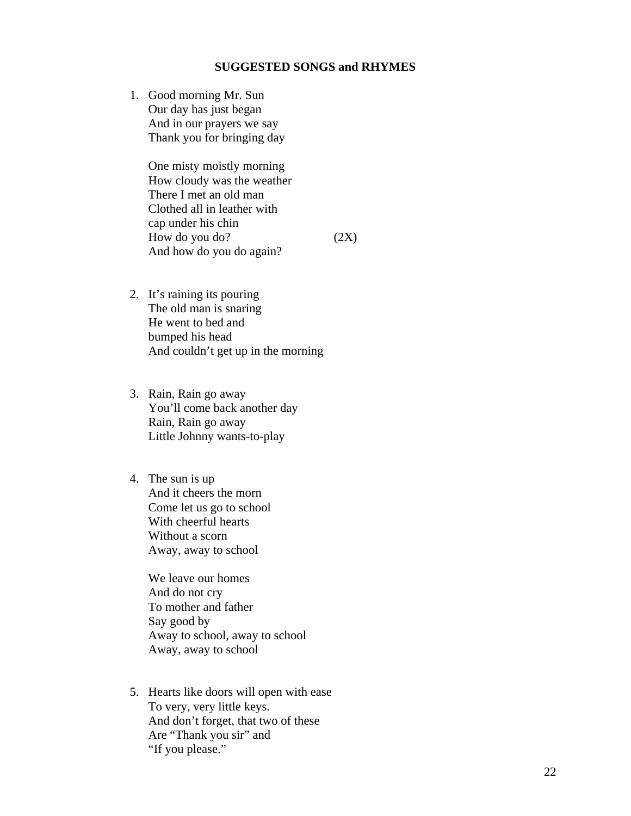#### **SUGGESTED SONGS and RHYMES**

1. Good morning Mr. Sun Our day has just began And in our prayers we say Thank you for bringing day

> One misty moistly morning How cloudy was the weather There I met an old man Clothed all in leather with cap under his chin How do you do?  $(2X)$ And how do you do again?

- 2. It's raining its pouring The old man is snaring He went to bed and bumped his head And couldn't get up in the morning
- 3. Rain, Rain go away You'll come back another day Rain, Rain go away Little Johnny wants-to-play
- 4. The sun is up And it cheers the morn Come let us go to school With cheerful hearts Without a scorn Away, away to school

 We leave our homes And do not cry To mother and father Say good by Away to school, away to school Away, away to school

5. Hearts like doors will open with ease To very, very little keys. And don't forget, that two of these Are "Thank you sir" and "If you please."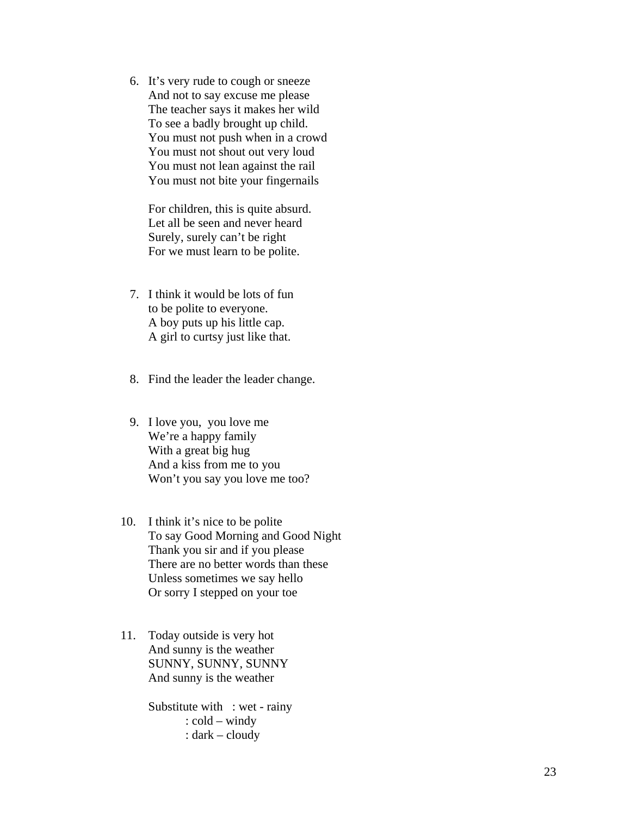6. It's very rude to cough or sneeze And not to say excuse me please The teacher says it makes her wild To see a badly brought up child. You must not push when in a crowd You must not shout out very loud You must not lean against the rail You must not bite your fingernails

For children, this is quite absurd. Let all be seen and never heard Surely, surely can't be right For we must learn to be polite.

- 7. I think it would be lots of fun to be polite to everyone. A boy puts up his little cap. A girl to curtsy just like that.
- 8. Find the leader the leader change.
- 9. I love you, you love me We're a happy family With a great big hug And a kiss from me to you Won't you say you love me too?
- 10. I think it's nice to be polite To say Good Morning and Good Night Thank you sir and if you please There are no better words than these Unless sometimes we say hello Or sorry I stepped on your toe
- 11. Today outside is very hot And sunny is the weather SUNNY, SUNNY, SUNNY And sunny is the weather

 Substitute with : wet - rainy : cold – windy : dark – cloudy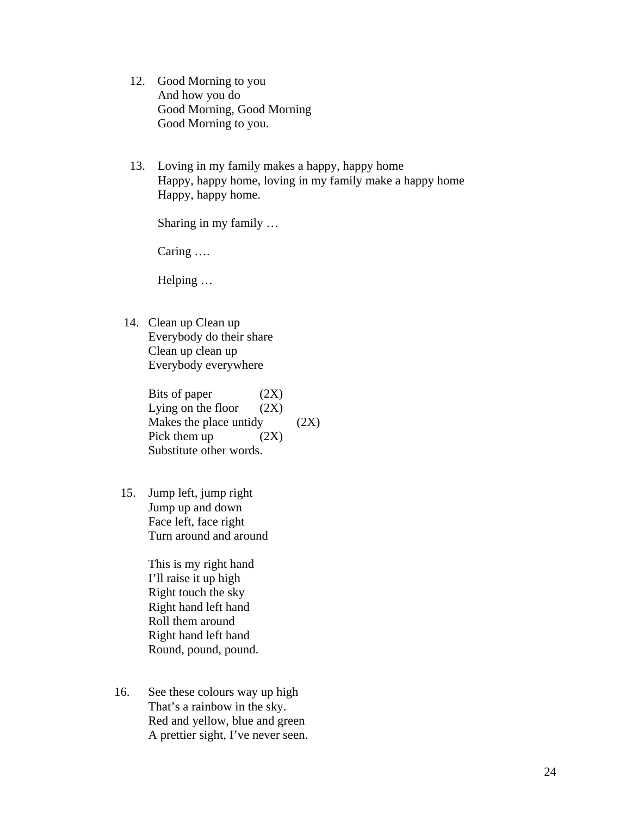- 12. Good Morning to you And how you do Good Morning, Good Morning Good Morning to you.
- 13. Loving in my family makes a happy, happy home Happy, happy home, loving in my family make a happy home Happy, happy home.

Sharing in my family …

Caring ….

Helping …

 14. Clean up Clean up Everybody do their share Clean up clean up Everybody everywhere

> Bits of paper (2X) Lying on the floor  $(2X)$ Makes the place untidy  $(2X)$ Pick them up  $(2X)$ Substitute other words.

 15. Jump left, jump right Jump up and down Face left, face right Turn around and around

> This is my right hand I'll raise it up high Right touch the sky Right hand left hand Roll them around Right hand left hand Round, pound, pound.

 16. See these colours way up high That's a rainbow in the sky. Red and yellow, blue and green A prettier sight, I've never seen.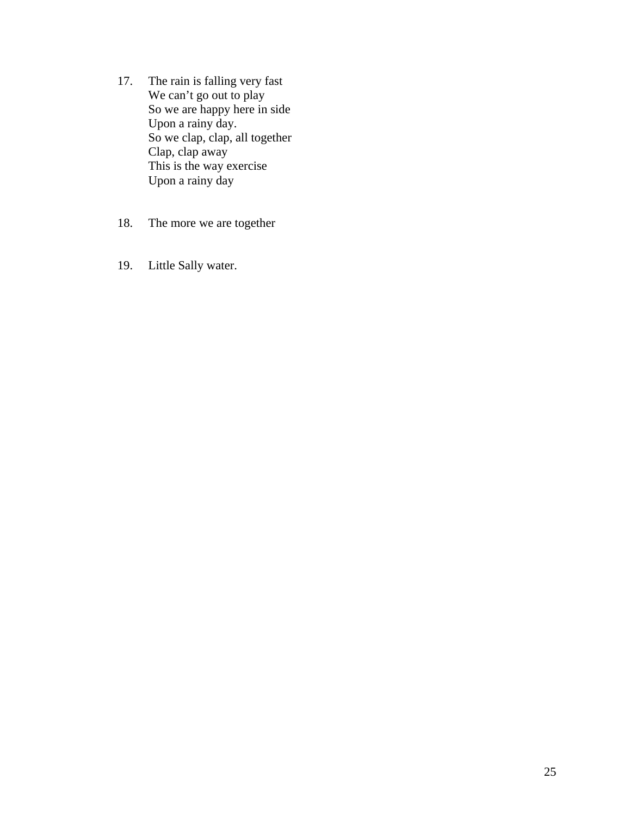- 17. The rain is falling very fast We can't go out to play So we are happy here in side Upon a rainy day. So we clap, clap, all together Clap, clap away This is the way exercise Upon a rainy day
	- 18. The more we are together
	- 19. Little Sally water.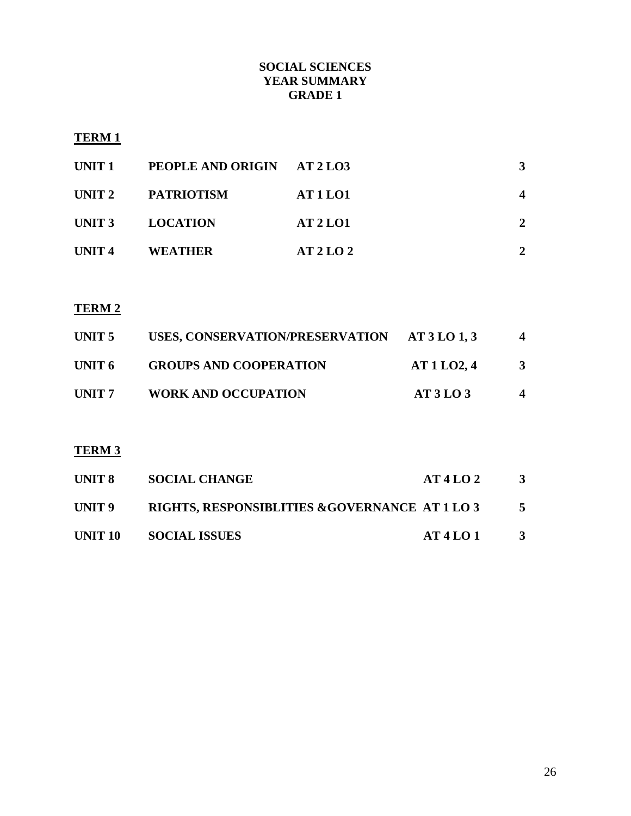## **SOCIAL SCIENCES YEAR SUMMARY GRADE 1**

# **TERM 1**

| UNIT 1            | PEOPLE AND ORIGIN AT 2 LO3 |                 | 3 |
|-------------------|----------------------------|-----------------|---|
|                   | UNIT 2 PATRIOTISM          | <b>AT 1 LO1</b> |   |
|                   | UNIT 3 LOCATION            | <b>AT 2 LO1</b> | 2 |
| UNIT <sub>4</sub> | <b>WEATHER</b>             | AT2LO2          |   |

# **TERM 2**

| UNIT 5            | USES, CONSERVATION/PRESERVATION AT 3 LO 1, 3 |          | 4 |
|-------------------|----------------------------------------------|----------|---|
| UNIT 6            | <b>GROUPS AND COOPERATION</b>                | AT1LO2,4 | 3 |
| UNIT <sub>7</sub> | <b>WORK AND OCCUPATION</b>                   | AT3LO3   | 4 |

# **TERM 3**

| UNIT 8  | <b>SOCIAL CHANGE</b>                           | AT4LO2 | $\mathbf{3}$ |
|---------|------------------------------------------------|--------|--------------|
| UNIT 9  | RIGHTS, RESPONSIBLITIES & GOVERNANCE AT 1 LO 3 |        |              |
| UNIT 10 | <b>SOCIAL ISSUES</b>                           | AT4LO1 | -3           |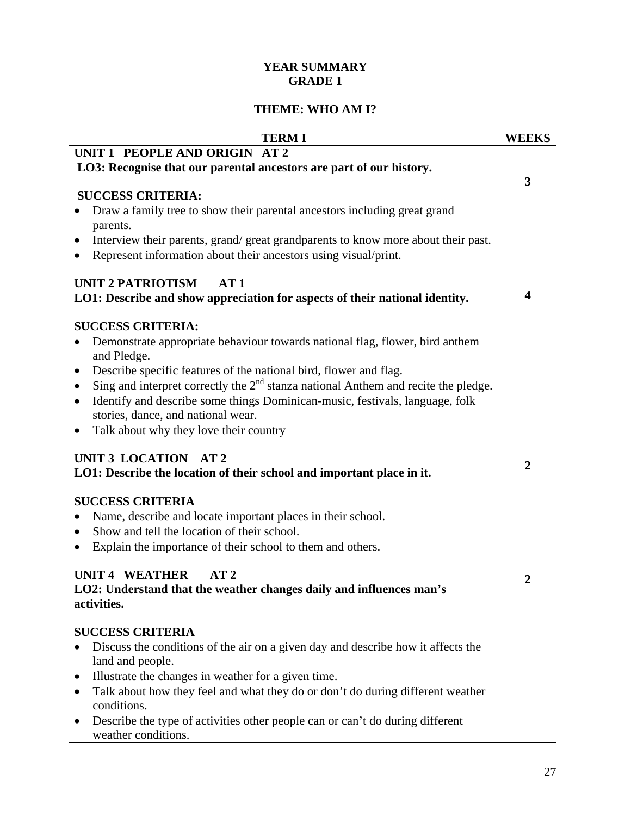# **YEAR SUMMARY GRADE 1**

# **THEME: WHO AM I?**

| <b>TERMI</b>                                                                                              | <b>WEEKS</b>            |
|-----------------------------------------------------------------------------------------------------------|-------------------------|
| UNIT 1 PEOPLE AND ORIGIN AT 2                                                                             |                         |
| LO3: Recognise that our parental ancestors are part of our history.                                       |                         |
|                                                                                                           | 3                       |
| <b>SUCCESS CRITERIA:</b>                                                                                  |                         |
| Draw a family tree to show their parental ancestors including great grand                                 |                         |
| parents.<br>Interview their parents, grand/great grandparents to know more about their past.<br>$\bullet$ |                         |
| Represent information about their ancestors using visual/print.                                           |                         |
|                                                                                                           |                         |
| <b>UNIT 2 PATRIOTISM</b><br>AT1                                                                           |                         |
| LO1: Describe and show appreciation for aspects of their national identity.                               | $\overline{\mathbf{4}}$ |
|                                                                                                           |                         |
| <b>SUCCESS CRITERIA:</b>                                                                                  |                         |
| Demonstrate appropriate behaviour towards national flag, flower, bird anthem                              |                         |
| and Pledge.                                                                                               |                         |
| Describe specific features of the national bird, flower and flag.<br>$\bullet$                            |                         |
| Sing and interpret correctly the $2nd$ stanza national Anthem and recite the pledge.<br>٠                 |                         |
| Identify and describe some things Dominican-music, festivals, language, folk<br>$\bullet$                 |                         |
| stories, dance, and national wear.                                                                        |                         |
| Talk about why they love their country                                                                    |                         |
| UNIT 3 LOCATION AT 2                                                                                      |                         |
| LO1: Describe the location of their school and important place in it.                                     | $\overline{2}$          |
|                                                                                                           |                         |
| <b>SUCCESS CRITERIA</b>                                                                                   |                         |
| Name, describe and locate important places in their school.                                               |                         |
| Show and tell the location of their school.<br>$\bullet$                                                  |                         |
| Explain the importance of their school to them and others.<br>$\bullet$                                   |                         |
|                                                                                                           |                         |
| <b>UNIT 4 WEATHER</b><br>AT <sub>2</sub>                                                                  | 2                       |
| LO2: Understand that the weather changes daily and influences man's                                       |                         |
| activities.                                                                                               |                         |
| <b>SUCCESS CRITERIA</b>                                                                                   |                         |
| Discuss the conditions of the air on a given day and describe how it affects the                          |                         |
| land and people.                                                                                          |                         |
| Illustrate the changes in weather for a given time.<br>$\bullet$                                          |                         |
| Talk about how they feel and what they do or don't do during different weather<br>$\bullet$               |                         |
| conditions.                                                                                               |                         |
| Describe the type of activities other people can or can't do during different<br>$\bullet$                |                         |
| weather conditions.                                                                                       |                         |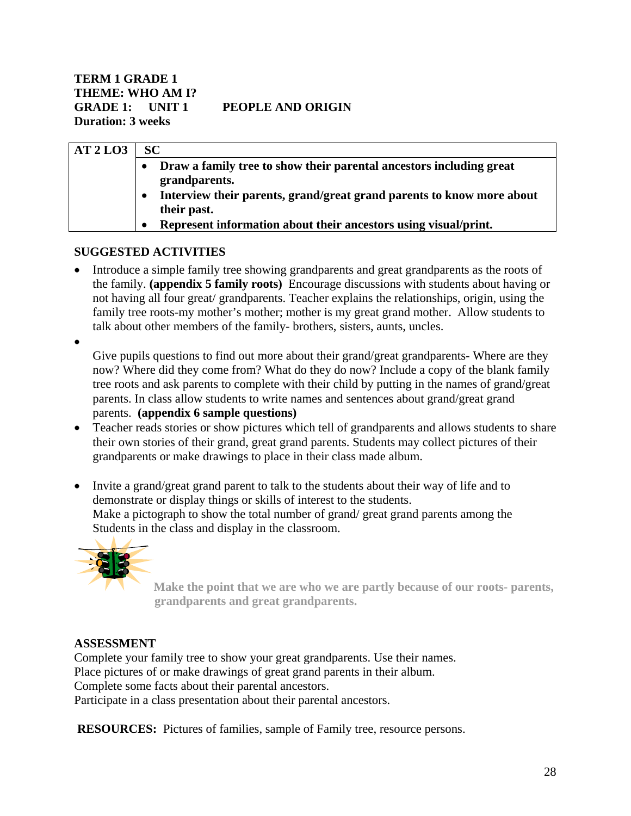| AT2LO3 | <b>SC</b>                                                                        |
|--------|----------------------------------------------------------------------------------|
|        | Draw a family tree to show their parental ancestors including great<br>$\bullet$ |
|        | grandparents.                                                                    |
|        | Interview their parents, grand/great grand parents to know more about            |
|        | their past.                                                                      |
|        | Represent information about their ancestors using visual/print.<br>$\bullet$     |

#### **SUGGESTED ACTIVITIES**

- Introduce a simple family tree showing grandparents and great grandparents as the roots of the family. **(appendix 5 family roots)** Encourage discussions with students about having or not having all four great/ grandparents. Teacher explains the relationships, origin, using the family tree roots-my mother's mother; mother is my great grand mother. Allow students to talk about other members of the family- brothers, sisters, aunts, uncles.
- •

Give pupils questions to find out more about their grand/great grandparents- Where are they now? Where did they come from? What do they do now? Include a copy of the blank family tree roots and ask parents to complete with their child by putting in the names of grand/great parents. In class allow students to write names and sentences about grand/great grand parents. **(appendix 6 sample questions)**

- Teacher reads stories or show pictures which tell of grandparents and allows students to share their own stories of their grand, great grand parents. Students may collect pictures of their grandparents or make drawings to place in their class made album.
- Invite a grand/great grand parent to talk to the students about their way of life and to demonstrate or display things or skills of interest to the students. Make a pictograph to show the total number of grand/ great grand parents among the Students in the class and display in the classroom.



**Make the point that we are who we are partly because of our roots- parents, grandparents and great grandparents.** 

#### **ASSESSMENT**

Complete your family tree to show your great grandparents. Use their names. Place pictures of or make drawings of great grand parents in their album. Complete some facts about their parental ancestors. Participate in a class presentation about their parental ancestors.

**RESOURCES:** Pictures of families, sample of Family tree, resource persons.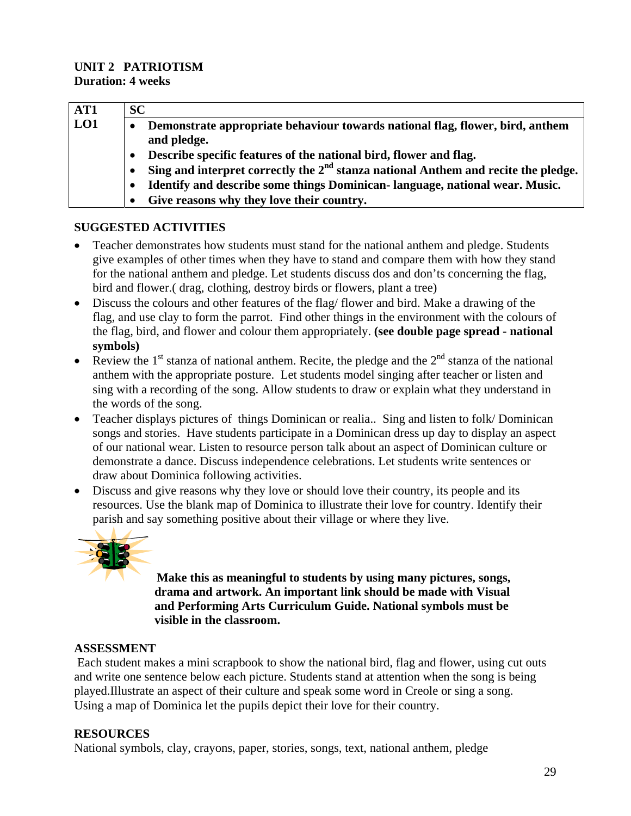#### **UNIT 2 PATRIOTISM Duration: 4 weeks**

| AT1 | <b>SC</b>                                                                                    |
|-----|----------------------------------------------------------------------------------------------|
| LO1 | Demonstrate appropriate behaviour towards national flag, flower, bird, anthem<br>and pledge. |
|     | Describe specific features of the national bird, flower and flag.                            |
|     | Sing and interpret correctly the $2nd$ stanza national Anthem and recite the pledge.         |
|     | Identify and describe some things Dominican-language, national wear. Music.                  |
|     | Give reasons why they love their country.                                                    |

# **SUGGESTED ACTIVITIES**

- Teacher demonstrates how students must stand for the national anthem and pledge. Students give examples of other times when they have to stand and compare them with how they stand for the national anthem and pledge. Let students discuss dos and don'ts concerning the flag, bird and flower.( drag, clothing, destroy birds or flowers, plant a tree)
- Discuss the colours and other features of the flag/ flower and bird. Make a drawing of the flag, and use clay to form the parrot. Find other things in the environment with the colours of the flag, bird, and flower and colour them appropriately. **(see double page spread - national symbols)**
- Review the 1<sup>st</sup> stanza of national anthem. Recite, the pledge and the  $2^{nd}$  stanza of the national anthem with the appropriate posture. Let students model singing after teacher or listen and sing with a recording of the song. Allow students to draw or explain what they understand in the words of the song.
- Teacher displays pictures of things Dominican or realia.. Sing and listen to folk/Dominican songs and stories. Have students participate in a Dominican dress up day to display an aspect of our national wear. Listen to resource person talk about an aspect of Dominican culture or demonstrate a dance. Discuss independence celebrations. Let students write sentences or draw about Dominica following activities.
- Discuss and give reasons why they love or should love their country, its people and its resources. Use the blank map of Dominica to illustrate their love for country. Identify their parish and say something positive about their village or where they live.



 **Make this as meaningful to students by using many pictures, songs, drama and artwork. An important link should be made with Visual and Performing Arts Curriculum Guide. National symbols must be visible in the classroom.** 

#### **ASSESSMENT**

Each student makes a mini scrapbook to show the national bird, flag and flower, using cut outs and write one sentence below each picture. Students stand at attention when the song is being played.Illustrate an aspect of their culture and speak some word in Creole or sing a song. Using a map of Dominica let the pupils depict their love for their country.

# **RESOURCES**

National symbols, clay, crayons, paper, stories, songs, text, national anthem, pledge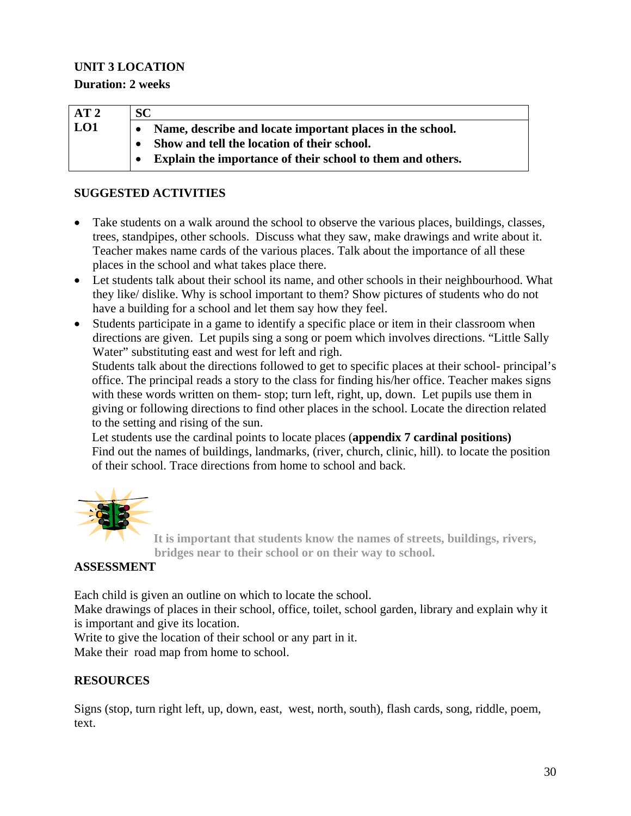# **UNIT 3 LOCATION**

**Duration: 2 weeks** 

| AT2 | <b>SC</b>                                                  |
|-----|------------------------------------------------------------|
| LO1 | Name, describe and locate important places in the school.  |
|     | Show and tell the location of their school.                |
|     | Explain the importance of their school to them and others. |

# **SUGGESTED ACTIVITIES**

- Take students on a walk around the school to observe the various places, buildings, classes, trees, standpipes, other schools. Discuss what they saw, make drawings and write about it. Teacher makes name cards of the various places. Talk about the importance of all these places in the school and what takes place there.
- Let students talk about their school its name, and other schools in their neighbourhood. What they like/ dislike. Why is school important to them? Show pictures of students who do not have a building for a school and let them say how they feel.
- Students participate in a game to identify a specific place or item in their classroom when directions are given. Let pupils sing a song or poem which involves directions. "Little Sally Water" substituting east and west for left and righ.

Students talk about the directions followed to get to specific places at their school- principal's office. The principal reads a story to the class for finding his/her office. Teacher makes signs with these words written on them-stop; turn left, right, up, down. Let pupils use them in giving or following directions to find other places in the school. Locate the direction related to the setting and rising of the sun.

Let students use the cardinal points to locate places (**appendix 7 cardinal positions)** Find out the names of buildings, landmarks, (river, church, clinic, hill). to locate the position of their school. Trace directions from home to school and back.



**It is important that students know the names of streets, buildings, rivers, bridges near to their school or on their way to school.**

# **ASSESSMENT**

Each child is given an outline on which to locate the school.

Make drawings of places in their school, office, toilet, school garden, library and explain why it is important and give its location.

Write to give the location of their school or any part in it.

Make their road map from home to school.

# **RESOURCES**

Signs (stop, turn right left, up, down, east, west, north, south), flash cards, song, riddle, poem, text.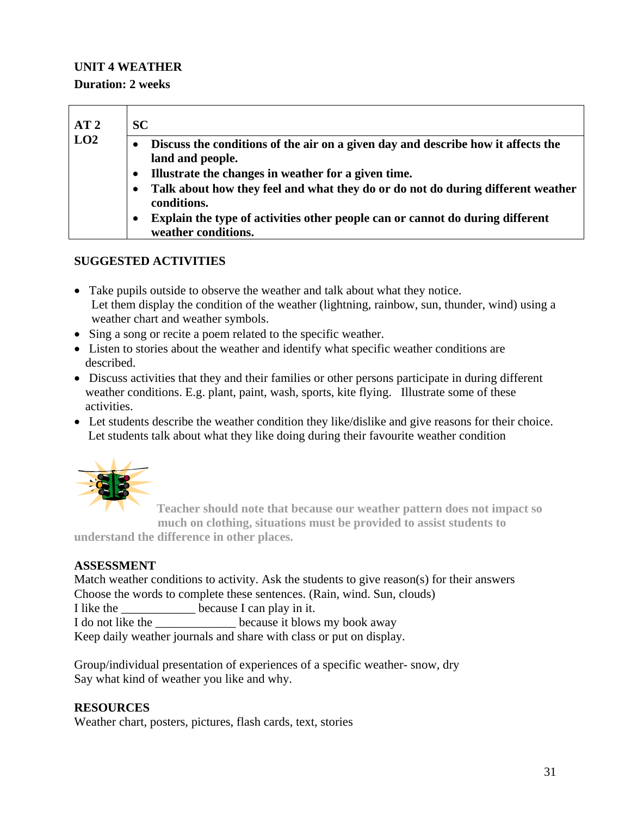# **UNIT 4 WEATHER**

#### **Duration: 2 weeks**

| AT2<br>LO2 | <b>SC</b>                                                                                                                                                                             |  |
|------------|---------------------------------------------------------------------------------------------------------------------------------------------------------------------------------------|--|
|            | Discuss the conditions of the air on a given day and describe how it affects the<br>$\bullet$<br>land and people.<br>Illustrate the changes in weather for a given time.<br>$\bullet$ |  |
|            | Talk about how they feel and what they do or do not do during different weather<br>$\bullet$<br>conditions.                                                                           |  |
|            | Explain the type of activities other people can or cannot do during different<br>$\bullet$<br>weather conditions.                                                                     |  |

# **SUGGESTED ACTIVITIES**

- Take pupils outside to observe the weather and talk about what they notice. Let them display the condition of the weather (lightning, rainbow, sun, thunder, wind) using a weather chart and weather symbols.
- Sing a song or recite a poem related to the specific weather.
- Listen to stories about the weather and identify what specific weather conditions are described.
- Discuss activities that they and their families or other persons participate in during different weather conditions. E.g. plant, paint, wash, sports, kite flying. Illustrate some of these activities.
- Let students describe the weather condition they like/dislike and give reasons for their choice. Let students talk about what they like doing during their favourite weather condition



 **Teacher should note that because our weather pattern does not impact so much on clothing, situations must be provided to assist students to** 

**understand the difference in other places.** 

#### **ASSESSMENT**

Match weather conditions to activity. Ask the students to give reason(s) for their answers Choose the words to complete these sentences. (Rain, wind. Sun, clouds) I like the because I can play in it. I do not like the **Letter** because it blows my book away

Keep daily weather journals and share with class or put on display.

Group/individual presentation of experiences of a specific weather- snow, dry Say what kind of weather you like and why.

# **RESOURCES**

Weather chart, posters, pictures, flash cards, text, stories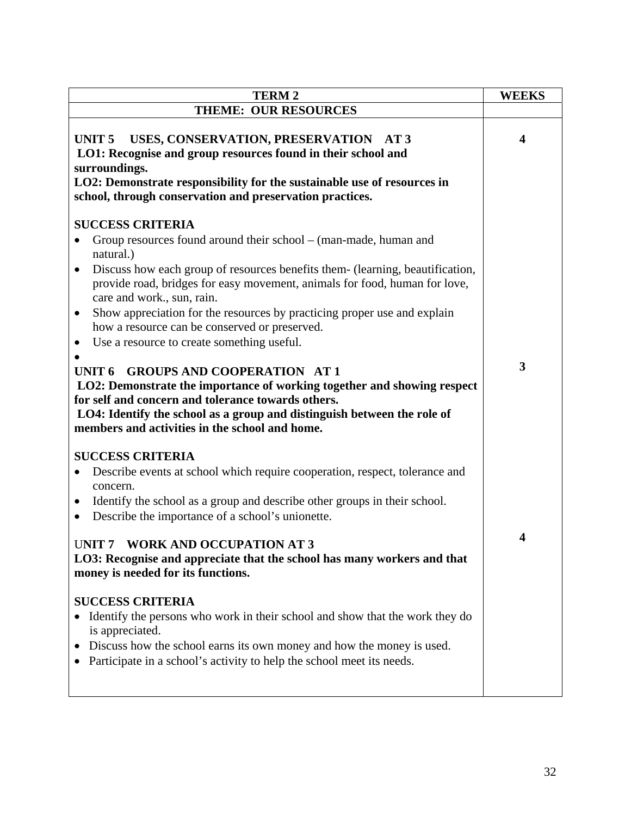| <b>TERM2</b>                                                                                                                                                                                                                                                                                                      | <b>WEEKS</b>            |
|-------------------------------------------------------------------------------------------------------------------------------------------------------------------------------------------------------------------------------------------------------------------------------------------------------------------|-------------------------|
| <b>THEME: OUR RESOURCES</b>                                                                                                                                                                                                                                                                                       |                         |
| USES, CONSERVATION, PRESERVATION AT 3<br>UNIT <sub>5</sub><br>LO1: Recognise and group resources found in their school and<br>surroundings.<br>LO2: Demonstrate responsibility for the sustainable use of resources in<br>school, through conservation and preservation practices.                                | $\overline{\mathbf{4}}$ |
| <b>SUCCESS CRITERIA</b>                                                                                                                                                                                                                                                                                           |                         |
| Group resources found around their school – (man-made, human and<br>natural.)<br>Discuss how each group of resources benefits them- (learning, beautification,<br>$\bullet$<br>provide road, bridges for easy movement, animals for food, human for love,                                                         |                         |
| care and work., sun, rain.<br>Show appreciation for the resources by practicing proper use and explain<br>$\bullet$<br>how a resource can be conserved or preserved.                                                                                                                                              |                         |
| Use a resource to create something useful.<br>$\bullet$                                                                                                                                                                                                                                                           |                         |
| <b>GROUPS AND COOPERATION AT 1</b><br><b>UNIT 6</b><br>LO2: Demonstrate the importance of working together and showing respect<br>for self and concern and tolerance towards others.<br>LO4: Identify the school as a group and distinguish between the role of<br>members and activities in the school and home. | 3                       |
| <b>SUCCESS CRITERIA</b>                                                                                                                                                                                                                                                                                           |                         |
| Describe events at school which require cooperation, respect, tolerance and<br>$\bullet$<br>concern.<br>Identify the school as a group and describe other groups in their school.<br>$\bullet$<br>Describe the importance of a school's unionette.<br>$\bullet$                                                   |                         |
| <b>WORK AND OCCUPATION AT 3</b><br>UNIT <sub>7</sub><br>LO3: Recognise and appreciate that the school has many workers and that<br>money is needed for its functions.                                                                                                                                             | 4                       |
| <b>SUCCESS CRITERIA</b><br>Identify the persons who work in their school and show that the work they do<br>is appreciated.<br>Discuss how the school earns its own money and how the money is used.<br>Participate in a school's activity to help the school meet its needs.                                      |                         |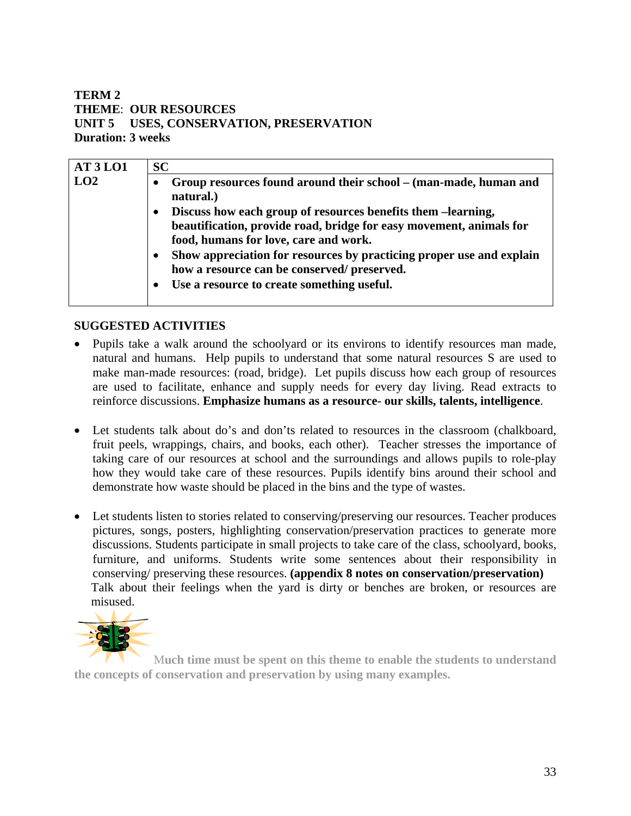# **TERM 2 THEME**: **OUR RESOURCES UNIT 5 USES, CONSERVATION, PRESERVATION Duration: 3 weeks**

| <b>SC</b>                                                                                                                                                                                 |
|-------------------------------------------------------------------------------------------------------------------------------------------------------------------------------------------|
| Group resources found around their school – (man-made, human and<br>natural.)                                                                                                             |
| Discuss how each group of resources benefits them -learning,<br>$\bullet$<br>beautification, provide road, bridge for easy movement, animals for<br>food, humans for love, care and work. |
| Show appreciation for resources by practicing proper use and explain<br>how a resource can be conserved/ preserved.<br>Use a resource to create something useful.<br>$\bullet$            |
|                                                                                                                                                                                           |

# **SUGGESTED ACTIVITIES**

- Pupils take a walk around the schoolyard or its environs to identify resources man made, natural and humans. Help pupils to understand that some natural resources S are used to make man-made resources: (road, bridge). Let pupils discuss how each group of resources are used to facilitate, enhance and supply needs for every day living. Read extracts to reinforce discussions. **Emphasize humans as a resource- our skills, talents, intelligence**.
- Let students talk about do's and don'ts related to resources in the classroom (chalkboard, fruit peels, wrappings, chairs, and books, each other). Teacher stresses the importance of taking care of our resources at school and the surroundings and allows pupils to role-play how they would take care of these resources. Pupils identify bins around their school and demonstrate how waste should be placed in the bins and the type of wastes.
- Let students listen to stories related to conserving/preserving our resources. Teacher produces pictures, songs, posters, highlighting conservation/preservation practices to generate more discussions. Students participate in small projects to take care of the class, schoolyard, books, furniture, and uniforms. Students write some sentences about their responsibility in conserving/ preserving these resources. **(appendix 8 notes on conservation/preservation)** Talk about their feelings when the yard is dirty or benches are broken, or resources are misused.



M**uch time must be spent on this theme to enable the students to understand the concepts of conservation and preservation by using many examples.**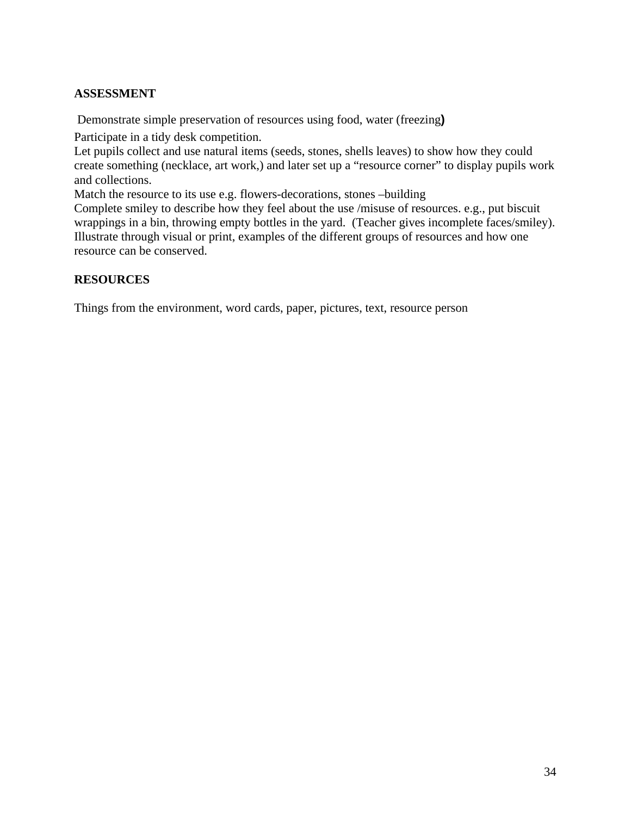# **ASSESSMENT**

Demonstrate simple preservation of resources using food, water (freezing**)** 

Participate in a tidy desk competition.

Let pupils collect and use natural items (seeds, stones, shells leaves) to show how they could create something (necklace, art work,) and later set up a "resource corner" to display pupils work and collections.

Match the resource to its use e.g. flowers-decorations, stones –building

Complete smiley to describe how they feel about the use /misuse of resources. e.g., put biscuit wrappings in a bin, throwing empty bottles in the yard. (Teacher gives incomplete faces/smiley). Illustrate through visual or print, examples of the different groups of resources and how one resource can be conserved.

# **RESOURCES**

Things from the environment, word cards, paper, pictures, text, resource person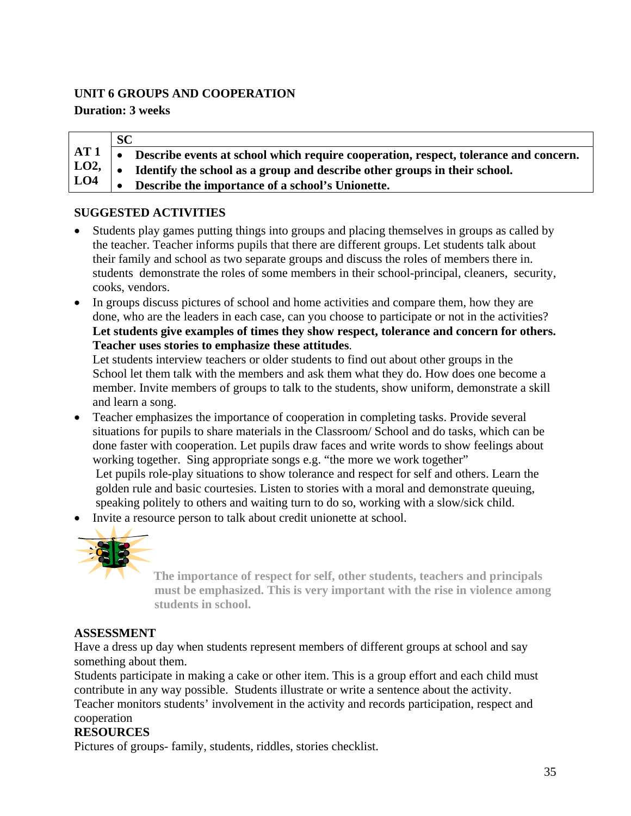# **UNIT 6 GROUPS AND COOPERATION**

# **Duration: 3 weeks**

**AT 1 LO2, LO4 SC**  • **Describe events at school which require cooperation, respect, tolerance and concern.**  • **Identify the school as a group and describe other groups in their school.**  • **Describe the importance of a school's Unionette.**

# **SUGGESTED ACTIVITIES**

- Students play games putting things into groups and placing themselves in groups as called by the teacher. Teacher informs pupils that there are different groups. Let students talk about their family and school as two separate groups and discuss the roles of members there in. students demonstrate the roles of some members in their school-principal, cleaners, security, cooks, vendors.
- In groups discuss pictures of school and home activities and compare them, how they are done, who are the leaders in each case, can you choose to participate or not in the activities? **Let students give examples of times they show respect, tolerance and concern for others. Teacher uses stories to emphasize these attitudes**.

 Let students interview teachers or older students to find out about other groups in the School let them talk with the members and ask them what they do. How does one become a member. Invite members of groups to talk to the students, show uniform, demonstrate a skill and learn a song.

- Teacher emphasizes the importance of cooperation in completing tasks. Provide several situations for pupils to share materials in the Classroom/ School and do tasks, which can be done faster with cooperation. Let pupils draw faces and write words to show feelings about working together. Sing appropriate songs e.g. "the more we work together" Let pupils role-play situations to show tolerance and respect for self and others. Learn the golden rule and basic courtesies. Listen to stories with a moral and demonstrate queuing, speaking politely to others and waiting turn to do so, working with a slow/sick child.
- Invite a resource person to talk about credit unionette at school.



**The importance of respect for self, other students, teachers and principals must be emphasized. This is very important with the rise in violence among students in school.**

# **ASSESSMENT**

Have a dress up day when students represent members of different groups at school and say something about them.

Students participate in making a cake or other item. This is a group effort and each child must contribute in any way possible. Students illustrate or write a sentence about the activity.

Teacher monitors students' involvement in the activity and records participation, respect and cooperation

# **RESOURCES**

Pictures of groups- family, students, riddles, stories checklist.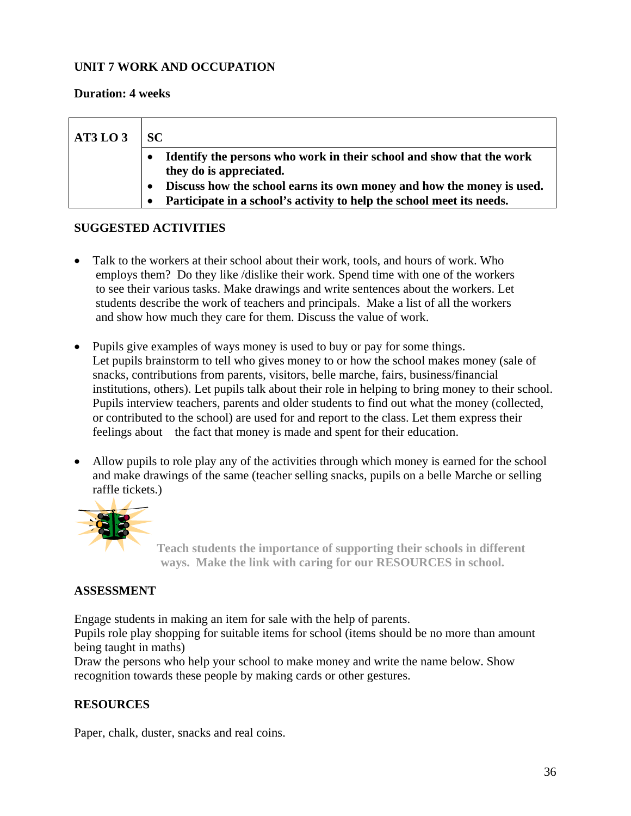## **UNIT 7 WORK AND OCCUPATION**

#### **Duration: 4 weeks**

| AT3LO3 | SC.                                                                                             |
|--------|-------------------------------------------------------------------------------------------------|
|        | Identify the persons who work in their school and show that the work<br>they do is appreciated. |
|        | Discuss how the school earns its own money and how the money is used.                           |
|        | Participate in a school's activity to help the school meet its needs.                           |

#### **SUGGESTED ACTIVITIES**

- Talk to the workers at their school about their work, tools, and hours of work. Who employs them? Do they like /dislike their work. Spend time with one of the workers to see their various tasks. Make drawings and write sentences about the workers. Let students describe the work of teachers and principals. Make a list of all the workers and show how much they care for them. Discuss the value of work.
- Pupils give examples of ways money is used to buy or pay for some things. Let pupils brainstorm to tell who gives money to or how the school makes money (sale of snacks, contributions from parents, visitors, belle marche, fairs, business/financial institutions, others). Let pupils talk about their role in helping to bring money to their school. Pupils interview teachers, parents and older students to find out what the money (collected, or contributed to the school) are used for and report to the class. Let them express their feelings about the fact that money is made and spent for their education.
- Allow pupils to role play any of the activities through which money is earned for the school and make drawings of the same (teacher selling snacks, pupils on a belle Marche or selling raffle tickets.)



**Teach students the importance of supporting their schools in different ways. Make the link with caring for our RESOURCES in school.** 

# **ASSESSMENT**

Engage students in making an item for sale with the help of parents.

Pupils role play shopping for suitable items for school (items should be no more than amount being taught in maths)

Draw the persons who help your school to make money and write the name below. Show recognition towards these people by making cards or other gestures.

# **RESOURCES**

Paper, chalk, duster, snacks and real coins.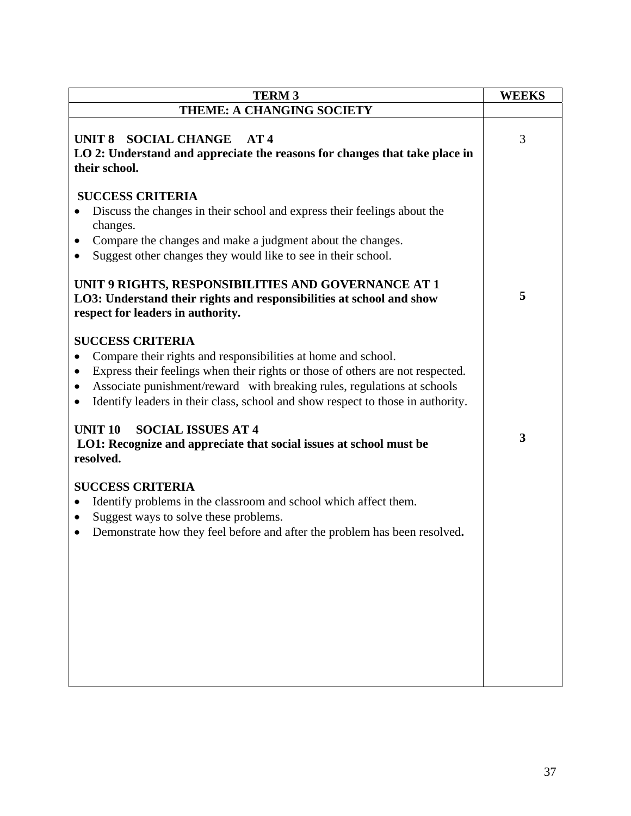| <b>TERM 3</b>                                                                                                                                                                                                                                                                                                                            | <b>WEEKS</b> |
|------------------------------------------------------------------------------------------------------------------------------------------------------------------------------------------------------------------------------------------------------------------------------------------------------------------------------------------|--------------|
| THEME: A CHANGING SOCIETY                                                                                                                                                                                                                                                                                                                |              |
| <b>SOCIAL CHANGE</b><br>UNIT <sub>8</sub><br>AT4<br>LO 2: Understand and appreciate the reasons for changes that take place in<br>their school.                                                                                                                                                                                          | 3            |
| <b>SUCCESS CRITERIA</b><br>Discuss the changes in their school and express their feelings about the<br>changes.<br>Compare the changes and make a judgment about the changes.<br>Suggest other changes they would like to see in their school.                                                                                           |              |
| UNIT 9 RIGHTS, RESPONSIBILITIES AND GOVERNANCE AT 1<br>LO3: Understand their rights and responsibilities at school and show<br>respect for leaders in authority.                                                                                                                                                                         | 5            |
| <b>SUCCESS CRITERIA</b><br>Compare their rights and responsibilities at home and school.<br>Express their feelings when their rights or those of others are not respected.<br>Associate punishment/reward with breaking rules, regulations at schools<br>Identify leaders in their class, school and show respect to those in authority. |              |
| <b>SOCIAL ISSUES AT 4</b><br><b>UNIT 10</b><br>LO1: Recognize and appreciate that social issues at school must be<br>resolved.                                                                                                                                                                                                           | 3            |
| <b>SUCCESS CRITERIA</b><br>Identify problems in the classroom and school which affect them.<br>Suggest ways to solve these problems.<br>$\bullet$<br>Demonstrate how they feel before and after the problem has been resolved.<br>$\bullet$                                                                                              |              |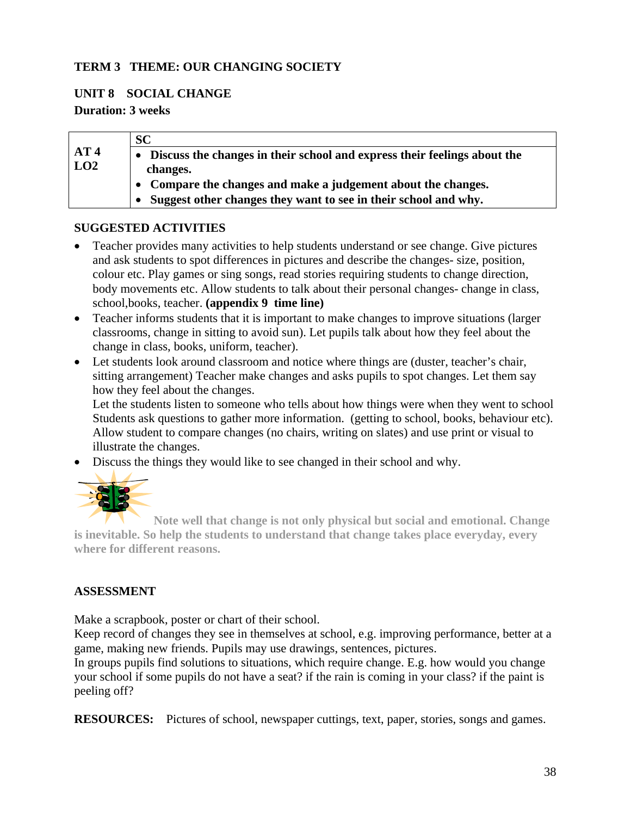#### **TERM 3 THEME: OUR CHANGING SOCIETY**

#### **UNIT 8 SOCIAL CHANGE**

#### **Duration: 3 weeks**

|     | <b>SC</b>                                                                |
|-----|--------------------------------------------------------------------------|
| AT4 | Discuss the changes in their school and express their feelings about the |
| LO2 | changes.                                                                 |
|     | • Compare the changes and make a judgement about the changes.            |
|     | Suggest other changes they want to see in their school and why.          |

#### **SUGGESTED ACTIVITIES**

- Teacher provides many activities to help students understand or see change. Give pictures and ask students to spot differences in pictures and describe the changes- size, position, colour etc. Play games or sing songs, read stories requiring students to change direction, body movements etc. Allow students to talk about their personal changes- change in class, school,books, teacher. **(appendix 9 time line)**
- Teacher informs students that it is important to make changes to improve situations (larger classrooms, change in sitting to avoid sun). Let pupils talk about how they feel about the change in class, books, uniform, teacher).
- Let students look around classroom and notice where things are (duster, teacher's chair, sitting arrangement) Teacher make changes and asks pupils to spot changes. Let them say how they feel about the changes.

 Let the students listen to someone who tells about how things were when they went to school Students ask questions to gather more information. (getting to school, books, behaviour etc). Allow student to compare changes (no chairs, writing on slates) and use print or visual to illustrate the changes.

• Discuss the things they would like to see changed in their school and why.



**Note well that change is not only physical but social and emotional. Change is inevitable. So help the students to understand that change takes place everyday, every where for different reasons.** 

#### **ASSESSMENT**

Make a scrapbook, poster or chart of their school.

Keep record of changes they see in themselves at school, e.g. improving performance, better at a game, making new friends. Pupils may use drawings, sentences, pictures.

In groups pupils find solutions to situations, which require change. E.g. how would you change your school if some pupils do not have a seat? if the rain is coming in your class? if the paint is peeling off?

**RESOURCES:** Pictures of school, newspaper cuttings, text, paper, stories, songs and games.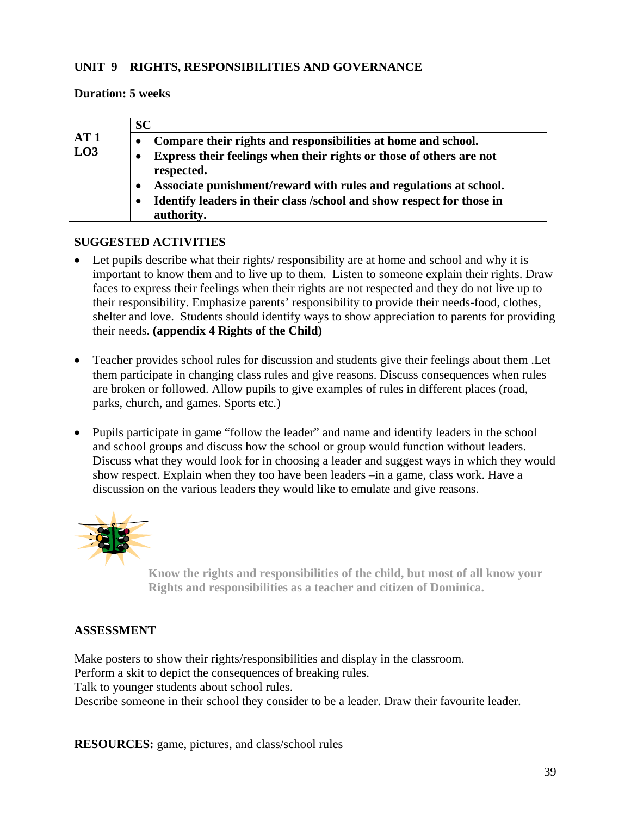#### **UNIT 9 RIGHTS, RESPONSIBILITIES AND GOVERNANCE**

#### **Duration: 5 weeks**

|     | <b>SC</b>                                                                           |
|-----|-------------------------------------------------------------------------------------|
| AT1 | Compare their rights and responsibilities at home and school.                       |
| LO3 | Express their feelings when their rights or those of others are not<br>respected.   |
|     | Associate punishment/reward with rules and regulations at school.                   |
|     | Identify leaders in their class /school and show respect for those in<br>authority. |

#### **SUGGESTED ACTIVITIES**

- Let pupils describe what their rights/ responsibility are at home and school and why it is important to know them and to live up to them. Listen to someone explain their rights. Draw faces to express their feelings when their rights are not respected and they do not live up to their responsibility. Emphasize parents' responsibility to provide their needs-food, clothes, shelter and love. Students should identify ways to show appreciation to parents for providing their needs. **(appendix 4 Rights of the Child)**
- Teacher provides school rules for discussion and students give their feelings about them . Let them participate in changing class rules and give reasons. Discuss consequences when rules are broken or followed. Allow pupils to give examples of rules in different places (road, parks, church, and games. Sports etc.)
- Pupils participate in game "follow the leader" and name and identify leaders in the school and school groups and discuss how the school or group would function without leaders. Discuss what they would look for in choosing a leader and suggest ways in which they would show respect. Explain when they too have been leaders –in a game, class work. Have a discussion on the various leaders they would like to emulate and give reasons.



**Know the rights and responsibilities of the child, but most of all know your Rights and responsibilities as a teacher and citizen of Dominica.**

#### **ASSESSMENT**

Make posters to show their rights/responsibilities and display in the classroom. Perform a skit to depict the consequences of breaking rules. Talk to younger students about school rules. Describe someone in their school they consider to be a leader. Draw their favourite leader.

**RESOURCES:** game, pictures, and class/school rules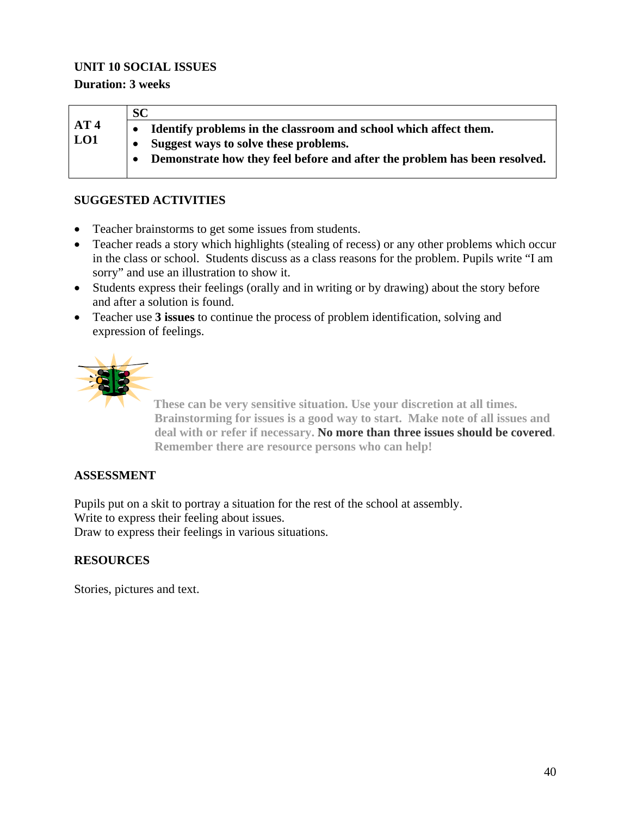#### **UNIT 10 SOCIAL ISSUES**

#### **Duration: 3 weeks**

|                 | <b>SC</b>                                                                 |
|-----------------|---------------------------------------------------------------------------|
| AT <sub>4</sub> | Identify problems in the classroom and school which affect them.          |
| LO1             | Suggest ways to solve these problems.                                     |
|                 | Demonstrate how they feel before and after the problem has been resolved. |
|                 |                                                                           |

#### **SUGGESTED ACTIVITIES**

- Teacher brainstorms to get some issues from students.
- Teacher reads a story which highlights (stealing of recess) or any other problems which occur in the class or school. Students discuss as a class reasons for the problem. Pupils write "I am sorry" and use an illustration to show it.
- Students express their feelings (orally and in writing or by drawing) about the story before and after a solution is found.
- Teacher use **3 issues** to continue the process of problem identification, solving and expression of feelings.



**These can be very sensitive situation. Use your discretion at all times. Brainstorming for issues is a good way to start. Make note of all issues and deal with or refer if necessary. No more than three issues should be covered. Remember there are resource persons who can help!** 

#### **ASSESSMENT**

Pupils put on a skit to portray a situation for the rest of the school at assembly. Write to express their feeling about issues. Draw to express their feelings in various situations.

#### **RESOURCES**

Stories, pictures and text.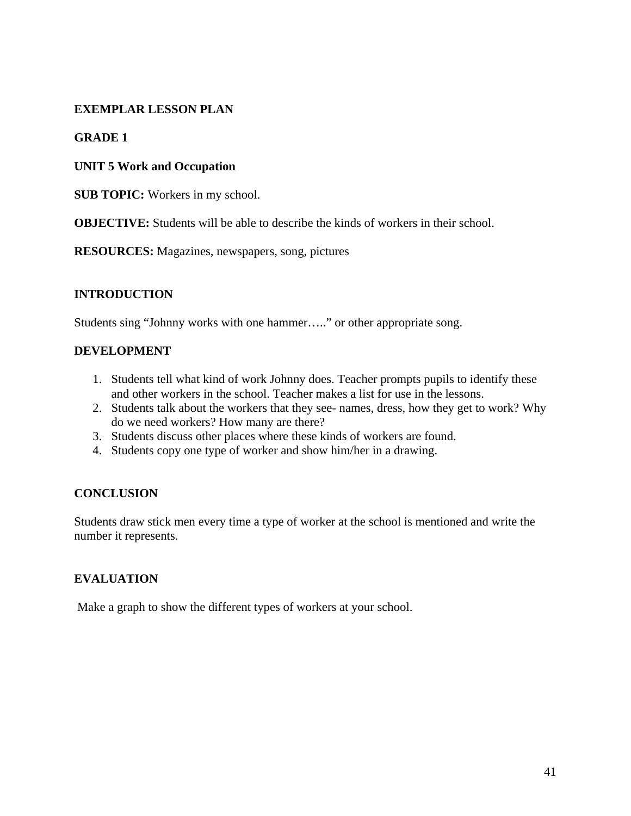#### **EXEMPLAR LESSON PLAN**

#### **GRADE 1**

#### **UNIT 5 Work and Occupation**

**SUB TOPIC:** Workers in my school.

**OBJECTIVE:** Students will be able to describe the kinds of workers in their school.

**RESOURCES:** Magazines, newspapers, song, pictures

#### **INTRODUCTION**

Students sing "Johnny works with one hammer….." or other appropriate song.

#### **DEVELOPMENT**

- 1. Students tell what kind of work Johnny does. Teacher prompts pupils to identify these and other workers in the school. Teacher makes a list for use in the lessons.
- 2. Students talk about the workers that they see- names, dress, how they get to work? Why do we need workers? How many are there?
- 3. Students discuss other places where these kinds of workers are found.
- 4. Students copy one type of worker and show him/her in a drawing.

#### **CONCLUSION**

Students draw stick men every time a type of worker at the school is mentioned and write the number it represents.

#### **EVALUATION**

Make a graph to show the different types of workers at your school.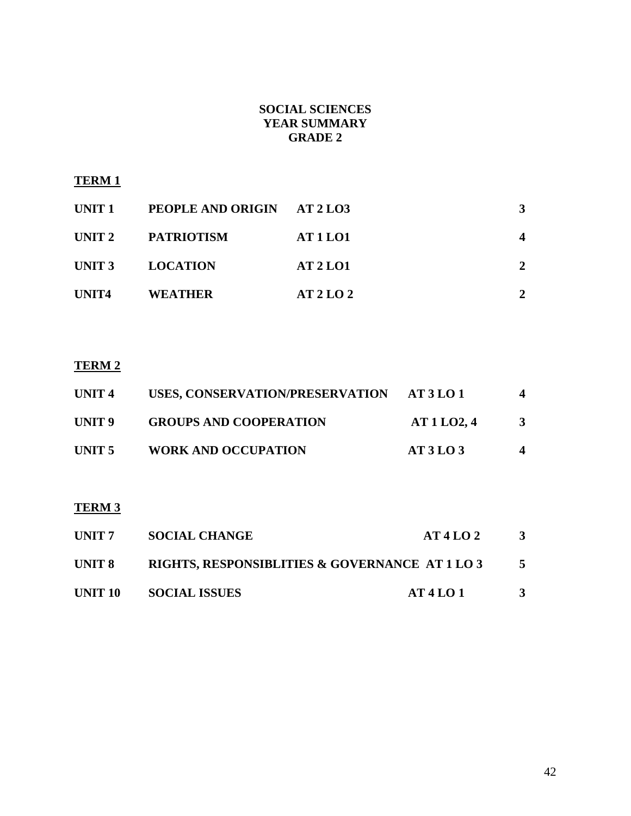#### **SOCIAL SCIENCES YEAR SUMMARY GRADE 2**

#### **TERM 1**

| UNIT 1 | PEOPLE AND ORIGIN AT 2 LO3 |                 | 3              |
|--------|----------------------------|-----------------|----------------|
| UNIT 2 | PATRIOTISM                 | <b>AT 1 LO1</b> |                |
| UNIT 3 | <b>LOCATION</b>            | <b>AT 2 LO1</b> | $\overline{2}$ |
| UNIT4  | WEATHER                    | AT2LO2          |                |

### **TERM 2**

| UNIT <sub>4</sub> | USES, CONSERVATION/PRESERVATION AT 3 LO 1 |          | $\overline{\mathbf{4}}$ |
|-------------------|-------------------------------------------|----------|-------------------------|
| UNIT 9            | <b>GROUPS AND COOPERATION</b>             | AT1LO2,4 | 3                       |
| UNIT 5            | <b>WORK AND OCCUPATION</b>                | AT3LO3   | 4                       |

## **TERM 3**

| UNIT 7  | <b>SOCIAL CHANGE</b>                           | AT4LO2 | 3 |
|---------|------------------------------------------------|--------|---|
| UNIT 8  | RIGHTS, RESPONSIBLITIES & GOVERNANCE AT 1 LO 3 |        |   |
| UNIT 10 | <b>SOCIAL ISSUES</b>                           | AT4LO1 | 3 |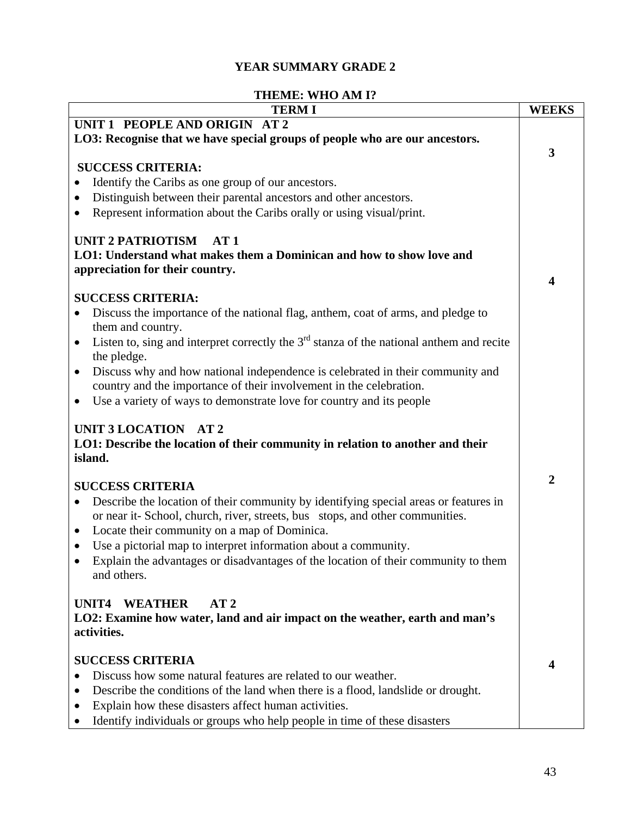### **YEAR SUMMARY GRADE 2**

### **THEME: WHO AM I?**

| <b>TERMI</b>                                                                                                                                                                       | <b>WEEKS</b>   |
|------------------------------------------------------------------------------------------------------------------------------------------------------------------------------------|----------------|
| UNIT 1 PEOPLE AND ORIGIN AT 2                                                                                                                                                      |                |
| LO3: Recognise that we have special groups of people who are our ancestors.                                                                                                        |                |
|                                                                                                                                                                                    | 3              |
| <b>SUCCESS CRITERIA:</b>                                                                                                                                                           |                |
| Identify the Caribs as one group of our ancestors.                                                                                                                                 |                |
| Distinguish between their parental ancestors and other ancestors.                                                                                                                  |                |
| Represent information about the Caribs orally or using visual/print.                                                                                                               |                |
| <b>UNIT 2 PATRIOTISM</b><br>AT1                                                                                                                                                    |                |
| LO1: Understand what makes them a Dominican and how to show love and                                                                                                               |                |
| appreciation for their country.                                                                                                                                                    |                |
|                                                                                                                                                                                    | 4              |
| <b>SUCCESS CRITERIA:</b>                                                                                                                                                           |                |
| Discuss the importance of the national flag, anthem, coat of arms, and pledge to<br>٠<br>them and country.                                                                         |                |
| Listen to, sing and interpret correctly the $3rd$ stanza of the national anthem and recite<br>$\bullet$                                                                            |                |
| the pledge.                                                                                                                                                                        |                |
| Discuss why and how national independence is celebrated in their community and<br>٠                                                                                                |                |
| country and the importance of their involvement in the celebration.                                                                                                                |                |
| Use a variety of ways to demonstrate love for country and its people<br>$\bullet$                                                                                                  |                |
| UNIT 3 LOCATION AT 2<br>LO1: Describe the location of their community in relation to another and their<br>island.                                                                  | $\overline{2}$ |
| <b>SUCCESS CRITERIA</b>                                                                                                                                                            |                |
| Describe the location of their community by identifying special areas or features in<br>$\bullet$<br>or near it- School, church, river, streets, bus stops, and other communities. |                |
| Locate their community on a map of Dominica.<br>$\bullet$                                                                                                                          |                |
| Use a pictorial map to interpret information about a community.<br>$\bullet$                                                                                                       |                |
| Explain the advantages or disadvantages of the location of their community to them<br>and others.                                                                                  |                |
| <b>WEATHER</b><br>AT2<br>UNIT4<br>LO2: Examine how water, land and air impact on the weather, earth and man's<br>activities.                                                       |                |
| <b>SUCCESS CRITERIA</b>                                                                                                                                                            |                |
| Discuss how some natural features are related to our weather.                                                                                                                      | 4              |
| Describe the conditions of the land when there is a flood, landslide or drought.<br>$\bullet$                                                                                      |                |
| Explain how these disasters affect human activities.                                                                                                                               |                |
| Identify individuals or groups who help people in time of these disasters<br>٠                                                                                                     |                |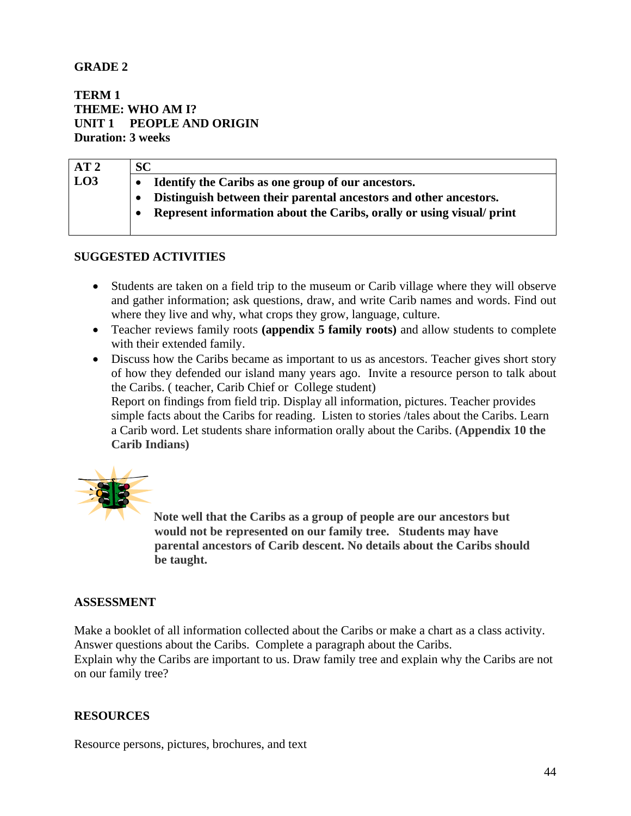#### **GRADE 2**

**TERM 1 THEME: WHO AM I? UNIT 1 PEOPLE AND ORIGIN Duration: 3 weeks** 

| AT2             | SC                                                                    |
|-----------------|-----------------------------------------------------------------------|
| L <sub>03</sub> | Identify the Caribs as one group of our ancestors.                    |
|                 | Distinguish between their parental ancestors and other ancestors.     |
|                 | Represent information about the Caribs, orally or using visual/ print |
|                 |                                                                       |

#### **SUGGESTED ACTIVITIES**

- Students are taken on a field trip to the museum or Carib village where they will observe and gather information; ask questions, draw, and write Carib names and words. Find out where they live and why, what crops they grow, language, culture.
- Teacher reviews family roots **(appendix 5 family roots)** and allow students to complete with their extended family.
- Discuss how the Caribs became as important to us as ancestors. Teacher gives short story of how they defended our island many years ago. Invite a resource person to talk about the Caribs. ( teacher, Carib Chief or College student) Report on findings from field trip. Display all information, pictures. Teacher provides simple facts about the Caribs for reading. Listen to stories /tales about the Caribs. Learn a Carib word. Let students share information orally about the Caribs. **(Appendix 10 the Carib Indians)**



**Note well that the Caribs as a group of people are our ancestors but would not be represented on our family tree. Students may have parental ancestors of Carib descent. No details about the Caribs should be taught.** 

#### **ASSESSMENT**

Make a booklet of all information collected about the Caribs or make a chart as a class activity. Answer questions about the Caribs. Complete a paragraph about the Caribs. Explain why the Caribs are important to us. Draw family tree and explain why the Caribs are not

on our family tree?

#### **RESOURCES**

Resource persons, pictures, brochures, and text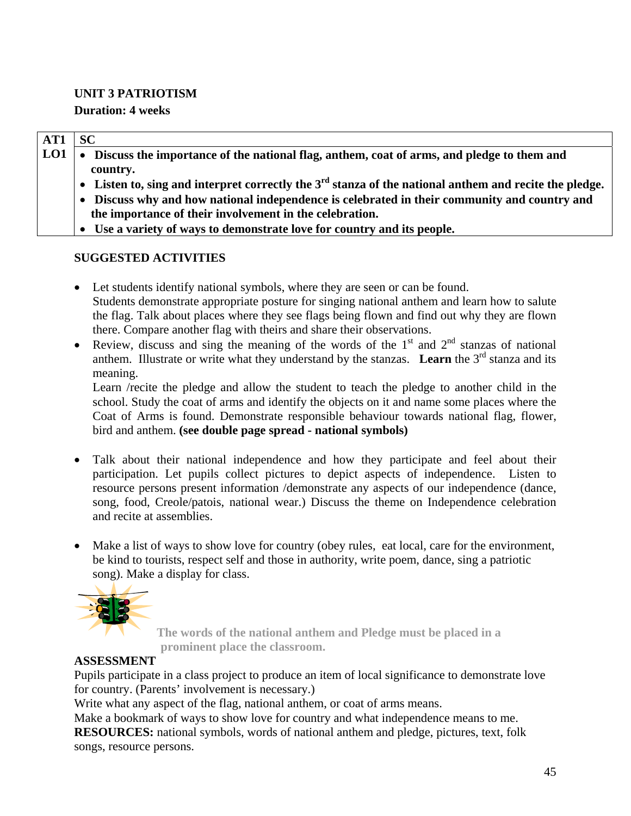#### **UNIT 3 PATRIOTISM**

### **Duration: 4 weeks**

| AT1 | <b>SC</b>                                                                                                |
|-----|----------------------------------------------------------------------------------------------------------|
| LO1 | • Discuss the importance of the national flag, anthem, coat of arms, and pledge to them and              |
|     | country.                                                                                                 |
|     | • Listen to, sing and interpret correctly the $3rd$ stanza of the national anthem and recite the pledge. |
|     | • Discuss why and how national independence is celebrated in their community and country and             |
|     | the importance of their involvement in the celebration.                                                  |
|     | • Use a variety of ways to demonstrate love for country and its people.                                  |

### **SUGGESTED ACTIVITIES**

- Let students identify national symbols, where they are seen or can be found. Students demonstrate appropriate posture for singing national anthem and learn how to salute the flag. Talk about places where they see flags being flown and find out why they are flown there. Compare another flag with theirs and share their observations.
- Review, discuss and sing the meaning of the words of the  $1<sup>st</sup>$  and  $2<sup>nd</sup>$  stanzas of national anthem. Illustrate or write what they understand by the stanzas. **Learn** the  $3<sup>rd</sup>$  stanza and its meaning.

Learn /recite the pledge and allow the student to teach the pledge to another child in the school. Study the coat of arms and identify the objects on it and name some places where the Coat of Arms is found. Demonstrate responsible behaviour towards national flag, flower, bird and anthem. **(see double page spread - national symbols)**

- Talk about their national independence and how they participate and feel about their participation. Let pupils collect pictures to depict aspects of independence. Listen to resource persons present information /demonstrate any aspects of our independence (dance, song, food, Creole/patois, national wear.) Discuss the theme on Independence celebration and recite at assemblies.
- Make a list of ways to show love for country (obey rules, eat local, care for the environment, be kind to tourists, respect self and those in authority, write poem, dance, sing a patriotic song). Make a display for class.



 **The words of the national anthem and Pledge must be placed in a prominent place the classroom.** 

### **ASSESSMENT**

Pupils participate in a class project to produce an item of local significance to demonstrate love for country. (Parents' involvement is necessary.)

Write what any aspect of the flag, national anthem, or coat of arms means.

Make a bookmark of ways to show love for country and what independence means to me. **RESOURCES:** national symbols, words of national anthem and pledge, pictures, text, folk songs, resource persons.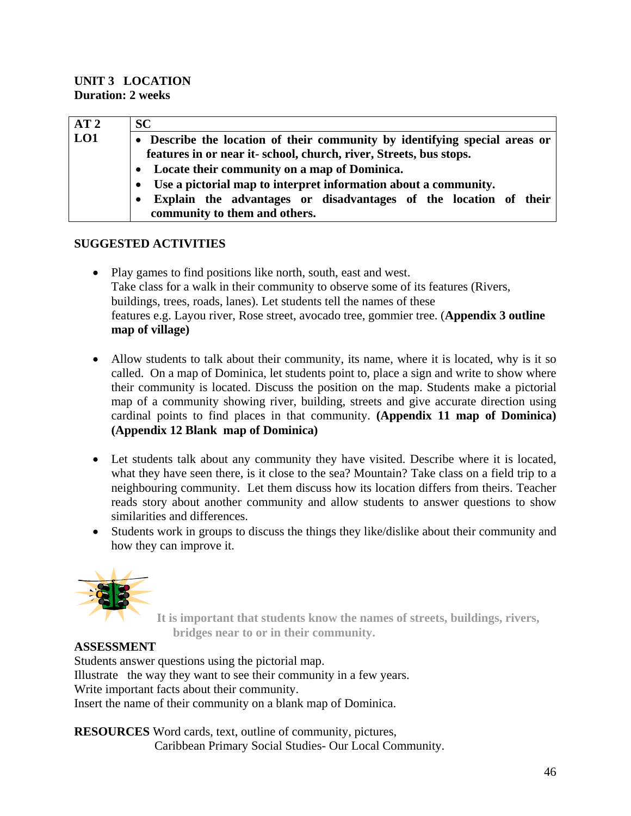#### **UNIT 3 LOCATION Duration: 2 weeks**

| AT2 | <b>SC</b>                                                                |
|-----|--------------------------------------------------------------------------|
| LO1 | Describe the location of their community by identifying special areas or |
|     | features in or near it-school, church, river, Streets, bus stops.        |
|     | • Locate their community on a map of Dominica.                           |
|     | Use a pictorial map to interpret information about a community.          |
|     | Explain the advantages or disadvantages of the location of their         |
|     | community to them and others.                                            |

#### **SUGGESTED ACTIVITIES**

- Play games to find positions like north, south, east and west. Take class for a walk in their community to observe some of its features (Rivers, buildings, trees, roads, lanes). Let students tell the names of these features e.g. Layou river, Rose street, avocado tree, gommier tree. (**Appendix 3 outline map of village)**
- Allow students to talk about their community, its name, where it is located, why is it so called. On a map of Dominica, let students point to, place a sign and write to show where their community is located. Discuss the position on the map. Students make a pictorial map of a community showing river, building, streets and give accurate direction using cardinal points to find places in that community. **(Appendix 11 map of Dominica) (Appendix 12 Blank map of Dominica)**
- Let students talk about any community they have visited. Describe where it is located, what they have seen there, is it close to the sea? Mountain? Take class on a field trip to a neighbouring community. Let them discuss how its location differs from theirs. Teacher reads story about another community and allow students to answer questions to show similarities and differences.
- Students work in groups to discuss the things they like/dislike about their community and how they can improve it.



 **It is important that students know the names of streets, buildings, rivers, bridges near to or in their community.**

### **ASSESSMENT**

Students answer questions using the pictorial map. Illustrate the way they want to see their community in a few years. Write important facts about their community. Insert the name of their community on a blank map of Dominica.

**RESOURCES** Word cards, text, outline of community, pictures, Caribbean Primary Social Studies- Our Local Community.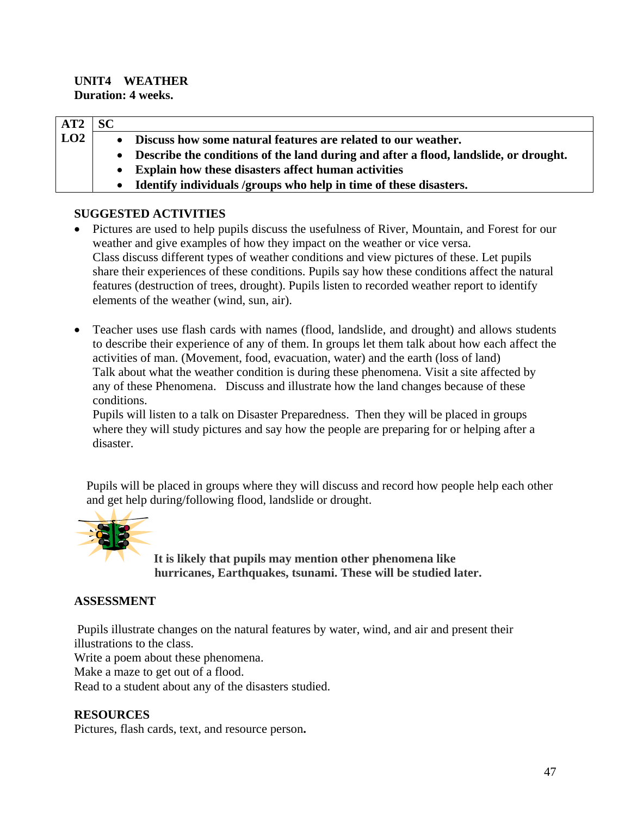#### **UNIT4 WEATHER Duration: 4 weeks.**

| AT2 | <b>SC</b> |                                                                                        |
|-----|-----------|----------------------------------------------------------------------------------------|
| LO2 |           | • Discuss how some natural features are related to our weather.                        |
|     |           | • Describe the conditions of the land during and after a flood, landslide, or drought. |
|     |           | <b>Explain how these disasters affect human activities</b>                             |
|     |           | Identify individuals /groups who help in time of these disasters.                      |

#### **SUGGESTED ACTIVITIES**

- Pictures are used to help pupils discuss the usefulness of River, Mountain, and Forest for our weather and give examples of how they impact on the weather or vice versa. Class discuss different types of weather conditions and view pictures of these. Let pupils share their experiences of these conditions. Pupils say how these conditions affect the natural features (destruction of trees, drought). Pupils listen to recorded weather report to identify elements of the weather (wind, sun, air).
- Teacher uses use flash cards with names (flood, landslide, and drought) and allows students to describe their experience of any of them. In groups let them talk about how each affect the activities of man. (Movement, food, evacuation, water) and the earth (loss of land) Talk about what the weather condition is during these phenomena. Visit a site affected by any of these Phenomena. Discuss and illustrate how the land changes because of these conditions.

 Pupils will listen to a talk on Disaster Preparedness. Then they will be placed in groups where they will study pictures and say how the people are preparing for or helping after a disaster.

 Pupils will be placed in groups where they will discuss and record how people help each other and get help during/following flood, landslide or drought.



**It is likely that pupils may mention other phenomena like hurricanes, Earthquakes, tsunami. These will be studied later.** 

#### **ASSESSMENT**

 Pupils illustrate changes on the natural features by water, wind, and air and present their illustrations to the class.

Write a poem about these phenomena.

Make a maze to get out of a flood.

Read to a student about any of the disasters studied.

#### **RESOURCES**

Pictures, flash cards, text, and resource person**.**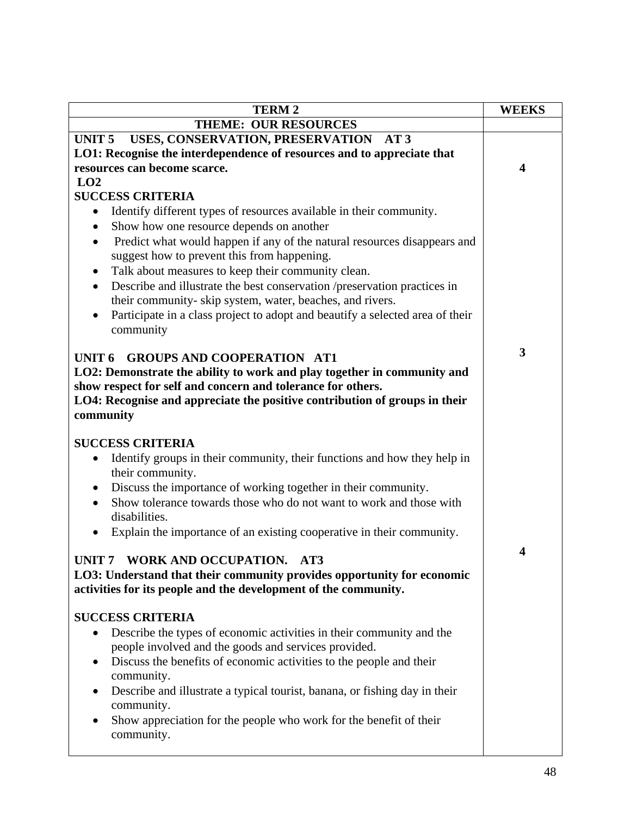| <b>TERM2</b>                                                                                                                                                                                                                                                                                                                                                                                                                                                                                                                                                                                                                       | <b>WEEKS</b> |
|------------------------------------------------------------------------------------------------------------------------------------------------------------------------------------------------------------------------------------------------------------------------------------------------------------------------------------------------------------------------------------------------------------------------------------------------------------------------------------------------------------------------------------------------------------------------------------------------------------------------------------|--------------|
| <b>THEME: OUR RESOURCES</b>                                                                                                                                                                                                                                                                                                                                                                                                                                                                                                                                                                                                        |              |
| USES, CONSERVATION, PRESERVATION AT 3<br>UNIT <sub>5</sub>                                                                                                                                                                                                                                                                                                                                                                                                                                                                                                                                                                         |              |
| LO1: Recognise the interdependence of resources and to appreciate that                                                                                                                                                                                                                                                                                                                                                                                                                                                                                                                                                             |              |
| resources can become scarce.                                                                                                                                                                                                                                                                                                                                                                                                                                                                                                                                                                                                       | 4            |
| LO2                                                                                                                                                                                                                                                                                                                                                                                                                                                                                                                                                                                                                                |              |
| <b>SUCCESS CRITERIA</b><br>Identify different types of resources available in their community.<br>$\bullet$<br>Show how one resource depends on another<br>$\bullet$<br>Predict what would happen if any of the natural resources disappears and<br>$\bullet$<br>suggest how to prevent this from happening.<br>Talk about measures to keep their community clean.<br>$\bullet$<br>Describe and illustrate the best conservation /preservation practices in<br>$\bullet$<br>their community-skip system, water, beaches, and rivers.<br>Participate in a class project to adopt and beautify a selected area of their<br>community |              |
| <b>GROUPS AND COOPERATION AT1</b><br>UNIT <sub>6</sub><br>LO2: Demonstrate the ability to work and play together in community and<br>show respect for self and concern and tolerance for others.<br>LO4: Recognise and appreciate the positive contribution of groups in their<br>community                                                                                                                                                                                                                                                                                                                                        | 3            |
| <b>SUCCESS CRITERIA</b><br>Identify groups in their community, their functions and how they help in<br>their community.<br>Discuss the importance of working together in their community.<br>$\bullet$<br>Show tolerance towards those who do not want to work and those with<br>disabilities.<br>Explain the importance of an existing cooperative in their community.<br>$\bullet$                                                                                                                                                                                                                                               |              |
| UNIT 7 WORK AND OCCUPATION. AT3<br>LO3: Understand that their community provides opportunity for economic<br>activities for its people and the development of the community.                                                                                                                                                                                                                                                                                                                                                                                                                                                       | 4            |
| <b>SUCCESS CRITERIA</b><br>Describe the types of economic activities in their community and the<br>people involved and the goods and services provided.<br>Discuss the benefits of economic activities to the people and their<br>$\bullet$<br>community.<br>Describe and illustrate a typical tourist, banana, or fishing day in their<br>$\bullet$<br>community.<br>Show appreciation for the people who work for the benefit of their<br>community.                                                                                                                                                                             |              |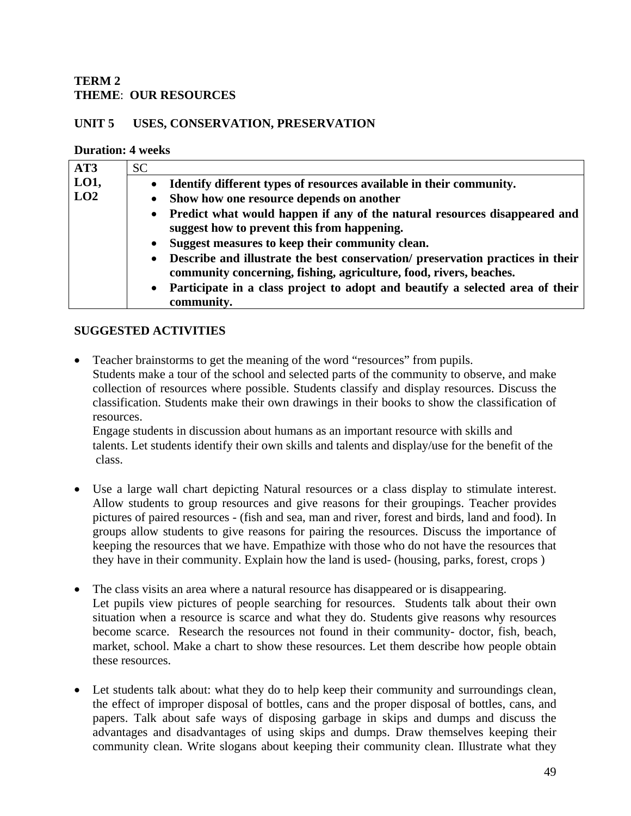#### **TERM 2 THEME**: **OUR RESOURCES**

#### **UNIT 5 USES, CONSERVATION, PRESERVATION**

#### **Duration: 4 weeks**

| AT3  | <b>SC</b>                                                                                                                                            |
|------|------------------------------------------------------------------------------------------------------------------------------------------------------|
| LO1, | Identify different types of resources available in their community.                                                                                  |
| LO2  | Show how one resource depends on another<br>$\bullet$                                                                                                |
|      | Predict what would happen if any of the natural resources disappeared and<br>suggest how to prevent this from happening.                             |
|      | Suggest measures to keep their community clean.<br>$\bullet$                                                                                         |
|      | Describe and illustrate the best conservation/ preservation practices in their<br>community concerning, fishing, agriculture, food, rivers, beaches. |
|      | Participate in a class project to adopt and beautify a selected area of their<br>$\bullet$                                                           |
|      | community.                                                                                                                                           |

#### **SUGGESTED ACTIVITIES**

• Teacher brainstorms to get the meaning of the word "resources" from pupils. Students make a tour of the school and selected parts of the community to observe, and make collection of resources where possible. Students classify and display resources. Discuss the classification. Students make their own drawings in their books to show the classification of resources.

Engage students in discussion about humans as an important resource with skills and talents. Let students identify their own skills and talents and display/use for the benefit of the class.

- Use a large wall chart depicting Natural resources or a class display to stimulate interest. Allow students to group resources and give reasons for their groupings. Teacher provides pictures of paired resources - (fish and sea, man and river, forest and birds, land and food). In groups allow students to give reasons for pairing the resources. Discuss the importance of keeping the resources that we have. Empathize with those who do not have the resources that they have in their community. Explain how the land is used- (housing, parks, forest, crops )
- The class visits an area where a natural resource has disappeared or is disappearing. Let pupils view pictures of people searching for resources. Students talk about their own situation when a resource is scarce and what they do. Students give reasons why resources become scarce. Research the resources not found in their community- doctor, fish, beach, market, school. Make a chart to show these resources. Let them describe how people obtain these resources.
- Let students talk about: what they do to help keep their community and surroundings clean, the effect of improper disposal of bottles, cans and the proper disposal of bottles, cans, and papers. Talk about safe ways of disposing garbage in skips and dumps and discuss the advantages and disadvantages of using skips and dumps. Draw themselves keeping their community clean. Write slogans about keeping their community clean. Illustrate what they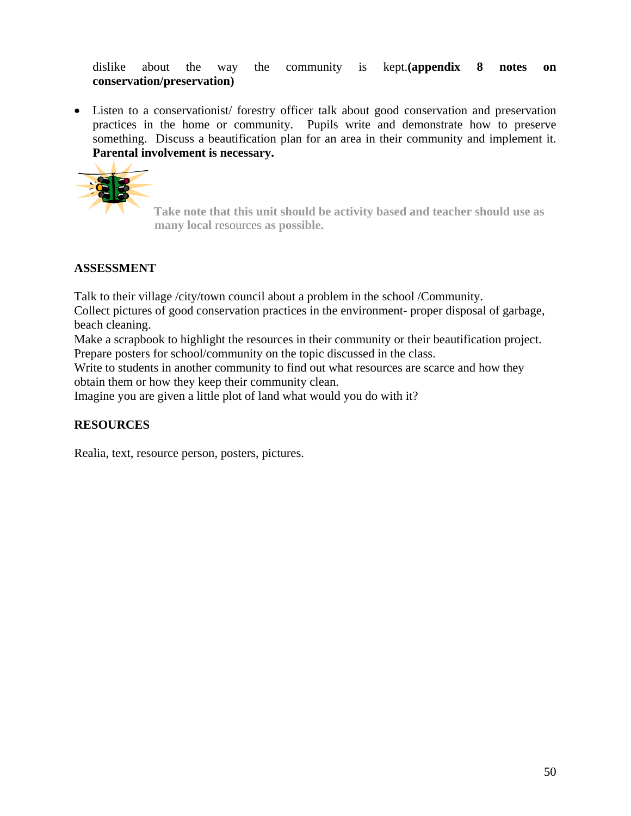dislike about the way the community is kept.**(appendix 8 notes on conservation/preservation)**

• Listen to a conservationist/ forestry officer talk about good conservation and preservation practices in the home or community. Pupils write and demonstrate how to preserve something. Discuss a beautification plan for an area in their community and implement it. **Parental involvement is necessary.**



**Take note that this unit should be activity based and teacher should use as many local** resources **as possible.** 

#### **ASSESSMENT**

Talk to their village /city/town council about a problem in the school /Community.

Collect pictures of good conservation practices in the environment- proper disposal of garbage, beach cleaning.

Make a scrapbook to highlight the resources in their community or their beautification project. Prepare posters for school/community on the topic discussed in the class.

Write to students in another community to find out what resources are scarce and how they obtain them or how they keep their community clean.

Imagine you are given a little plot of land what would you do with it?

### **RESOURCES**

Realia, text, resource person, posters, pictures.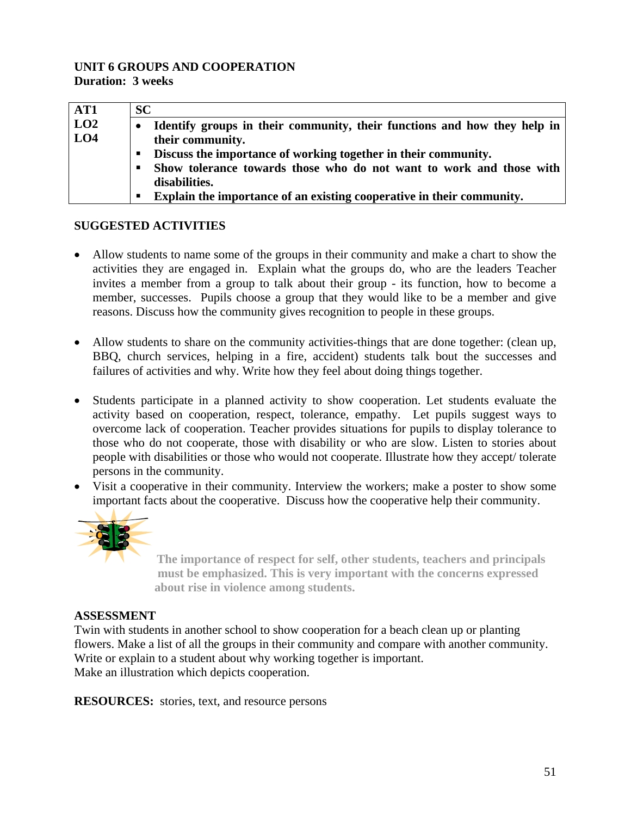#### **UNIT 6 GROUPS AND COOPERATION Duration: 3 weeks**

| AT1             | SC        |                                                                          |
|-----------------|-----------|--------------------------------------------------------------------------|
| LO <sub>2</sub> | $\bullet$ | Identify groups in their community, their functions and how they help in |
| LO4             |           | their community.                                                         |
|                 | п         | Discuss the importance of working together in their community.           |
|                 | п         | Show tolerance towards those who do not want to work and those with      |
|                 |           | disabilities.                                                            |
|                 | п         | Explain the importance of an existing cooperative in their community.    |

#### **SUGGESTED ACTIVITIES**

- Allow students to name some of the groups in their community and make a chart to show the activities they are engaged in. Explain what the groups do, who are the leaders Teacher invites a member from a group to talk about their group - its function, how to become a member, successes. Pupils choose a group that they would like to be a member and give reasons. Discuss how the community gives recognition to people in these groups.
- Allow students to share on the community activities-things that are done together: (clean up, BBQ, church services, helping in a fire, accident) students talk bout the successes and failures of activities and why. Write how they feel about doing things together.
- Students participate in a planned activity to show cooperation. Let students evaluate the activity based on cooperation, respect, tolerance, empathy. Let pupils suggest ways to overcome lack of cooperation. Teacher provides situations for pupils to display tolerance to those who do not cooperate, those with disability or who are slow. Listen to stories about people with disabilities or those who would not cooperate. Illustrate how they accept/ tolerate persons in the community.
- Visit a cooperative in their community. Interview the workers; make a poster to show some important facts about the cooperative. Discuss how the cooperative help their community.



 **The importance of respect for self, other students, teachers and principals must be emphasized. This is very important with the concerns expressed about rise in violence among students.** 

#### **ASSESSMENT**

Twin with students in another school to show cooperation for a beach clean up or planting flowers. Make a list of all the groups in their community and compare with another community. Write or explain to a student about why working together is important. Make an illustration which depicts cooperation.

**RESOURCES:** stories, text, and resource persons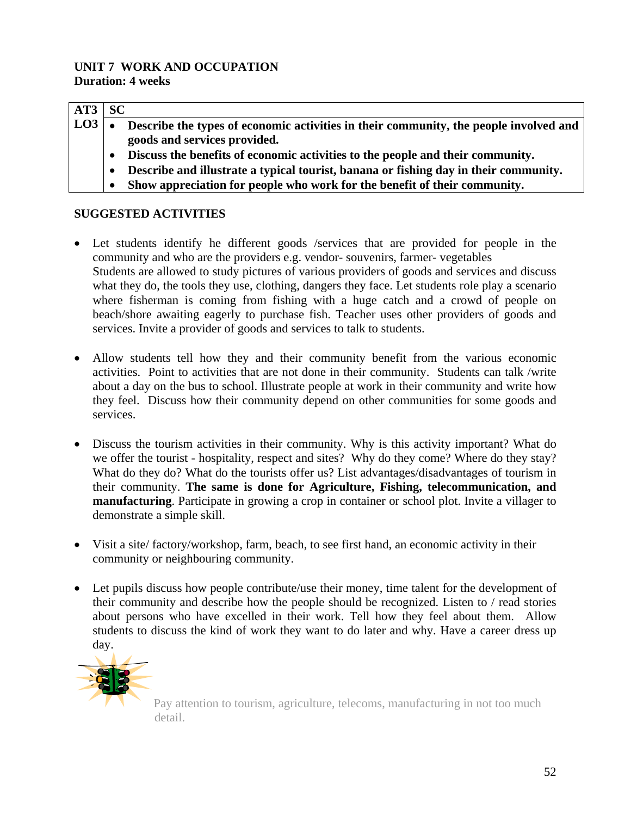#### **UNIT 7 WORK AND OCCUPATION Duration: 4 weeks**

| AT3           | <b>SC</b> |                                                                                       |
|---------------|-----------|---------------------------------------------------------------------------------------|
| $\lfloor$ LO3 | $\bullet$ | Describe the types of economic activities in their community, the people involved and |
|               |           | goods and services provided.                                                          |
|               |           | Discuss the benefits of economic activities to the people and their community.        |
|               | $\bullet$ | Describe and illustrate a typical tourist, banana or fishing day in their community.  |
|               |           | Show appreciation for people who work for the benefit of their community.             |

#### **SUGGESTED ACTIVITIES**

- Let students identify he different goods /services that are provided for people in the community and who are the providers e.g. vendor- souvenirs, farmer- vegetables Students are allowed to study pictures of various providers of goods and services and discuss what they do, the tools they use, clothing, dangers they face. Let students role play a scenario where fisherman is coming from fishing with a huge catch and a crowd of people on beach/shore awaiting eagerly to purchase fish. Teacher uses other providers of goods and services. Invite a provider of goods and services to talk to students.
- Allow students tell how they and their community benefit from the various economic activities. Point to activities that are not done in their community. Students can talk /write about a day on the bus to school. Illustrate people at work in their community and write how they feel. Discuss how their community depend on other communities for some goods and services.
- Discuss the tourism activities in their community. Why is this activity important? What do we offer the tourist - hospitality, respect and sites? Why do they come? Where do they stay? What do they do? What do the tourists offer us? List advantages/disadvantages of tourism in their community. **The same is done for Agriculture, Fishing, telecommunication, and manufacturing**. Participate in growing a crop in container or school plot. Invite a villager to demonstrate a simple skill.
- Visit a site/ factory/workshop, farm, beach, to see first hand, an economic activity in their community or neighbouring community.
- Let pupils discuss how people contribute/use their money, time talent for the development of their community and describe how the people should be recognized. Listen to / read stories about persons who have excelled in their work. Tell how they feel about them. Allow students to discuss the kind of work they want to do later and why. Have a career dress up day.



Pay attention to tourism, agriculture, telecoms, manufacturing in not too much detail.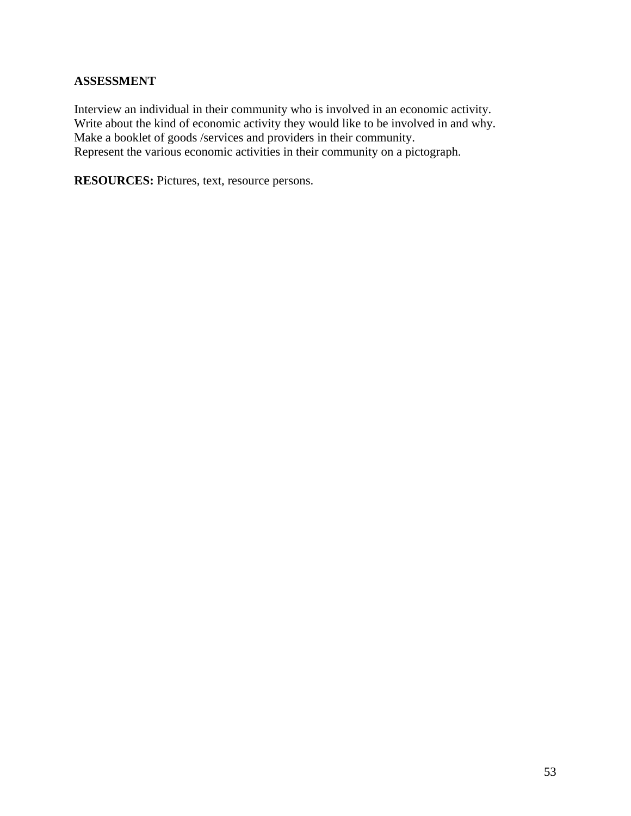#### **ASSESSMENT**

Interview an individual in their community who is involved in an economic activity. Write about the kind of economic activity they would like to be involved in and why. Make a booklet of goods /services and providers in their community. Represent the various economic activities in their community on a pictograph.

**RESOURCES:** Pictures, text, resource persons.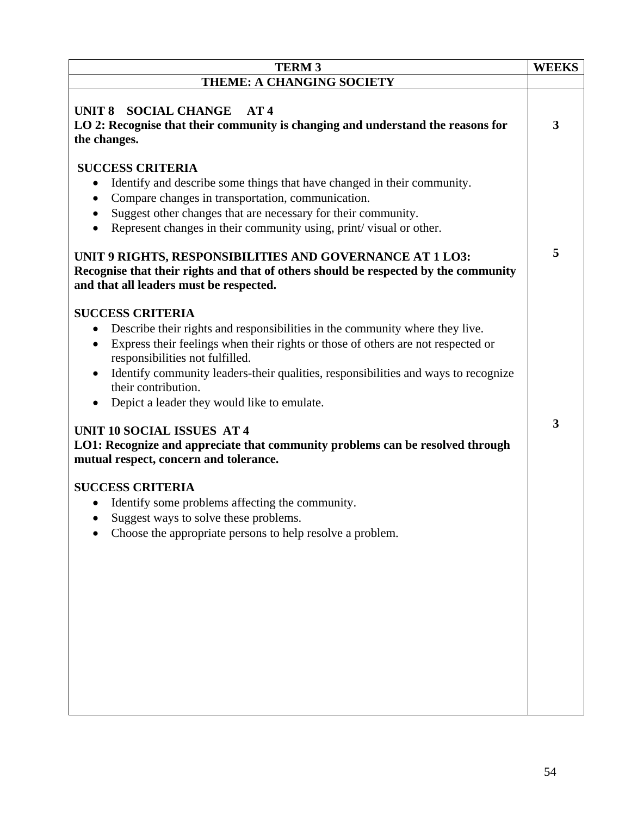| <b>TERM 3</b>                                                                                                                                                                                                                                                                                                                                                                                                                                                                                                                                                                        | <b>WEEKS</b> |
|--------------------------------------------------------------------------------------------------------------------------------------------------------------------------------------------------------------------------------------------------------------------------------------------------------------------------------------------------------------------------------------------------------------------------------------------------------------------------------------------------------------------------------------------------------------------------------------|--------------|
| <b>THEME: A CHANGING SOCIETY</b>                                                                                                                                                                                                                                                                                                                                                                                                                                                                                                                                                     |              |
| UNIT 8 SOCIAL CHANGE<br>AT4<br>LO 2: Recognise that their community is changing and understand the reasons for<br>the changes.                                                                                                                                                                                                                                                                                                                                                                                                                                                       | 3            |
| <b>SUCCESS CRITERIA</b><br>Identify and describe some things that have changed in their community.<br>$\bullet$<br>Compare changes in transportation, communication.<br>$\bullet$<br>Suggest other changes that are necessary for their community.<br>Represent changes in their community using, print/visual or other.<br>$\bullet$<br>UNIT 9 RIGHTS, RESPONSIBILITIES AND GOVERNANCE AT 1 LO3:<br>Recognise that their rights and that of others should be respected by the community<br>and that all leaders must be respected.                                                  | 5            |
| <b>SUCCESS CRITERIA</b><br>Describe their rights and responsibilities in the community where they live.<br>$\bullet$<br>Express their feelings when their rights or those of others are not respected or<br>$\bullet$<br>responsibilities not fulfilled.<br>Identify community leaders-their qualities, responsibilities and ways to recognize<br>their contribution.<br>Depict a leader they would like to emulate.<br><b>UNIT 10 SOCIAL ISSUES AT 4</b><br>LO1: Recognize and appreciate that community problems can be resolved through<br>mutual respect, concern and tolerance. | 3            |
| <b>SUCCESS CRITERIA</b><br>Identify some problems affecting the community.<br>Suggest ways to solve these problems.<br>Choose the appropriate persons to help resolve a problem.                                                                                                                                                                                                                                                                                                                                                                                                     |              |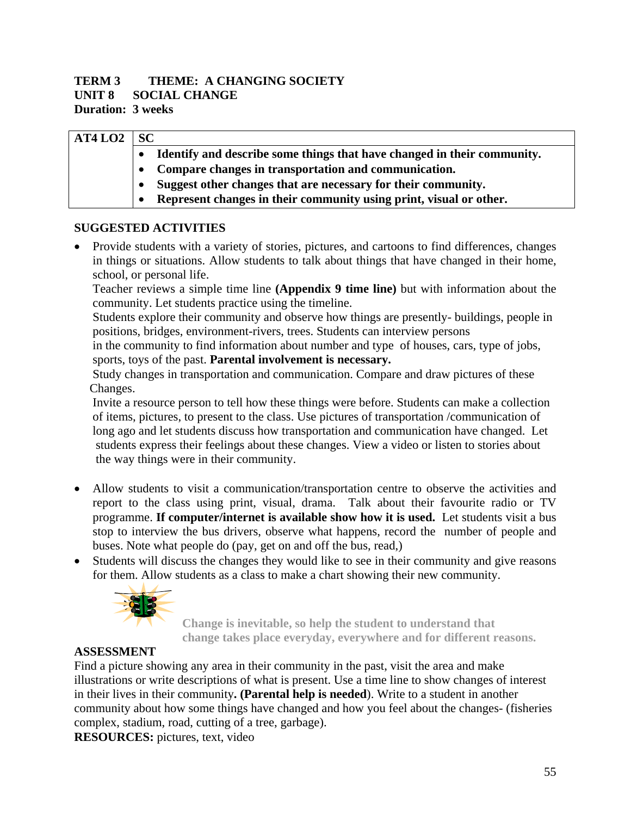### **TERM 3 THEME: A CHANGING SOCIETY**

**UNIT 8 SOCIAL CHANGE** 

**Duration: 3 weeks** 

| AT4 <sub>LO2</sub> | <b>SC</b> |                                                                         |  |  |
|--------------------|-----------|-------------------------------------------------------------------------|--|--|
|                    |           | Identify and describe some things that have changed in their community. |  |  |
|                    |           | Compare changes in transportation and communication.                    |  |  |
|                    |           | Suggest other changes that are necessary for their community.           |  |  |
|                    |           | Represent changes in their community using print, visual or other.      |  |  |

#### **SUGGESTED ACTIVITIES**

• Provide students with a variety of stories, pictures, and cartoons to find differences, changes in things or situations. Allow students to talk about things that have changed in their home, school, or personal life.

Teacher reviews a simple time line **(Appendix 9 time line)** but with information about the community. Let students practice using the timeline.

 Students explore their community and observe how things are presently- buildings, people in positions, bridges, environment-rivers, trees. Students can interview persons

 in the community to find information about number and type of houses, cars, type of jobs, sports, toys of the past. **Parental involvement is necessary.** 

 Study changes in transportation and communication. Compare and draw pictures of these Changes.

 Invite a resource person to tell how these things were before. Students can make a collection of items, pictures, to present to the class. Use pictures of transportation /communication of long ago and let students discuss how transportation and communication have changed. Let students express their feelings about these changes. View a video or listen to stories about the way things were in their community.

- Allow students to visit a communication/transportation centre to observe the activities and report to the class using print, visual, drama. Talk about their favourite radio or TV programme. **If computer/internet is available show how it is used.** Let students visit a bus stop to interview the bus drivers, observe what happens, record the number of people and buses. Note what people do (pay, get on and off the bus, read,)
- Students will discuss the changes they would like to see in their community and give reasons for them. Allow students as a class to make a chart showing their new community.



 **Change is inevitable, so help the student to understand that change takes place everyday, everywhere and for different reasons.** 

#### **ASSESSMENT**

Find a picture showing any area in their community in the past, visit the area and make illustrations or write descriptions of what is present. Use a time line to show changes of interest in their lives in their community**. (Parental help is needed**). Write to a student in another community about how some things have changed and how you feel about the changes- (fisheries complex, stadium, road, cutting of a tree, garbage).

**RESOURCES:** pictures, text, video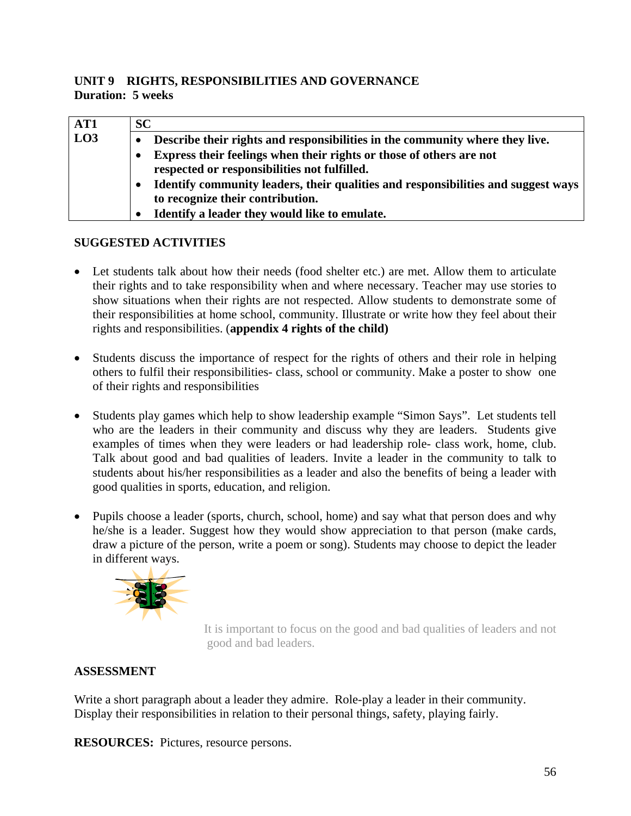#### **UNIT 9 RIGHTS, RESPONSIBILITIES AND GOVERNANCE Duration: 5 weeks**

| AT1 | SC |                                                                                                                       |
|-----|----|-----------------------------------------------------------------------------------------------------------------------|
| LO3 |    | Describe their rights and responsibilities in the community where they live.                                          |
|     |    | Express their feelings when their rights or those of others are not<br>respected or responsibilities not fulfilled.   |
|     |    | Identify community leaders, their qualities and responsibilities and suggest ways<br>to recognize their contribution. |
|     |    | Identify a leader they would like to emulate.                                                                         |

#### **SUGGESTED ACTIVITIES**

- Let students talk about how their needs (food shelter etc.) are met. Allow them to articulate their rights and to take responsibility when and where necessary. Teacher may use stories to show situations when their rights are not respected. Allow students to demonstrate some of their responsibilities at home school, community. Illustrate or write how they feel about their rights and responsibilities. (**appendix 4 rights of the child)**
- Students discuss the importance of respect for the rights of others and their role in helping others to fulfil their responsibilities- class, school or community. Make a poster to show one of their rights and responsibilities
- Students play games which help to show leadership example "Simon Says". Let students tell who are the leaders in their community and discuss why they are leaders. Students give examples of times when they were leaders or had leadership role- class work, home, club. Talk about good and bad qualities of leaders. Invite a leader in the community to talk to students about his/her responsibilities as a leader and also the benefits of being a leader with good qualities in sports, education, and religion.
- Pupils choose a leader (sports, church, school, home) and say what that person does and why he/she is a leader. Suggest how they would show appreciation to that person (make cards, draw a picture of the person, write a poem or song). Students may choose to depict the leader in different ways.



 It is important to focus on the good and bad qualities of leaders and not good and bad leaders.

### **ASSESSMENT**

Write a short paragraph about a leader they admire. Role-play a leader in their community. Display their responsibilities in relation to their personal things, safety, playing fairly.

**RESOURCES:** Pictures, resource persons.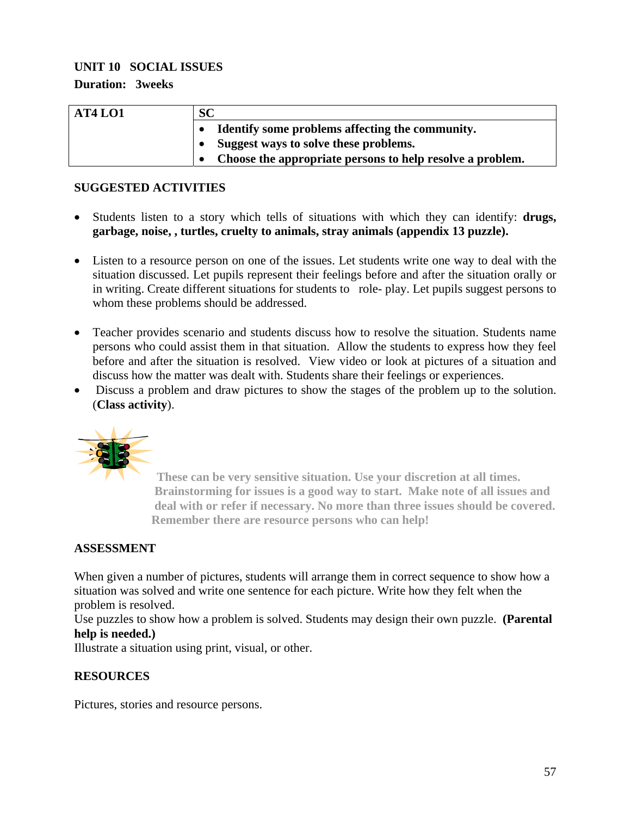#### **UNIT 10 SOCIAL ISSUES**

**Duration: 3weeks** 

| AT4 LO1 | <b>SC</b>                                                 |  |  |
|---------|-----------------------------------------------------------|--|--|
|         | Identify some problems affecting the community.           |  |  |
|         | Suggest ways to solve these problems.                     |  |  |
|         | Choose the appropriate persons to help resolve a problem. |  |  |

#### **SUGGESTED ACTIVITIES**

- Students listen to a story which tells of situations with which they can identify: **drugs, garbage, noise, , turtles, cruelty to animals, stray animals (appendix 13 puzzle).**
- Listen to a resource person on one of the issues. Let students write one way to deal with the situation discussed. Let pupils represent their feelings before and after the situation orally or in writing. Create different situations for students to role- play. Let pupils suggest persons to whom these problems should be addressed.
- Teacher provides scenario and students discuss how to resolve the situation. Students name persons who could assist them in that situation. Allow the students to express how they feel before and after the situation is resolved. View video or look at pictures of a situation and discuss how the matter was dealt with. Students share their feelings or experiences.
- Discuss a problem and draw pictures to show the stages of the problem up to the solution. (**Class activity**).



 **These can be very sensitive situation. Use your discretion at all times. Brainstorming for issues is a good way to start. Make note of all issues and deal with or refer if necessary. No more than three issues should be covered. Remember there are resource persons who can help!** 

### **ASSESSMENT**

When given a number of pictures, students will arrange them in correct sequence to show how a situation was solved and write one sentence for each picture. Write how they felt when the problem is resolved.

Use puzzles to show how a problem is solved. Students may design their own puzzle. **(Parental help is needed.)** 

Illustrate a situation using print, visual, or other.

#### **RESOURCES**

Pictures, stories and resource persons.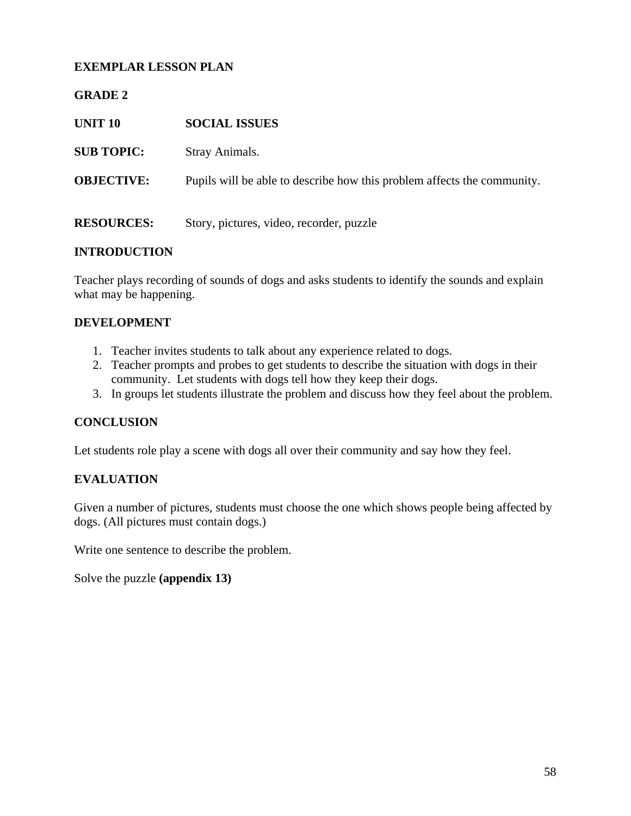#### **EXEMPLAR LESSON PLAN**

#### **GRADE 2**

| <b>UNIT 10</b>    | <b>SOCIAL ISSUES</b>                                                    |
|-------------------|-------------------------------------------------------------------------|
| <b>SUB TOPIC:</b> | Stray Animals.                                                          |
| <b>OBJECTIVE:</b> | Pupils will be able to describe how this problem affects the community. |
| <b>RESOURCES:</b> | Story, pictures, video, recorder, puzzle                                |

#### **INTRODUCTION**

Teacher plays recording of sounds of dogs and asks students to identify the sounds and explain what may be happening.

#### **DEVELOPMENT**

- 1. Teacher invites students to talk about any experience related to dogs.
- 2. Teacher prompts and probes to get students to describe the situation with dogs in their community. Let students with dogs tell how they keep their dogs.
- 3. In groups let students illustrate the problem and discuss how they feel about the problem.

#### **CONCLUSION**

Let students role play a scene with dogs all over their community and say how they feel.

#### **EVALUATION**

Given a number of pictures, students must choose the one which shows people being affected by dogs. (All pictures must contain dogs.)

Write one sentence to describe the problem.

Solve the puzzle **(appendix 13)**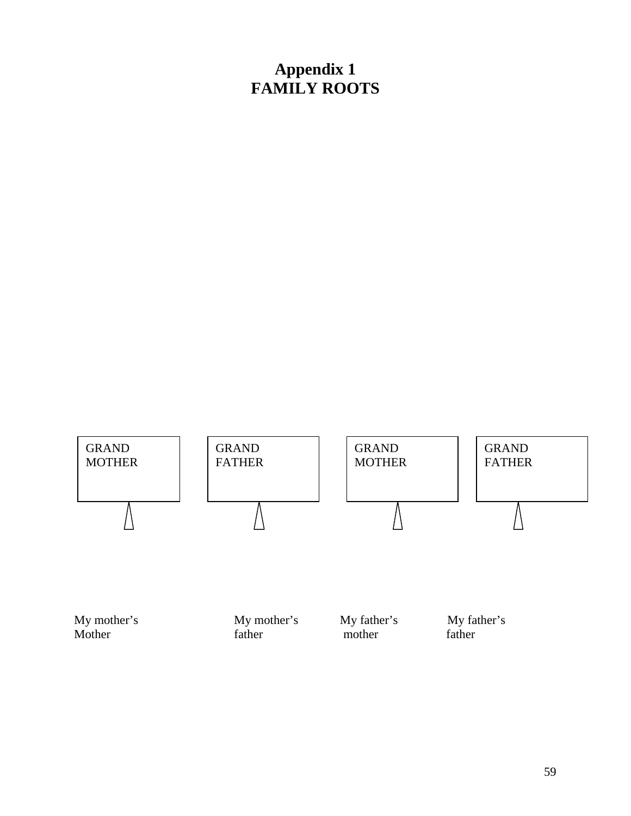## **Appendix 1 FAMILY ROOTS**



Mother father father mother father father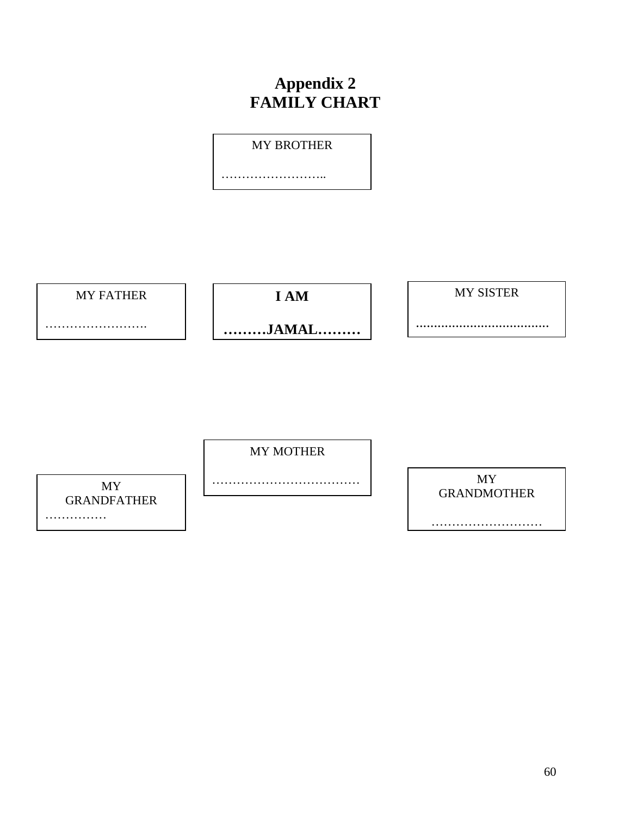# **Appendix 2 FAMILY CHART**

MY BROTHER

………………………

MY FATHER

**I AM** 

MY SISTER

.....................................

…………………………

**………JAMAL………**

MY MOTHER

………………………………

MY GRANDFATHER ……………

MY GRANDMOTHER

………………………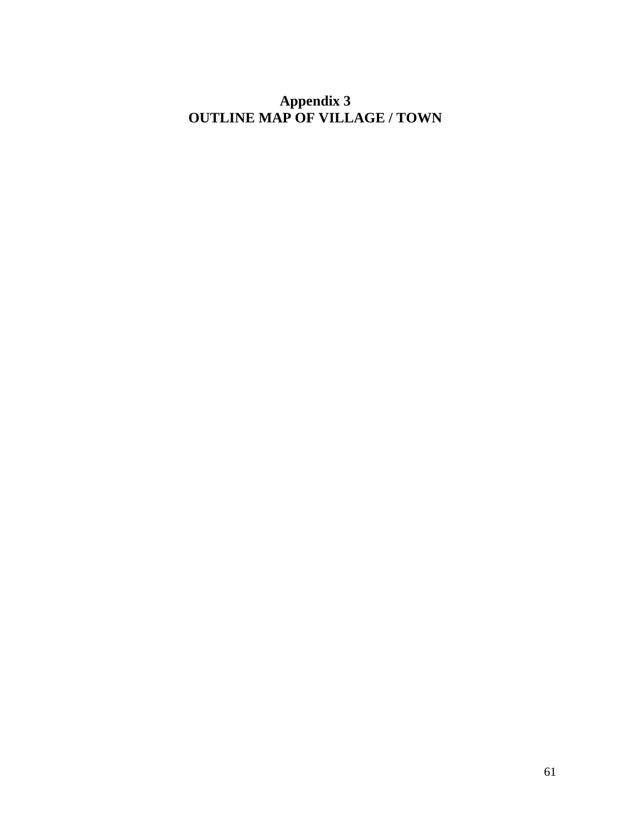**Appendix 3 OUTLINE MAP OF VILLAGE / TOWN**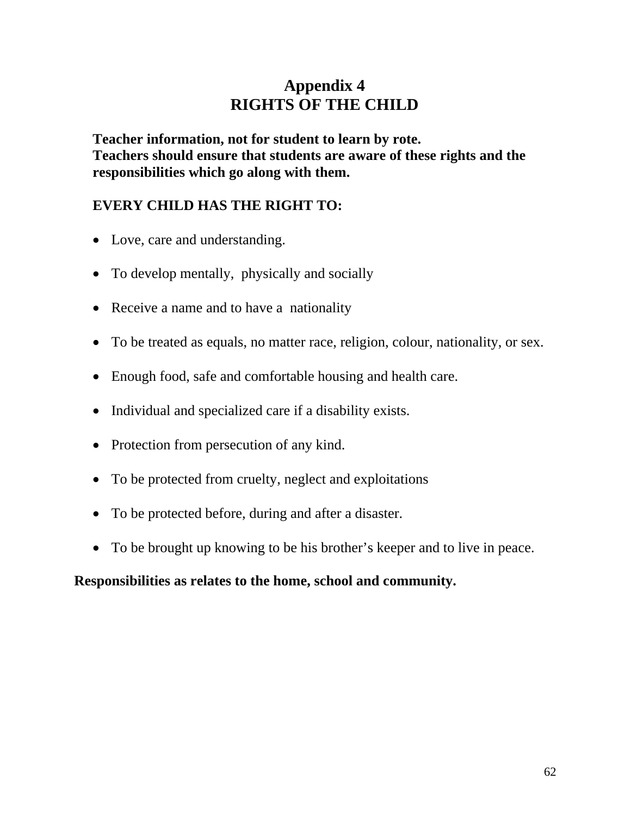## **Appendix 4 RIGHTS OF THE CHILD**

**Teacher information, not for student to learn by rote. Teachers should ensure that students are aware of these rights and the responsibilities which go along with them.** 

### **EVERY CHILD HAS THE RIGHT TO:**

- Love, care and understanding.
- To develop mentally, physically and socially
- Receive a name and to have a nationality
- To be treated as equals, no matter race, religion, colour, nationality, or sex.
- Enough food, safe and comfortable housing and health care.
- Individual and specialized care if a disability exists.
- Protection from persecution of any kind.
- To be protected from cruelty, neglect and exploitations
- To be protected before, during and after a disaster.
- To be brought up knowing to be his brother's keeper and to live in peace.

### **Responsibilities as relates to the home, school and community.**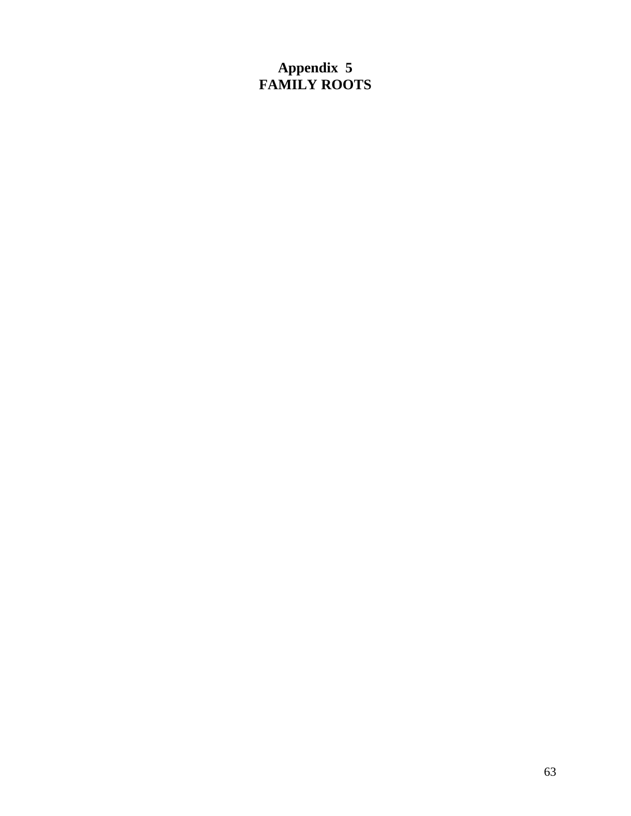## **Appendix 5 FAMILY ROOTS**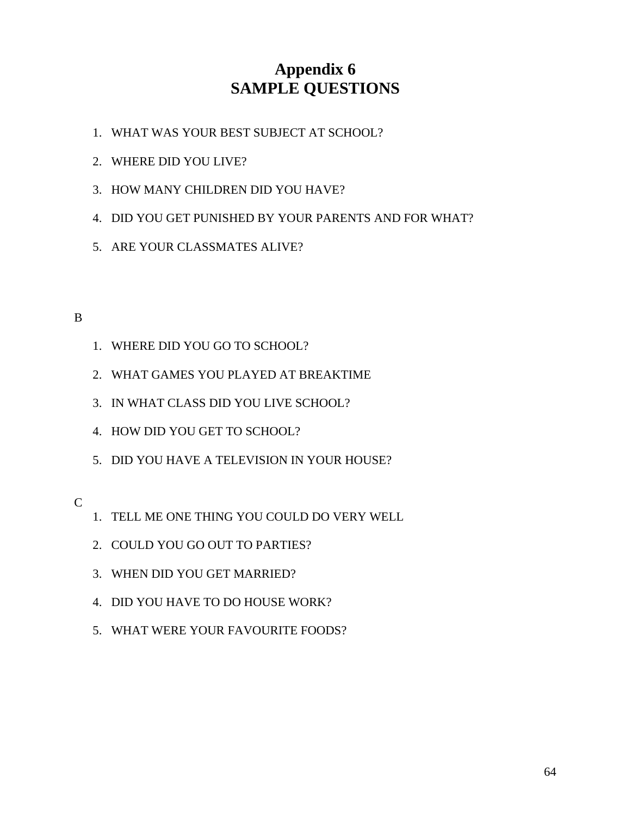## **Appendix 6 SAMPLE QUESTIONS**

- 1. WHAT WAS YOUR BEST SUBJECT AT SCHOOL?
- 2. WHERE DID YOU LIVE?
- 3. HOW MANY CHILDREN DID YOU HAVE?
- 4. DID YOU GET PUNISHED BY YOUR PARENTS AND FOR WHAT?
- 5. ARE YOUR CLASSMATES ALIVE?

#### B

- 1. WHERE DID YOU GO TO SCHOOL?
- 2. WHAT GAMES YOU PLAYED AT BREAKTIME
- 3. IN WHAT CLASS DID YOU LIVE SCHOOL?
- 4. HOW DID YOU GET TO SCHOOL?
- 5. DID YOU HAVE A TELEVISION IN YOUR HOUSE?

#### C

- 1. TELL ME ONE THING YOU COULD DO VERY WELL
- 2. COULD YOU GO OUT TO PARTIES?
- 3. WHEN DID YOU GET MARRIED?
- 4. DID YOU HAVE TO DO HOUSE WORK?
- 5. WHAT WERE YOUR FAVOURITE FOODS?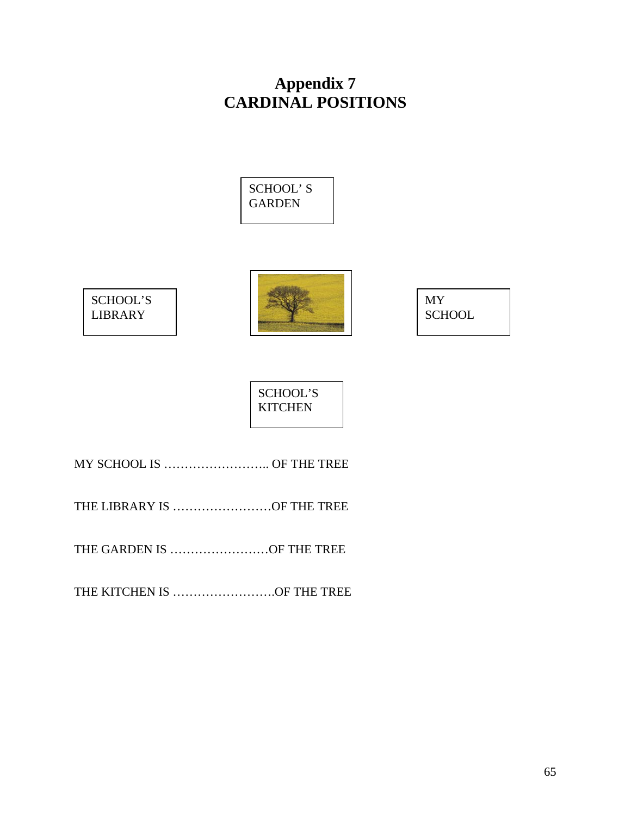## **Appendix 7 CARDINAL POSITIONS**







MY **SCHOOL** 

SCHOOL'S **KITCHEN** 

MY SCHOOL IS …………………….. OF THE TREE

THE LIBRARY IS ……………………OF THE TREE

THE GARDEN IS ……………………OF THE TREE

THE KITCHEN IS …………………….OF THE TREE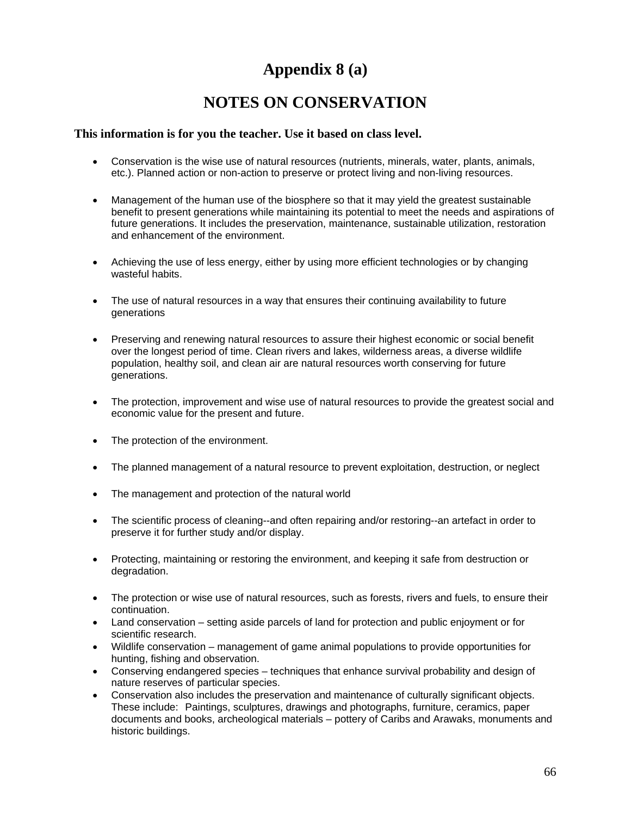# **Appendix 8 (a)**

## **NOTES ON CONSERVATION**

#### **This information is for you the teacher. Use it based on class level.**

- Conservation is the wise use of natural resources (nutrients, minerals, water, plants, animals, etc.). Planned action or non-action to preserve or protect living and non-living resources.
- Management of the human use of the biosphere so that it may yield the greatest sustainable benefit to present generations while maintaining its potential to meet the needs and aspirations of future generations. It includes the preservation, maintenance, sustainable utilization, restoration and enhancement of the environment.
- Achieving the use of less energy, either by using more efficient technologies or by changing wasteful habits.
- The use of natural resources in a way that ensures their continuing availability to future generations
- Preserving and renewing natural resources to assure their highest economic or social benefit over the longest period of time. Clean rivers and lakes, wilderness areas, a diverse wildlife population, healthy soil, and clean air are natural resources worth conserving for future generations.
- The protection, improvement and wise use of natural resources to provide the greatest social and economic value for the present and future.
- The protection of the environment.
- The planned management of a natural resource to prevent exploitation, destruction, or neglect
- The management and protection of the natural world
- The scientific process of cleaning--and often repairing and/or restoring--an artefact in order to preserve it for further study and/or display.
- Protecting, maintaining or restoring the environment, and keeping it safe from destruction or degradation.
- The protection or wise use of natural resources, such as forests, rivers and fuels, to ensure their continuation.
- Land conservation setting aside parcels of land for protection and public enjoyment or for scientific research.
- Wildlife conservation management of game animal populations to provide opportunities for hunting, fishing and observation.
- Conserving endangered species techniques that enhance survival probability and design of nature reserves of particular species.
- Conservation also includes the preservation and maintenance of culturally significant objects. These include: Paintings, sculptures, drawings and photographs, furniture, ceramics, paper documents and books, archeological materials – pottery of Caribs and Arawaks, monuments and historic buildings.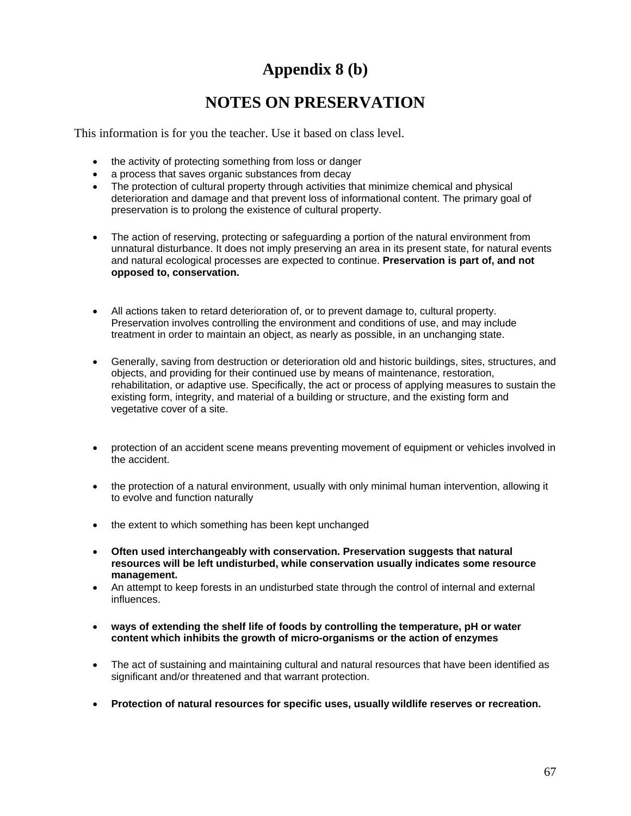## **Appendix 8 (b)**

## **NOTES ON PRESERVATION**

This information is for you the teacher. Use it based on class level.

- the activity of protecting something from loss or danger
- a process that saves organic substances from decay
- The protection of cultural property through activities that minimize chemical and physical deterioration and damage and that prevent loss of informational content. The primary goal of preservation is to prolong the existence of cultural property.
- The action of reserving, protecting or safeguarding a portion of the natural environment from unnatural disturbance. It does not imply preserving an area in its present state, for natural events and natural ecological processes are expected to continue. **Preservation is part of, and not opposed to, conservation.**
- All actions taken to retard deterioration of, or to prevent damage to, cultural property. Preservation involves controlling the environment and conditions of use, and may include treatment in order to maintain an object, as nearly as possible, in an unchanging state.
- Generally, saving from destruction or deterioration old and historic buildings, sites, structures, and objects, and providing for their continued use by means of maintenance, restoration, rehabilitation, or adaptive use. Specifically, the act or process of applying measures to sustain the existing form, integrity, and material of a building or structure, and the existing form and vegetative cover of a site.
- protection of an accident scene means preventing movement of equipment or vehicles involved in the accident.
- the protection of a natural environment, usually with only minimal human intervention, allowing it to evolve and function naturally
- the extent to which something has been kept unchanged
- **Often used interchangeably with conservation. Preservation suggests that natural resources will be left undisturbed, while conservation usually indicates some resource management.**
- An attempt to keep forests in an undisturbed state through the control of internal and external influences.
- **ways of extending the shelf life of foods by controlling the temperature, pH or water content which inhibits the growth of micro-organisms or the action of enzymes**
- The act of sustaining and maintaining cultural and natural resources that have been identified as significant and/or threatened and that warrant protection.
- **Protection of natural resources for specific uses, usually wildlife reserves or recreation.**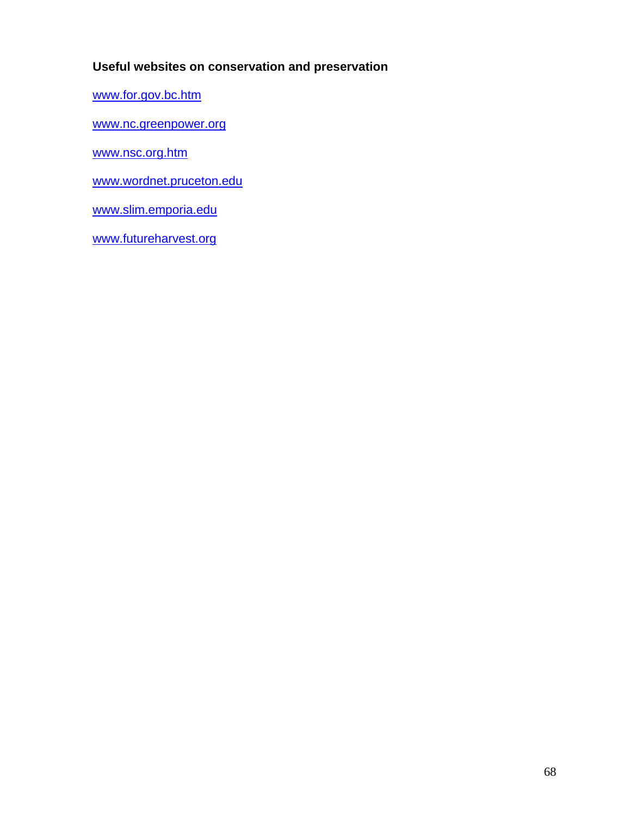### **Useful websites on conservation and preservation**

www.for.gov.bc.htm

www.nc.greenpower.org

www.nsc.org.htm

www.wordnet.pruceton.edu

www.slim.emporia.edu

www.futureharvest.org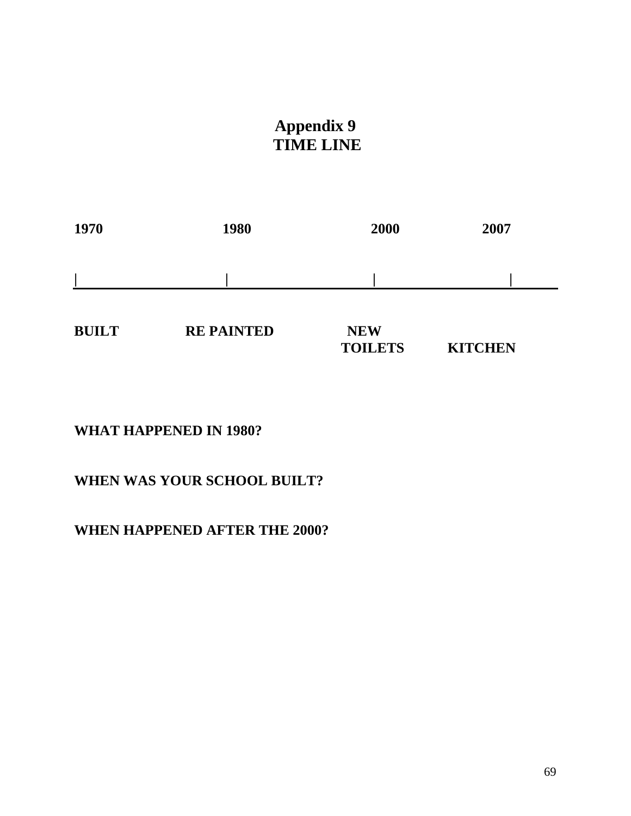# **Appendix 9 TIME LINE**

| 1970         | 1980              | 2000       | 2007 |
|--------------|-------------------|------------|------|
|              |                   |            |      |
| <b>BUILT</b> | <b>RE PAINTED</b> | <b>NEW</b> |      |

 **TOILETS KITCHEN** 

### **WHAT HAPPENED IN 1980?**

## **WHEN WAS YOUR SCHOOL BUILT?**

## **WHEN HAPPENED AFTER THE 2000?**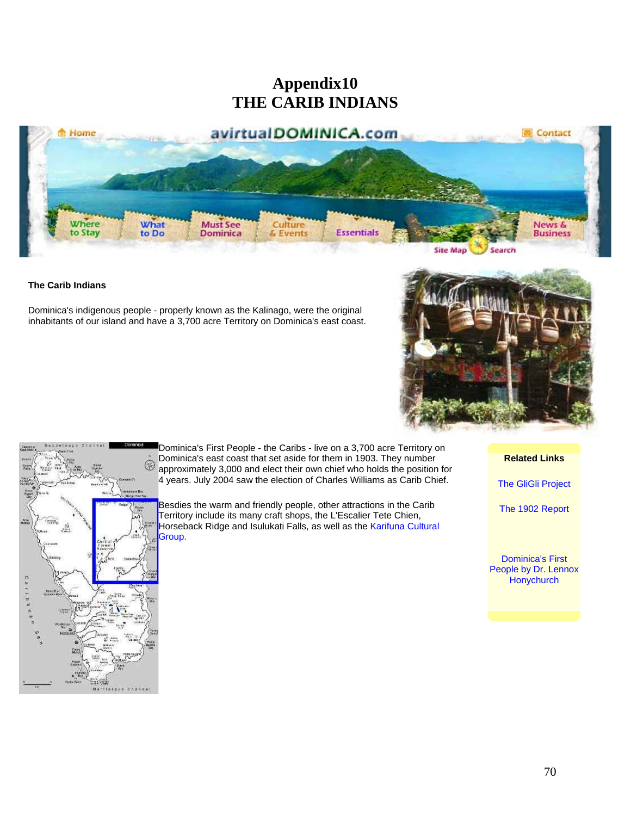## **Appendix10 THE CARIB INDIANS**



#### **The Carib Indians**

Dominica's indigenous people - properly known as the Kalinago, were the original inhabitants of our island and have a 3,700 acre Territory on Dominica's east coast.





Dominica's First People - the Caribs - live on a 3,700 acre Territory on Dominica's east coast that set aside for them in 1903. They number approximately 3,000 and elect their own chief who holds the position for 4 years. July 2004 saw the election of Charles Williams as Carib Chief.

Besdies the warm and friendly people, other attractions in the Carib Territory include its many craft shops, the L'Escalier Tete Chien, Horseback Ridge and Isulukati Falls, as well as the Karifuna Cultural Group.

**Related Links**

The GliGli Project

The 1902 Report

Dominica's First People by Dr. Lennox **Honychurch**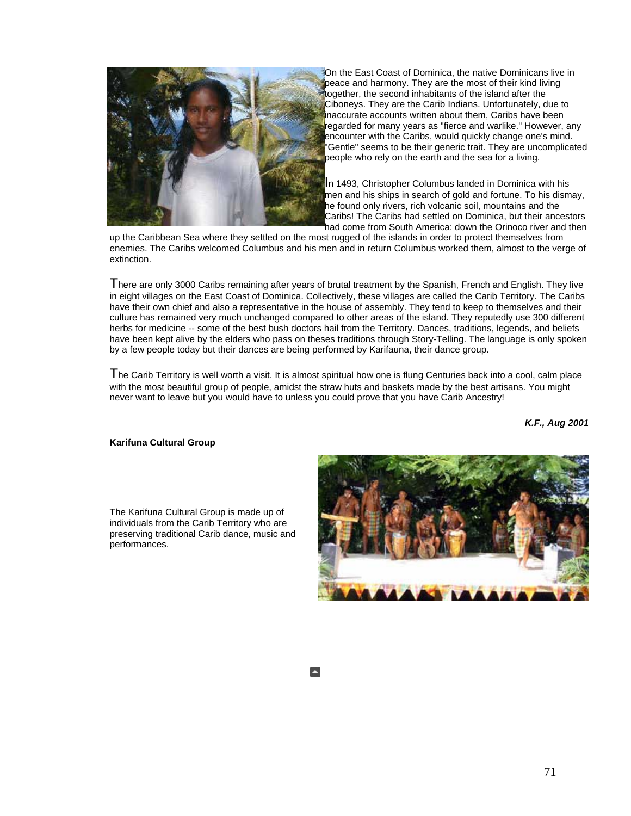

On the East Coast of Dominica, the native Dominicans live in peace and harmony. They are the most of their kind living together, the second inhabitants of the island after the Ciboneys. They are the Carib Indians. Unfortunately, due to inaccurate accounts written about them, Caribs have been regarded for many years as "fierce and warlike." However, any encounter with the Caribs, would quickly change one's mind. "Gentle" seems to be their generic trait. They are uncomplicated people who rely on the earth and the sea for a living.

In 1493, Christopher Columbus landed in Dominica with his men and his ships in search of gold and fortune. To his dismay, he found only rivers, rich volcanic soil, mountains and the Caribs! The Caribs had settled on Dominica, but their ancestors had come from South America: down the Orinoco river and then

up the Caribbean Sea where they settled on the most rugged of the islands in order to protect themselves from enemies. The Caribs welcomed Columbus and his men and in return Columbus worked them, almost to the verge of extinction.

There are only 3000 Caribs remaining after years of brutal treatment by the Spanish, French and English. They live in eight villages on the East Coast of Dominica. Collectively, these villages are called the Carib Territory. The Caribs have their own chief and also a representative in the house of assembly. They tend to keep to themselves and their culture has remained very much unchanged compared to other areas of the island. They reputedly use 300 different herbs for medicine -- some of the best bush doctors hail from the Territory. Dances, traditions, legends, and beliefs have been kept alive by the elders who pass on theses traditions through Story-Telling. The language is only spoken by a few people today but their dances are being performed by Karifauna, their dance group.

The Carib Territory is well worth a visit. It is almost spiritual how one is flung Centuries back into a cool, calm place with the most beautiful group of people, amidst the straw huts and baskets made by the best artisans. You might never want to leave but you would have to unless you could prove that you have Carib Ancestry!

*K.F., Aug 2001*

#### **Karifuna Cultural Group**

The Karifuna Cultural Group is made up of individuals from the Carib Territory who are preserving traditional Carib dance, music and performances.

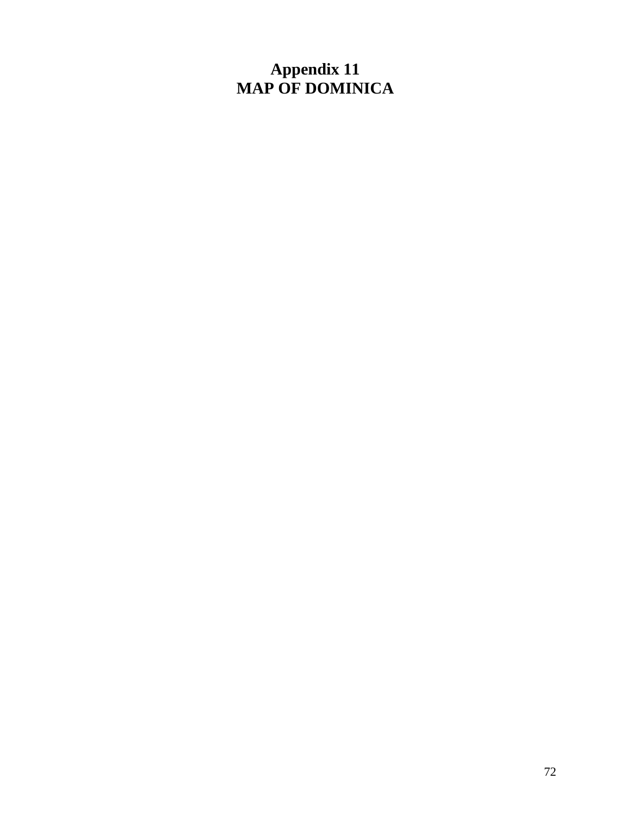## **Appendix 11 MAP OF DOMINICA**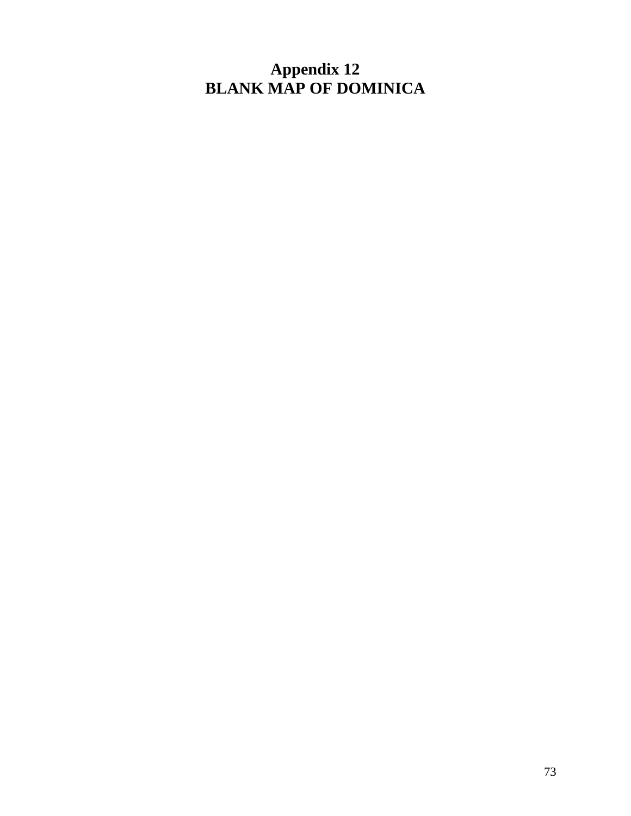**Appendix 12 BLANK MAP OF DOMINICA**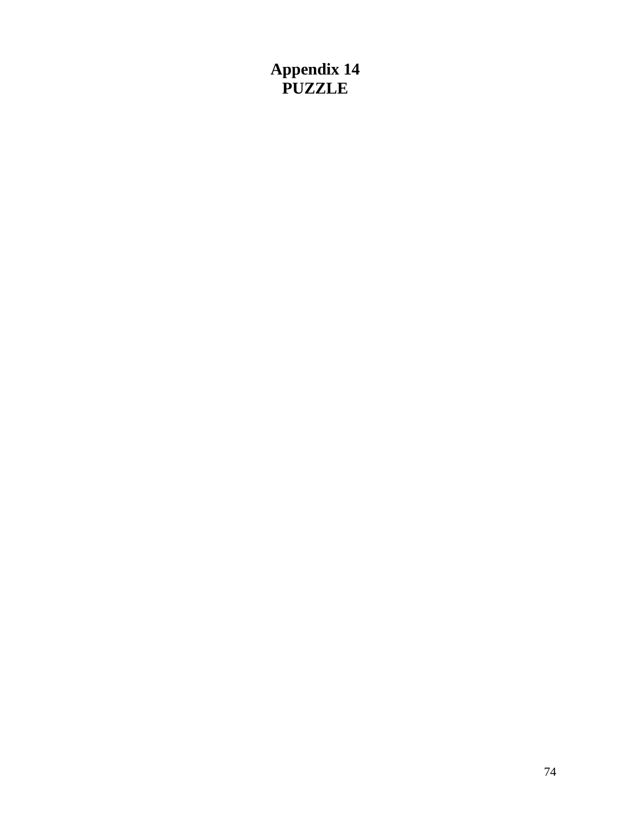**Appendix 14 PUZZLE**